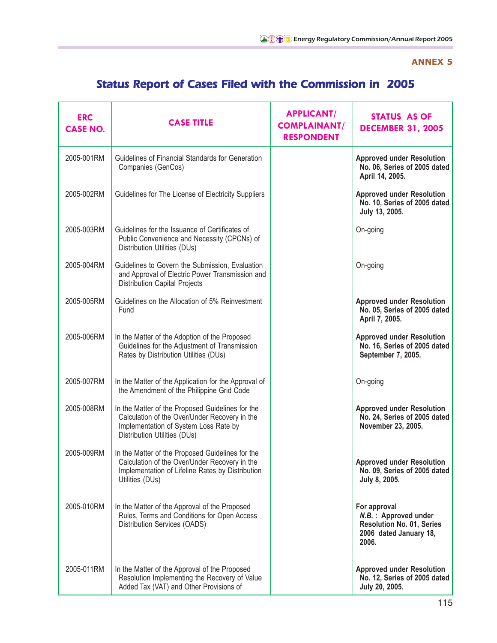## **ANNEX 5**

## Status Report of Cases Filed with the Commission in 2005

| <b>ERC</b><br><b>CASE NO.</b> | <b>CASE TITLE</b>                                                                                                                                                          | <b>APPLICANT/</b><br><b>COMPLAINANT/</b><br><b>RESPONDENT</b> | <b>STATUS AS OF</b><br><b>DECEMBER 31, 2005</b>                                                             |
|-------------------------------|----------------------------------------------------------------------------------------------------------------------------------------------------------------------------|---------------------------------------------------------------|-------------------------------------------------------------------------------------------------------------|
| 2005-001RM                    | Guidelines of Financial Standards for Generation<br>Companies (GenCos)                                                                                                     |                                                               | <b>Approved under Resolution</b><br>No. 06, Series of 2005 dated<br>April 14, 2005.                         |
| 2005-002RM                    | Guidelines for The License of Electricity Suppliers                                                                                                                        |                                                               | <b>Approved under Resolution</b><br>No. 10, Series of 2005 dated<br>July 13, 2005.                          |
| 2005-003RM                    | Guidelines for the Issuance of Certificates of<br>Public Convenience and Necessity (CPCNs) of<br>Distribution Utilities (DUs)                                              |                                                               | On-going                                                                                                    |
| 2005-004RM                    | Guidelines to Govern the Submission, Evaluation<br>and Approval of Electric Power Transmission and<br><b>Distribution Capital Projects</b>                                 |                                                               | On-going                                                                                                    |
| 2005-005RM                    | Guidelines on the Allocation of 5% Reinvestment<br>Fund                                                                                                                    |                                                               | <b>Approved under Resolution</b><br>No. 05, Series of 2005 dated<br>April 7, 2005.                          |
| 2005-006RM                    | In the Matter of the Adoption of the Proposed<br>Guidelines for the Adjustment of Transmission<br>Rates by Distribution Utilities (DUs)                                    |                                                               | <b>Approved under Resolution</b><br>No. 16, Series of 2005 dated<br>September 7, 2005.                      |
| 2005-007RM                    | In the Matter of the Application for the Approval of<br>the Amendment of the Philippine Grid Code                                                                          |                                                               | On-going                                                                                                    |
| 2005-008RM                    | In the Matter of the Proposed Guidelines for the<br>Calculation of the Over/Under Recovery in the<br>Implementation of System Loss Rate by<br>Distribution Utilities (DUs) |                                                               | <b>Approved under Resolution</b><br>No. 24, Series of 2005 dated<br>November 23, 2005.                      |
| 2005-009RM                    | In the Matter of the Proposed Guidelines for the<br>Calculation of the Over/Under Recovery in the<br>Implementation of Lifeline Rates by Distribution<br>Utilities (DUs)   |                                                               | <b>Approved under Resolution</b><br>No. 09, Series of 2005 dated<br>July 8, 2005.                           |
| 2005-010RM                    | In the Matter of the Approval of the Proposed<br>Rules, Terms and Conditions for Open Access<br>Distribution Services (OADS)                                               |                                                               | For approval<br>N.B.: Approved under<br><b>Resolution No. 01, Series</b><br>2006 dated January 18,<br>2006. |
| 2005-011RM                    | In the Matter of the Approval of the Proposed<br>Resolution Implementing the Recovery of Value<br>Added Tax (VAT) and Other Provisions of                                  |                                                               | <b>Approved under Resolution</b><br>No. 12, Series of 2005 dated<br>July 20, 2005.                          |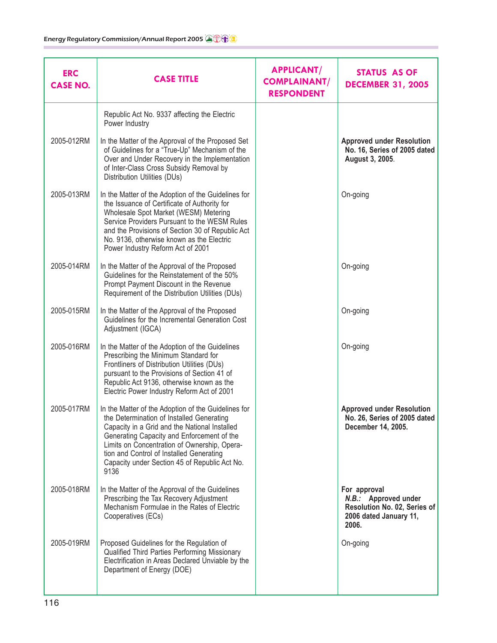| <b>CASE TITLE</b>                                                                                                                                                                                                                                                                                                                                    | <b>APPLICANT/</b><br><b>COMPLAINANT/</b><br><b>RESPONDENT</b> | <b>STATUS AS OF</b><br><b>DECEMBER 31, 2005</b>                                                         |
|------------------------------------------------------------------------------------------------------------------------------------------------------------------------------------------------------------------------------------------------------------------------------------------------------------------------------------------------------|---------------------------------------------------------------|---------------------------------------------------------------------------------------------------------|
| Republic Act No. 9337 affecting the Electric<br>Power Industry                                                                                                                                                                                                                                                                                       |                                                               |                                                                                                         |
| In the Matter of the Approval of the Proposed Set<br>of Guidelines for a "True-Up" Mechanism of the<br>Over and Under Recovery in the Implementation<br>of Inter-Class Cross Subsidy Removal by<br>Distribution Utilities (DUs)                                                                                                                      |                                                               | <b>Approved under Resolution</b><br>No. 16, Series of 2005 dated<br>August 3, 2005.                     |
| In the Matter of the Adoption of the Guidelines for<br>the Issuance of Certificate of Authority for<br>Wholesale Spot Market (WESM) Metering<br>Service Providers Pursuant to the WESM Rules<br>and the Provisions of Section 30 of Republic Act<br>No. 9136, otherwise known as the Electric<br>Power Industry Reform Act of 2001                   |                                                               | On-going                                                                                                |
| In the Matter of the Approval of the Proposed<br>Guidelines for the Reinstatement of the 50%<br>Prompt Payment Discount in the Revenue<br>Requirement of the Distribution Utilities (DUs)                                                                                                                                                            |                                                               | On-going                                                                                                |
| In the Matter of the Approval of the Proposed<br>Guidelines for the Incremental Generation Cost<br>Adjustment (IGCA)                                                                                                                                                                                                                                 |                                                               | On-going                                                                                                |
| In the Matter of the Adoption of the Guidelines<br>Prescribing the Minimum Standard for<br>Frontliners of Distribution Utilities (DUs)<br>pursuant to the Provisions of Section 41 of<br>Republic Act 9136, otherwise known as the<br>Electric Power Industry Reform Act of 2001                                                                     |                                                               | On-going                                                                                                |
| In the Matter of the Adoption of the Guidelines for<br>the Determination of Installed Generating<br>Capacity in a Grid and the National Installed<br>Generating Capacity and Enforcement of the<br>Limits on Concentration of Ownership, Opera-<br>tion and Control of Installed Generating<br>Capacity under Section 45 of Republic Act No.<br>9136 |                                                               | <b>Approved under Resolution</b><br>No. 26, Series of 2005 dated<br>December 14, 2005.                  |
| In the Matter of the Approval of the Guidelines<br>Prescribing the Tax Recovery Adjustment<br>Mechanism Formulae in the Rates of Electric<br>Cooperatives (ECs)                                                                                                                                                                                      |                                                               | For approval<br>N.B.: Approved under<br>Resolution No. 02, Series of<br>2006 dated January 11,<br>2006. |
| Proposed Guidelines for the Regulation of<br>Qualified Third Parties Performing Missionary<br>Electrification in Areas Declared Unviable by the<br>Department of Energy (DOE)                                                                                                                                                                        |                                                               | On-going                                                                                                |
|                                                                                                                                                                                                                                                                                                                                                      |                                                               |                                                                                                         |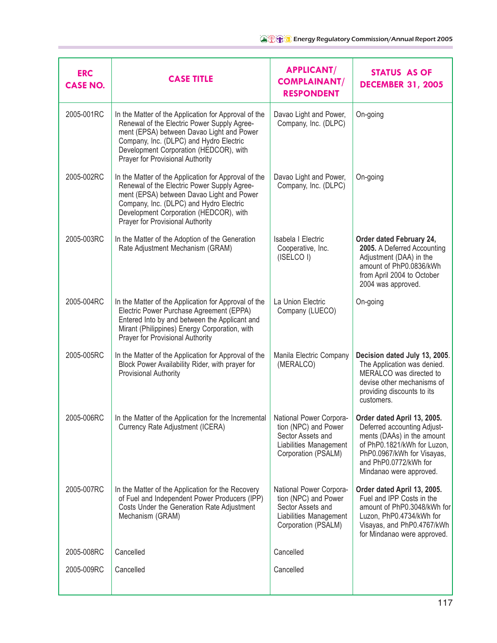| <b>ERC</b><br><b>CASE NO.</b> | <b>CASE TITLE</b>                                                                                                                                                                                                                                                         | <b>APPLICANT/</b><br><b>COMPLAINANT/</b><br><b>RESPONDENT</b>                                                         | <b>STATUS AS OF</b><br><b>DECEMBER 31, 2005</b>                                                                                                                                                           |
|-------------------------------|---------------------------------------------------------------------------------------------------------------------------------------------------------------------------------------------------------------------------------------------------------------------------|-----------------------------------------------------------------------------------------------------------------------|-----------------------------------------------------------------------------------------------------------------------------------------------------------------------------------------------------------|
| 2005-001RC                    | In the Matter of the Application for Approval of the<br>Renewal of the Electric Power Supply Agree-<br>ment (EPSA) between Davao Light and Power<br>Company, Inc. (DLPC) and Hydro Electric<br>Development Corporation (HEDCOR), with<br>Prayer for Provisional Authority | Davao Light and Power,<br>Company, Inc. (DLPC)                                                                        | On-going                                                                                                                                                                                                  |
| 2005-002RC                    | In the Matter of the Application for Approval of the<br>Renewal of the Electric Power Supply Agree-<br>ment (EPSA) between Davao Light and Power<br>Company, Inc. (DLPC) and Hydro Electric<br>Development Corporation (HEDCOR), with<br>Prayer for Provisional Authority | Davao Light and Power,<br>Company, Inc. (DLPC)                                                                        | On-going                                                                                                                                                                                                  |
| 2005-003RC                    | In the Matter of the Adoption of the Generation<br>Rate Adjustment Mechanism (GRAM)                                                                                                                                                                                       | Isabela I Electric<br>Cooperative, Inc.<br>(ISELCO I)                                                                 | Order dated February 24,<br>2005. A Deferred Accounting<br>Adjustment (DAA) in the<br>amount of PhP0.0836/kWh<br>from April 2004 to October<br>2004 was approved.                                         |
| 2005-004RC                    | In the Matter of the Application for Approval of the<br>Electric Power Purchase Agreement (EPPA)<br>Entered Into by and between the Applicant and<br>Mirant (Philippines) Energy Corporation, with<br>Prayer for Provisional Authority                                    | La Union Electric<br>Company (LUECO)                                                                                  | On-going                                                                                                                                                                                                  |
| 2005-005RC                    | In the Matter of the Application for Approval of the<br>Block Power Availability Rider, with prayer for<br>Provisional Authority                                                                                                                                          | Manila Electric Company<br>(MERALCO)                                                                                  | Decision dated July 13, 2005.<br>The Application was denied.<br>MERALCO was directed to<br>devise other mechanisms of<br>providing discounts to its<br>customers.                                         |
| 2005-006RC                    | In the Matter of the Application for the Incremental<br>Currency Rate Adjustment (ICERA)                                                                                                                                                                                  | National Power Corpora-<br>tion (NPC) and Power<br>Sector Assets and<br>Liabilities Management<br>Corporation (PSALM) | Order dated April 13, 2005.<br>Deferred accounting Adjust-<br>ments (DAAs) in the amount<br>of PhP0.1821/kWh for Luzon,<br>PhP0.0967/kWh for Visayas,<br>and PhP0.0772/kWh for<br>Mindanao were approved. |
| 2005-007RC                    | In the Matter of the Application for the Recovery<br>of Fuel and Independent Power Producers (IPP)<br>Costs Under the Generation Rate Adjustment<br>Mechanism (GRAM)                                                                                                      | National Power Corpora-<br>tion (NPC) and Power<br>Sector Assets and<br>Liabilities Management<br>Corporation (PSALM) | Order dated April 13, 2005.<br>Fuel and IPP Costs in the<br>amount of PhP0.3048/kWh for<br>Luzon, PhP0.4734/kWh for<br>Visayas, and PhP0.4767/kWh<br>for Mindanao were approved.                          |
| 2005-008RC                    | Cancelled                                                                                                                                                                                                                                                                 | Cancelled                                                                                                             |                                                                                                                                                                                                           |
| 2005-009RC                    | Cancelled                                                                                                                                                                                                                                                                 | Cancelled                                                                                                             |                                                                                                                                                                                                           |
|                               |                                                                                                                                                                                                                                                                           |                                                                                                                       |                                                                                                                                                                                                           |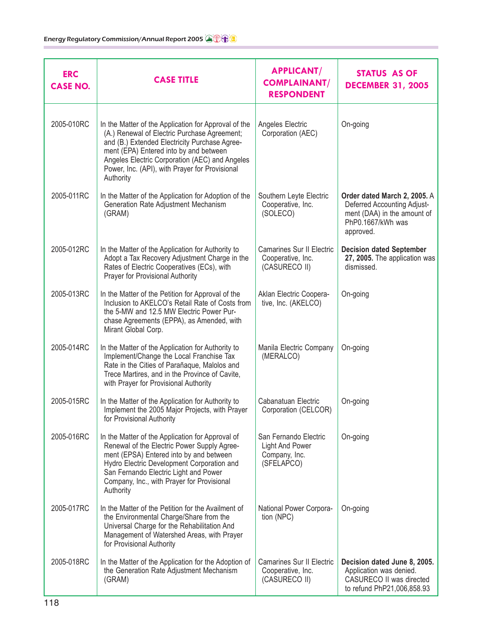| <b>ERC</b><br><b>CASE NO.</b> | <b>CASE TITLE</b>                                                                                                                                                                                                                                                                                                | <b>APPLICANT/</b><br><b>COMPLAINANT/</b><br><b>RESPONDENT</b>           | <b>STATUS AS OF</b><br><b>DECEMBER 31, 2005</b>                                                                              |
|-------------------------------|------------------------------------------------------------------------------------------------------------------------------------------------------------------------------------------------------------------------------------------------------------------------------------------------------------------|-------------------------------------------------------------------------|------------------------------------------------------------------------------------------------------------------------------|
| 2005-010RC                    | In the Matter of the Application for Approval of the<br>(A.) Renewal of Electric Purchase Agreement;<br>and (B.) Extended Electricity Purchase Agree-<br>ment (EPA) Entered into by and between<br>Angeles Electric Corporation (AEC) and Angeles<br>Power, Inc. (API), with Prayer for Provisional<br>Authority | Angeles Electric<br>Corporation (AEC)                                   | On-going                                                                                                                     |
| 2005-011RC                    | In the Matter of the Application for Adoption of the<br>Generation Rate Adjustment Mechanism<br>(GRAM)                                                                                                                                                                                                           | Southern Leyte Electric<br>Cooperative, Inc.<br>(SOLECO)                | Order dated March 2, 2005. A<br>Deferred Accounting Adjust-<br>ment (DAA) in the amount of<br>PhP0.1667/kWh was<br>approved. |
| 2005-012RC                    | In the Matter of the Application for Authority to<br>Adopt a Tax Recovery Adjustment Charge in the<br>Rates of Electric Cooperatives (ECs), with<br>Prayer for Provisional Authority                                                                                                                             | <b>Camarines Sur II Electric</b><br>Cooperative, Inc.<br>(CASURECO II)  | <b>Decision dated September</b><br>27, 2005. The application was<br>dismissed.                                               |
| 2005-013RC                    | In the Matter of the Petition for Approval of the<br>Inclusion to AKELCO's Retail Rate of Costs from<br>the 5-MW and 12.5 MW Electric Power Pur-<br>chase Agreements (EPPA), as Amended, with<br>Mirant Global Corp.                                                                                             | Aklan Electric Coopera-<br>tive, Inc. (AKELCO)                          | On-going                                                                                                                     |
| 2005-014RC                    | In the Matter of the Application for Authority to<br>Implement/Change the Local Franchise Tax<br>Rate in the Cities of Parañaque, Malolos and<br>Trece Martires, and in the Province of Cavite,<br>with Prayer for Provisional Authority                                                                         | Manila Electric Company<br>(MERALCO)                                    | On-going                                                                                                                     |
| 2005-015RC                    | In the Matter of the Application for Authority to<br>Implement the 2005 Major Projects, with Prayer<br>for Provisional Authority                                                                                                                                                                                 | Cabanatuan Electric<br>Corporation (CELCOR)                             | On-going                                                                                                                     |
| 2005-016RC                    | In the Matter of the Application for Approval of<br>Renewal of the Electric Power Supply Agree-<br>ment (EPSA) Entered into by and between<br>Hydro Electric Development Corporation and<br>San Fernando Electric Light and Power<br>Company, Inc., with Prayer for Provisional<br>Authority                     | San Fernando Electric<br>Light And Power<br>Company, Inc.<br>(SFELAPCO) | On-going                                                                                                                     |
| 2005-017RC                    | In the Matter of the Petition for the Availment of<br>the Environmental Charge/Share from the<br>Universal Charge for the Rehabilitation And<br>Management of Watershed Areas, with Prayer<br>for Provisional Authority                                                                                          | National Power Corpora-<br>tion (NPC)                                   | On-going                                                                                                                     |
| 2005-018RC                    | In the Matter of the Application for the Adoption of<br>the Generation Rate Adjustment Mechanism<br>(GRAM)                                                                                                                                                                                                       | <b>Camarines Sur II Electric</b><br>Cooperative, Inc.<br>(CASURECO II)  | Decision dated June 8, 2005.<br>Application was denied.<br>CASURECO II was directed<br>to refund PhP21,006,858.93            |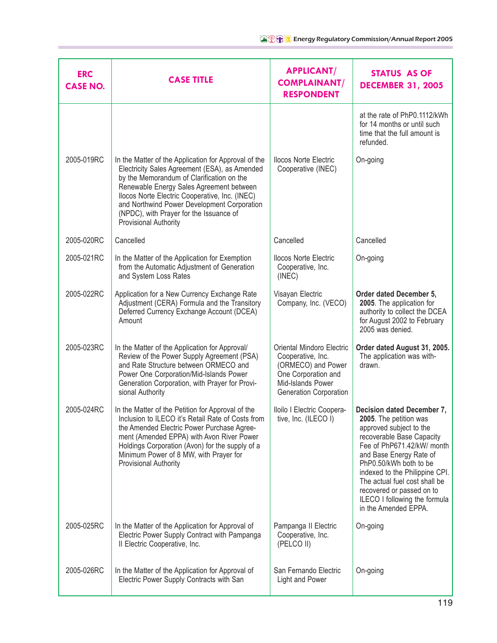| <b>ERC</b><br><b>CASE NO.</b> | <b>CASE TITLE</b>                                                                                                                                                                                                                                                                                                                                                   | <b>APPLICANT/</b><br><b>COMPLAINANT/</b><br><b>RESPONDENT</b>                                                                              | <b>STATUS AS OF</b><br><b>DECEMBER 31, 2005</b>                                                                                                                                                                                                                                                                                                          |
|-------------------------------|---------------------------------------------------------------------------------------------------------------------------------------------------------------------------------------------------------------------------------------------------------------------------------------------------------------------------------------------------------------------|--------------------------------------------------------------------------------------------------------------------------------------------|----------------------------------------------------------------------------------------------------------------------------------------------------------------------------------------------------------------------------------------------------------------------------------------------------------------------------------------------------------|
|                               |                                                                                                                                                                                                                                                                                                                                                                     |                                                                                                                                            | at the rate of PhP0.1112/kWh<br>for 14 months or until such<br>time that the full amount is<br>refunded.                                                                                                                                                                                                                                                 |
| 2005-019RC                    | In the Matter of the Application for Approval of the<br>Electricity Sales Agreement (ESA), as Amended<br>by the Memorandum of Clarification on the<br>Renewable Energy Sales Agreement between<br>Ilocos Norte Electric Cooperative, Inc. (INEC)<br>and Northwind Power Development Corporation<br>(NPDC), with Prayer for the Issuance of<br>Provisional Authority | <b>Ilocos Norte Electric</b><br>Cooperative (INEC)                                                                                         | On-going                                                                                                                                                                                                                                                                                                                                                 |
| 2005-020RC                    | Cancelled                                                                                                                                                                                                                                                                                                                                                           | Cancelled                                                                                                                                  | Cancelled                                                                                                                                                                                                                                                                                                                                                |
| 2005-021RC                    | In the Matter of the Application for Exemption<br>from the Automatic Adjustment of Generation<br>and System Loss Rates                                                                                                                                                                                                                                              | <b>Ilocos Norte Electric</b><br>Cooperative, Inc.<br>(INEC)                                                                                | On-going                                                                                                                                                                                                                                                                                                                                                 |
| 2005-022RC                    | Application for a New Currency Exchange Rate<br>Adjustment (CERA) Formula and the Transitory<br>Deferred Currency Exchange Account (DCEA)<br>Amount                                                                                                                                                                                                                 | Visayan Electric<br>Company, Inc. (VECO)                                                                                                   | Order dated December 5,<br>2005. The application for<br>authority to collect the DCEA<br>for August 2002 to February<br>2005 was denied.                                                                                                                                                                                                                 |
| 2005-023RC                    | In the Matter of the Application for Approval/<br>Review of the Power Supply Agreement (PSA)<br>and Rate Structure between ORMECO and<br>Power One Corporation/Mid-Islands Power<br>Generation Corporation, with Prayer for Provi-<br>sional Authority                                                                                                              | Oriental Mindoro Electric<br>Cooperative, Inc.<br>(ORMECO) and Power<br>One Corporation and<br>Mid-Islands Power<br>Generation Corporation | Order dated August 31, 2005.<br>The application was with-<br>drawn.                                                                                                                                                                                                                                                                                      |
| 2005-024RC                    | In the Matter of the Petition for Approval of the<br>Inclusion to ILECO it's Retail Rate of Costs from<br>the Amended Electric Power Purchase Agree-<br>ment (Amended EPPA) with Avon River Power<br>Holdings Corporation (Avon) for the supply of a<br>Minimum Power of 8 MW, with Prayer for<br>Provisional Authority                                             | Iloilo I Electric Coopera-<br>tive, Inc. (ILECO I)                                                                                         | Decision dated December 7,<br>2005. The petition was<br>approved subject to the<br>recoverable Base Capacity<br>Fee of PhP671.42/kW/ month<br>and Base Energy Rate of<br>PhP0.50/kWh both to be<br>indexed to the Philippine CPI.<br>The actual fuel cost shall be<br>recovered or passed on to<br>ILECO I following the formula<br>in the Amended EPPA. |
| 2005-025RC                    | In the Matter of the Application for Approval of<br>Electric Power Supply Contract with Pampanga<br>Il Electric Cooperative, Inc.                                                                                                                                                                                                                                   | Pampanga II Electric<br>Cooperative, Inc.<br>(PELCO II)                                                                                    | On-going                                                                                                                                                                                                                                                                                                                                                 |
| 2005-026RC                    | In the Matter of the Application for Approval of<br>Electric Power Supply Contracts with San                                                                                                                                                                                                                                                                        | San Fernando Electric<br>Light and Power                                                                                                   | On-going                                                                                                                                                                                                                                                                                                                                                 |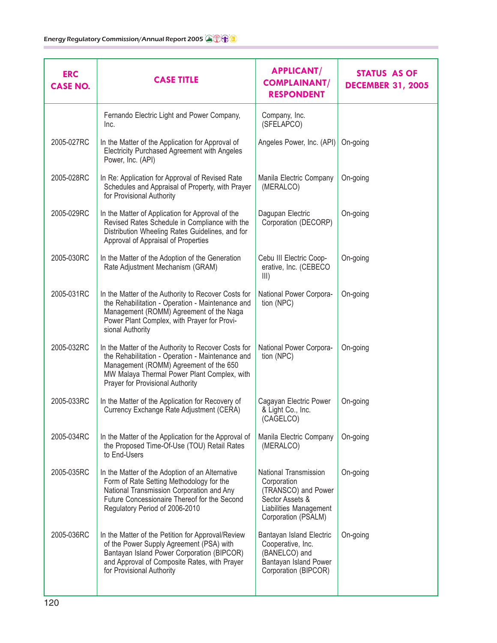| <b>ERC</b><br><b>CASE NO.</b> | <b>CASE TITLE</b>                                                                                                                                                                                                                    | <b>APPLICANT/</b><br><b>COMPLAINANT/</b><br><b>RESPONDENT</b>                                                                   | <b>STATUS AS OF</b><br><b>DECEMBER 31, 2005</b> |
|-------------------------------|--------------------------------------------------------------------------------------------------------------------------------------------------------------------------------------------------------------------------------------|---------------------------------------------------------------------------------------------------------------------------------|-------------------------------------------------|
|                               | Fernando Electric Light and Power Company,<br>Inc.                                                                                                                                                                                   | Company, Inc.<br>(SFELAPCO)                                                                                                     |                                                 |
| 2005-027RC                    | In the Matter of the Application for Approval of<br>Electricity Purchased Agreement with Angeles<br>Power, Inc. (API)                                                                                                                | Angeles Power, Inc. (API)                                                                                                       | On-going                                        |
| 2005-028RC                    | In Re: Application for Approval of Revised Rate<br>Schedules and Appraisal of Property, with Prayer<br>for Provisional Authority                                                                                                     | Manila Electric Company<br>(MERALCO)                                                                                            | On-going                                        |
| 2005-029RC                    | In the Matter of Application for Approval of the<br>Revised Rates Schedule in Compliance with the<br>Distribution Wheeling Rates Guidelines, and for<br>Approval of Appraisal of Properties                                          | Dagupan Electric<br>Corporation (DECORP)                                                                                        | On-going                                        |
| 2005-030RC                    | In the Matter of the Adoption of the Generation<br>Rate Adjustment Mechanism (GRAM)                                                                                                                                                  | Cebu III Electric Coop-<br>erative, Inc. (CEBECO<br>III)                                                                        | On-going                                        |
| 2005-031RC                    | In the Matter of the Authority to Recover Costs for<br>the Rehabilitation - Operation - Maintenance and<br>Management (ROMM) Agreement of the Naga<br>Power Plant Complex, with Prayer for Provi-<br>sional Authority                | National Power Corpora-<br>tion (NPC)                                                                                           | On-going                                        |
| 2005-032RC                    | In the Matter of the Authority to Recover Costs for<br>the Rehabilitation - Operation - Maintenance and<br>Management (ROMM) Agreement of the 650<br>MW Malaya Thermal Power Plant Complex, with<br>Prayer for Provisional Authority | National Power Corpora-<br>tion (NPC)                                                                                           | On-going                                        |
| 2005-033RC                    | In the Matter of the Application for Recovery of<br>Currency Exchange Rate Adjustment (CERA)                                                                                                                                         | Cagayan Electric Power<br>& Light Co., Inc.<br>(CAGELCO)                                                                        | On-going                                        |
| 2005-034RC                    | In the Matter of the Application for the Approval of<br>the Proposed Time-Of-Use (TOU) Retail Rates<br>to End-Users                                                                                                                  | Manila Electric Company<br>(MERALCO)                                                                                            | On-going                                        |
| 2005-035RC                    | In the Matter of the Adoption of an Alternative<br>Form of Rate Setting Methodology for the<br>National Transmission Corporation and Any<br>Future Concessionaire Thereof for the Second<br>Regulatory Period of 2006-2010           | National Transmission<br>Corporation<br>(TRANSCO) and Power<br>Sector Assets &<br>Liabilities Management<br>Corporation (PSALM) | On-going                                        |
| 2005-036RC                    | In the Matter of the Petition for Approval/Review<br>of the Power Supply Agreement (PSA) with<br>Bantayan Island Power Corporation (BIPCOR)<br>and Approval of Composite Rates, with Prayer<br>for Provisional Authority             | Bantayan Island Electric<br>Cooperative, Inc.<br>(BANELCO) and<br>Bantayan Island Power<br>Corporation (BIPCOR)                 | On-going                                        |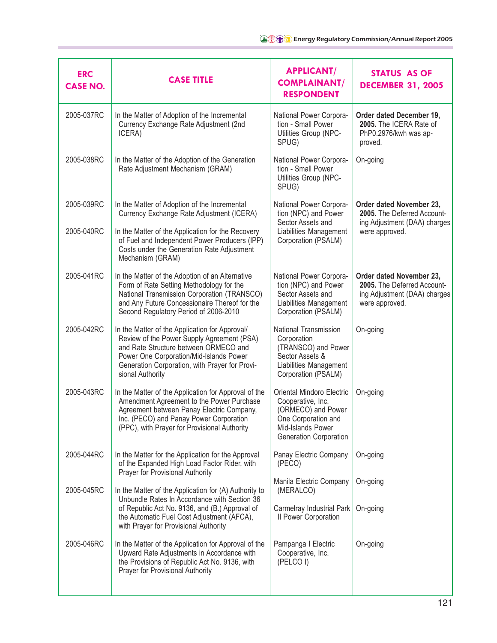| <b>ERC</b><br><b>CASE NO.</b> | <b>CASE TITLE</b>                                                                                                                                                                                                                                      | <b>APPLICANT/</b><br><b>COMPLAINANT/</b><br><b>RESPONDENT</b>                                                                                     | <b>STATUS AS OF</b><br><b>DECEMBER 31, 2005</b>                                                           |
|-------------------------------|--------------------------------------------------------------------------------------------------------------------------------------------------------------------------------------------------------------------------------------------------------|---------------------------------------------------------------------------------------------------------------------------------------------------|-----------------------------------------------------------------------------------------------------------|
| 2005-037RC                    | In the Matter of Adoption of the Incremental<br>Currency Exchange Rate Adjustment (2nd<br>ICERA)                                                                                                                                                       | National Power Corpora-<br>tion - Small Power<br>Utilities Group (NPC-<br>SPUG)                                                                   | Order dated December 19,<br>2005. The ICERA Rate of<br>PhP0.2976/kwh was ap-<br>proved.                   |
| 2005-038RC                    | In the Matter of the Adoption of the Generation<br>Rate Adjustment Mechanism (GRAM)                                                                                                                                                                    | National Power Corpora-<br>tion - Small Power<br>Utilities Group (NPC-<br>SPUG)                                                                   | On-going                                                                                                  |
| 2005-039RC                    | In the Matter of Adoption of the Incremental<br>Currency Exchange Rate Adjustment (ICERA)                                                                                                                                                              | National Power Corpora-<br>tion (NPC) and Power<br>Sector Assets and                                                                              | Order dated November 23,<br>2005. The Deferred Account-<br>ing Adjustment (DAA) charges                   |
| 2005-040RC                    | In the Matter of the Application for the Recovery<br>of Fuel and Independent Power Producers (IPP)<br>Costs under the Generation Rate Adjustment<br>Mechanism (GRAM)                                                                                   | Liabilities Management<br>Corporation (PSALM)                                                                                                     | were approved.                                                                                            |
| 2005-041RC                    | In the Matter of the Adoption of an Alternative<br>Form of Rate Setting Methodology for the<br>National Transmission Corporation (TRANSCO)<br>and Any Future Concessionaire Thereof for the<br>Second Regulatory Period of 2006-2010                   | National Power Corpora-<br>tion (NPC) and Power<br>Sector Assets and<br>Liabilities Management<br>Corporation (PSALM)                             | Order dated November 23,<br>2005. The Deferred Account-<br>ing Adjustment (DAA) charges<br>were approved. |
| 2005-042RC                    | In the Matter of the Application for Approval/<br>Review of the Power Supply Agreement (PSA)<br>and Rate Structure between ORMECO and<br>Power One Corporation/Mid-Islands Power<br>Generation Corporation, with Prayer for Provi-<br>sional Authority | National Transmission<br>Corporation<br>(TRANSCO) and Power<br>Sector Assets &<br>Liabilities Management<br>Corporation (PSALM)                   | On-going                                                                                                  |
| 2005-043RC                    | In the Matter of the Application for Approval of the<br>Amendment Agreement to the Power Purchase<br>Agreement between Panay Electric Company,<br>Inc. (PECO) and Panay Power Corporation<br>(PPC), with Prayer for Provisional Authority              | Oriental Mindoro Electric<br>Cooperative, Inc.<br>(ORMECO) and Power<br>One Corporation and<br>Mid-Islands Power<br><b>Generation Corporation</b> | On-going                                                                                                  |
| 2005-044RC                    | In the Matter for the Application for the Approval<br>of the Expanded High Load Factor Rider, with<br>Prayer for Provisional Authority                                                                                                                 | Panay Electric Company<br>(PECO)                                                                                                                  | On-going                                                                                                  |
| 2005-045RC                    | In the Matter of the Application for (A) Authority to<br>Unbundle Rates In Accordance with Section 36                                                                                                                                                  | Manila Electric Company<br>(MERALCO)                                                                                                              | On-going                                                                                                  |
|                               | of Republic Act No. 9136, and (B.) Approval of<br>the Automatic Fuel Cost Adjustment (AFCA),<br>with Prayer for Provisional Authority                                                                                                                  | Carmelray Industrial Park<br>Il Power Corporation                                                                                                 | On-going                                                                                                  |
| 2005-046RC                    | In the Matter of the Application for Approval of the<br>Upward Rate Adjustments in Accordance with<br>the Provisions of Republic Act No. 9136, with<br>Prayer for Provisional Authority                                                                | Pampanga I Electric<br>Cooperative, Inc.<br>(PELCO I)                                                                                             | On-going                                                                                                  |
|                               |                                                                                                                                                                                                                                                        |                                                                                                                                                   |                                                                                                           |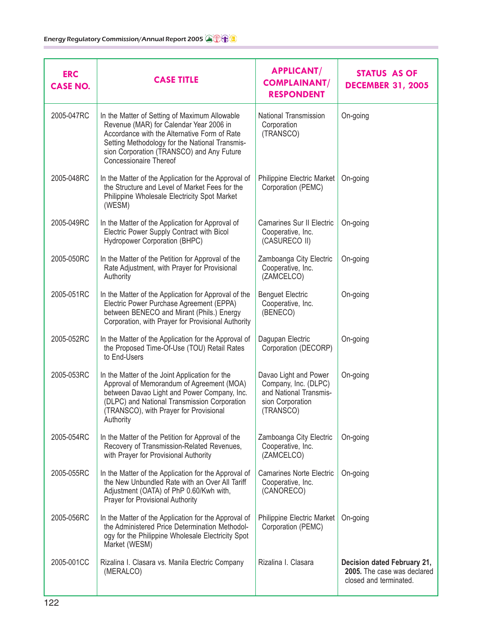| <b>ERC</b><br><b>CASE NO.</b> | <b>CASE TITLE</b>                                                                                                                                                                                                                                                 | <b>APPLICANT/</b><br><b>COMPLAINANT/</b><br><b>RESPONDENT</b>                                            | <b>STATUS AS OF</b><br><b>DECEMBER 31, 2005</b>                                      |
|-------------------------------|-------------------------------------------------------------------------------------------------------------------------------------------------------------------------------------------------------------------------------------------------------------------|----------------------------------------------------------------------------------------------------------|--------------------------------------------------------------------------------------|
| 2005-047RC                    | In the Matter of Setting of Maximum Allowable<br>Revenue (MAR) for Calendar Year 2006 in<br>Accordance with the Alternative Form of Rate<br>Setting Methodology for the National Transmis-<br>sion Corporation (TRANSCO) and Any Future<br>Concessionaire Thereof | National Transmission<br>Corporation<br>(TRANSCO)                                                        | On-going                                                                             |
| 2005-048RC                    | In the Matter of the Application for the Approval of<br>the Structure and Level of Market Fees for the<br>Philippine Wholesale Electricity Spot Market<br>(WESM)                                                                                                  | Philippine Electric Market<br>Corporation (PEMC)                                                         | On-going                                                                             |
| 2005-049RC                    | In the Matter of the Application for Approval of<br>Electric Power Supply Contract with Bicol<br>Hydropower Corporation (BHPC)                                                                                                                                    | Camarines Sur II Electric<br>Cooperative, Inc.<br>(CASURECO II)                                          | On-going                                                                             |
| 2005-050RC                    | In the Matter of the Petition for Approval of the<br>Rate Adjustment, with Prayer for Provisional<br>Authority                                                                                                                                                    | Zamboanga City Electric<br>Cooperative, Inc.<br>(ZAMCELCO)                                               | On-going                                                                             |
| 2005-051RC                    | In the Matter of the Application for Approval of the<br>Electric Power Purchase Agreement (EPPA)<br>between BENECO and Mirant (Phils.) Energy<br>Corporation, with Prayer for Provisional Authority                                                               | <b>Benguet Electric</b><br>Cooperative, Inc.<br>(BENECO)                                                 | On-going                                                                             |
| 2005-052RC                    | In the Matter of the Application for the Approval of<br>the Proposed Time-Of-Use (TOU) Retail Rates<br>to End-Users                                                                                                                                               | Dagupan Electric<br>Corporation (DECORP)                                                                 | On-going                                                                             |
| 2005-053RC                    | In the Matter of the Joint Application for the<br>Approval of Memorandum of Agreement (MOA)<br>between Davao Light and Power Company, Inc.<br>(DLPC) and National Transmission Corporation<br>(TRANSCO), with Prayer for Provisional<br>Authority                 | Davao Light and Power<br>Company, Inc. (DLPC)<br>and National Transmis-<br>sion Corporation<br>(TRANSCO) | On-going                                                                             |
| 2005-054RC                    | In the Matter of the Petition for Approval of the<br>Recovery of Transmission-Related Revenues,<br>with Prayer for Provisional Authority                                                                                                                          | Zamboanga City Electric<br>Cooperative, Inc.<br>(ZAMCELCO)                                               | On-going                                                                             |
| 2005-055RC                    | In the Matter of the Application for the Approval of<br>the New Unbundled Rate with an Over All Tariff<br>Adjustment (OATA) of PhP 0.60/Kwh with,<br>Prayer for Provisional Authority                                                                             | <b>Camarines Norte Electric</b><br>Cooperative, Inc.<br>(CANORECO)                                       | On-going                                                                             |
| 2005-056RC                    | In the Matter of the Application for the Approval of<br>the Administered Price Determination Methodol-<br>ogy for the Philippine Wholesale Electricity Spot<br>Market (WESM)                                                                                      | Philippine Electric Market<br>Corporation (PEMC)                                                         | On-going                                                                             |
| 2005-001CC                    | Rizalina I. Clasara vs. Manila Electric Company<br>(MERALCO)                                                                                                                                                                                                      | Rizalina I. Clasara                                                                                      | Decision dated February 21,<br>2005. The case was declared<br>closed and terminated. |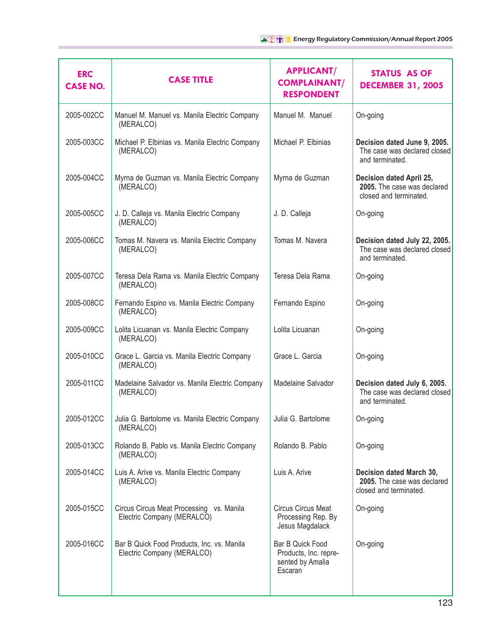| <b>ERC</b><br><b>CASE NO.</b> | <b>CASE TITLE</b>                                                        | <b>APPLICANT/</b><br><b>COMPLAINANT/</b><br><b>RESPONDENT</b>            | <b>STATUS AS OF</b><br><b>DECEMBER 31, 2005</b>                                   |
|-------------------------------|--------------------------------------------------------------------------|--------------------------------------------------------------------------|-----------------------------------------------------------------------------------|
| 2005-002CC                    | Manuel M. Manuel vs. Manila Electric Company<br>(MERALCO)                | Manuel M. Manuel                                                         | On-going                                                                          |
| 2005-003CC                    | Michael P. Elbinias vs. Manila Electric Company<br>(MERALCO)             | Michael P. Elbinias                                                      | Decision dated June 9, 2005.<br>The case was declared closed<br>and terminated.   |
| 2005-004CC                    | Myrna de Guzman vs. Manila Electric Company<br>(MERALCO)                 | Myrna de Guzman                                                          | Decision dated April 25,<br>2005. The case was declared<br>closed and terminated. |
| 2005-005CC                    | J. D. Calleja vs. Manila Electric Company<br>(MERALCO)                   | J. D. Calleja                                                            | On-going                                                                          |
| 2005-006CC                    | Tomas M. Navera vs. Manila Electric Company<br>(MERALCO)                 | Tomas M. Navera                                                          | Decision dated July 22, 2005.<br>The case was declared closed<br>and terminated.  |
| 2005-007CC                    | Teresa Dela Rama vs. Manila Electric Company<br>(MERALCO)                | Teresa Dela Rama                                                         | On-going                                                                          |
| 2005-008CC                    | Fernando Espino vs. Manila Electric Company<br>(MERALCO)                 | Fernando Espino                                                          | On-going                                                                          |
| 2005-009CC                    | Lolita Licuanan vs. Manila Electric Company<br>(MERALCO)                 | Lolita Licuanan                                                          | On-going                                                                          |
| 2005-010CC                    | Grace L. Garcia vs. Manila Electric Company<br>(MERALCO)                 | Grace L. Garcia                                                          | On-going                                                                          |
| 2005-011CC                    | Madelaine Salvador vs. Manila Electric Company<br>(MERALCO)              | Madelaine Salvador                                                       | Decision dated July 6, 2005.<br>The case was declared closed<br>and terminated.   |
| 2005-012CC                    | Julia G. Bartolome vs. Manila Electric Company<br>(MERALCO)              | Julia G. Bartolome                                                       | On-going                                                                          |
| 2005-013CC                    | Rolando B. Pablo vs. Manila Electric Company<br>(MERALCO)                | Rolando B. Pablo                                                         | On-going                                                                          |
| 2005-014CC                    | Luis A. Arive vs. Manila Electric Company<br>(MERALCO)                   | Luis A. Arive                                                            | Decision dated March 30,<br>2005. The case was declared<br>closed and terminated. |
| 2005-015CC                    | Circus Circus Meat Processing vs. Manila<br>Electric Company (MERALCO)   | Circus Circus Meat<br>Processing Rep. By<br>Jesus Magdalack              | On-going                                                                          |
| 2005-016CC                    | Bar B Quick Food Products, Inc. vs. Manila<br>Electric Company (MERALCO) | Bar B Quick Food<br>Products, Inc. repre-<br>sented by Amalia<br>Escaran | On-going                                                                          |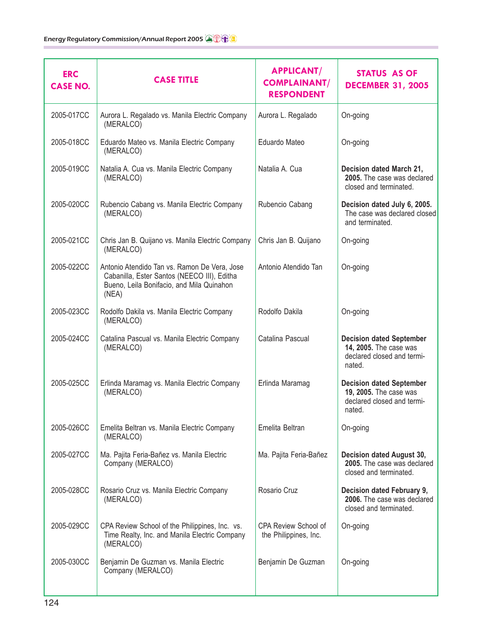| <b>ERC</b><br><b>CASE NO.</b> | <b>CASE TITLE</b>                                                                                                                                 | <b>APPLICANT/</b><br><b>COMPLAINANT/</b><br><b>RESPONDENT</b> | <b>STATUS AS OF</b><br><b>DECEMBER 31, 2005</b>                                                   |
|-------------------------------|---------------------------------------------------------------------------------------------------------------------------------------------------|---------------------------------------------------------------|---------------------------------------------------------------------------------------------------|
| 2005-017CC                    | Aurora L. Regalado vs. Manila Electric Company<br>(MERALCO)                                                                                       | Aurora L. Regalado                                            | On-going                                                                                          |
| 2005-018CC                    | Eduardo Mateo vs. Manila Electric Company<br>(MERALCO)                                                                                            | Eduardo Mateo                                                 | On-going                                                                                          |
| 2005-019CC                    | Natalia A. Cua vs. Manila Electric Company<br>(MERALCO)                                                                                           | Natalia A. Cua                                                | Decision dated March 21,<br>2005. The case was declared<br>closed and terminated.                 |
| 2005-020CC                    | Rubencio Cabang vs. Manila Electric Company<br>(MERALCO)                                                                                          | Rubencio Cabang                                               | Decision dated July 6, 2005.<br>The case was declared closed<br>and terminated.                   |
| 2005-021CC                    | Chris Jan B. Quijano vs. Manila Electric Company<br>(MERALCO)                                                                                     | Chris Jan B. Quijano                                          | On-going                                                                                          |
| 2005-022CC                    | Antonio Atendido Tan vs. Ramon De Vera, Jose<br>Cabanilla, Ester Santos (NEECO III), Editha<br>Bueno, Leila Bonifacio, and Mila Quinahon<br>(NEA) | Antonio Atendido Tan                                          | On-going                                                                                          |
| 2005-023CC                    | Rodolfo Dakila vs. Manila Electric Company<br>(MERALCO)                                                                                           | Rodolfo Dakila                                                | On-going                                                                                          |
| 2005-024CC                    | Catalina Pascual vs. Manila Electric Company<br>(MERALCO)                                                                                         | Catalina Pascual                                              | <b>Decision dated September</b><br>14, 2005. The case was<br>declared closed and termi-<br>nated. |
| 2005-025CC                    | Erlinda Maramag vs. Manila Electric Company<br>(MERALCO)                                                                                          | Erlinda Maramag                                               | <b>Decision dated September</b><br>19, 2005. The case was<br>declared closed and termi-<br>nated. |
| 2005-026CC                    | Emelita Beltran vs. Manila Electric Company<br>(MERALCO)                                                                                          | Emelita Beltran                                               | On-going                                                                                          |
| 2005-027CC                    | Ma. Pajita Feria-Bañez vs. Manila Electric<br>Company (MERALCO)                                                                                   | Ma. Pajita Feria-Bañez                                        | Decision dated August 30,<br>2005. The case was declared<br>closed and terminated.                |
| 2005-028CC                    | Rosario Cruz vs. Manila Electric Company<br>(MERALCO)                                                                                             | Rosario Cruz                                                  | Decision dated February 9,<br>2006. The case was declared<br>closed and terminated.               |
| 2005-029CC                    | CPA Review School of the Philippines, Inc. vs.<br>Time Realty, Inc. and Manila Electric Company<br>(MERALCO)                                      | CPA Review School of<br>the Philippines, Inc.                 | On-going                                                                                          |
| 2005-030CC                    | Benjamin De Guzman vs. Manila Electric<br>Company (MERALCO)                                                                                       | Benjamin De Guzman                                            | On-going                                                                                          |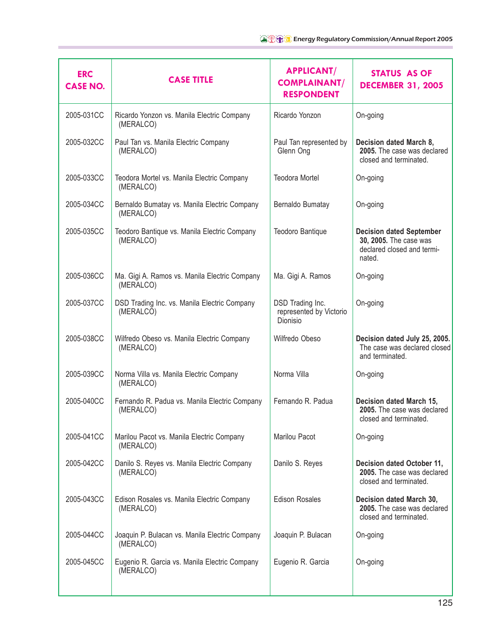| <b>ERC</b><br><b>CASE NO.</b> | <b>CASE TITLE</b>                                           | <b>APPLICANT/</b><br><b>COMPLAINANT/</b><br><b>RESPONDENT</b> | <b>STATUS AS OF</b><br><b>DECEMBER 31, 2005</b>                                                   |
|-------------------------------|-------------------------------------------------------------|---------------------------------------------------------------|---------------------------------------------------------------------------------------------------|
| 2005-031CC                    | Ricardo Yonzon vs. Manila Electric Company<br>(MERALCO)     | Ricardo Yonzon                                                | On-going                                                                                          |
| 2005-032CC                    | Paul Tan vs. Manila Electric Company<br>(MERALCO)           | Paul Tan represented by<br>Glenn Ong                          | Decision dated March 8,<br>2005. The case was declared<br>closed and terminated.                  |
| 2005-033CC                    | Teodora Mortel vs. Manila Electric Company<br>(MERALCO)     | <b>Teodora Mortel</b>                                         | On-going                                                                                          |
| 2005-034CC                    | Bernaldo Bumatay vs. Manila Electric Company<br>(MERALCO)   | Bernaldo Bumatay                                              | On-going                                                                                          |
| 2005-035CC                    | Teodoro Bantique vs. Manila Electric Company<br>(MERALCO)   | <b>Teodoro Bantique</b>                                       | <b>Decision dated September</b><br>30, 2005. The case was<br>declared closed and termi-<br>nated. |
| 2005-036CC                    | Ma. Gigi A. Ramos vs. Manila Electric Company<br>(MERALCO)  | Ma. Gigi A. Ramos                                             | On-going                                                                                          |
| 2005-037CC                    | DSD Trading Inc. vs. Manila Electric Company<br>(MERALCO)   | DSD Trading Inc.<br>represented by Victorio<br>Dionisio       | On-going                                                                                          |
| 2005-038CC                    | Wilfredo Obeso vs. Manila Electric Company<br>(MERALCO)     | Wilfredo Obeso                                                | Decision dated July 25, 2005.<br>The case was declared closed<br>and terminated.                  |
| 2005-039CC                    | Norma Villa vs. Manila Electric Company<br>(MERALCO)        | Norma Villa                                                   | On-going                                                                                          |
| 2005-040CC                    | Fernando R. Padua vs. Manila Electric Company<br>(MERALCO)  | Fernando R. Padua                                             | Decision dated March 15,<br>2005. The case was declared<br>closed and terminated.                 |
| 2005-041CC                    | Marilou Pacot vs. Manila Electric Company<br>(MERALCO)      | Marilou Pacot                                                 | On-going                                                                                          |
| 2005-042CC                    | Danilo S. Reyes vs. Manila Electric Company<br>(MERALCO)    | Danilo S. Reyes                                               | Decision dated October 11,<br>2005. The case was declared<br>closed and terminated.               |
| 2005-043CC                    | Edison Rosales vs. Manila Electric Company<br>(MERALCO)     | <b>Edison Rosales</b>                                         | Decision dated March 30,<br>2005. The case was declared<br>closed and terminated.                 |
| 2005-044CC                    | Joaquin P. Bulacan vs. Manila Electric Company<br>(MERALCO) | Joaquin P. Bulacan                                            | On-going                                                                                          |
| 2005-045CC                    | Eugenio R. Garcia vs. Manila Electric Company<br>(MERALCO)  | Eugenio R. Garcia                                             | On-going                                                                                          |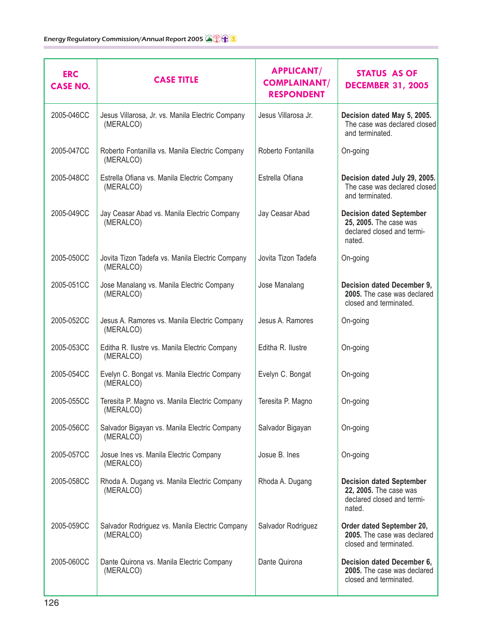| <b>ERC</b><br><b>CASE NO.</b> | <b>CASE TITLE</b>                                             | <b>APPLICANT/</b><br><b>COMPLAINANT/</b><br><b>RESPONDENT</b> | <b>STATUS AS OF</b><br><b>DECEMBER 31, 2005</b>                                                   |
|-------------------------------|---------------------------------------------------------------|---------------------------------------------------------------|---------------------------------------------------------------------------------------------------|
| 2005-046CC                    | Jesus Villarosa, Jr. vs. Manila Electric Company<br>(MERALCO) | Jesus Villarosa Jr.                                           | Decision dated May 5, 2005.<br>The case was declared closed<br>and terminated.                    |
| 2005-047CC                    | Roberto Fontanilla vs. Manila Electric Company<br>(MERALCO)   | Roberto Fontanilla                                            | On-going                                                                                          |
| 2005-048CC                    | Estrella Ofiana vs. Manila Electric Company<br>(MERALCO)      | Estrella Ofiana                                               | Decision dated July 29, 2005.<br>The case was declared closed<br>and terminated.                  |
| 2005-049CC                    | Jay Ceasar Abad vs. Manila Electric Company<br>(MERALCO)      | Jay Ceasar Abad                                               | <b>Decision dated September</b><br>25, 2005. The case was<br>declared closed and termi-<br>nated. |
| 2005-050CC                    | Jovita Tizon Tadefa vs. Manila Electric Company<br>(MERALCO)  | Jovita Tizon Tadefa                                           | On-going                                                                                          |
| 2005-051CC                    | Jose Manalang vs. Manila Electric Company<br>(MERALCO)        | Jose Manalang                                                 | Decision dated December 9,<br>2005. The case was declared<br>closed and terminated.               |
| 2005-052CC                    | Jesus A. Ramores vs. Manila Electric Company<br>(MERALCO)     | Jesus A. Ramores                                              | On-going                                                                                          |
| 2005-053CC                    | Editha R. Ilustre vs. Manila Electric Company<br>(MERALCO)    | Editha R. Ilustre                                             | On-going                                                                                          |
| 2005-054CC                    | Evelyn C. Bongat vs. Manila Electric Company<br>(MERALCO)     | Evelyn C. Bongat                                              | On-going                                                                                          |
| 2005-055CC                    | Teresita P. Magno vs. Manila Electric Company<br>(MERALCO)    | Teresita P. Magno                                             | On-going                                                                                          |
| 2005-056CC                    | Salvador Bigayan vs. Manila Electric Company<br>(MERALCO)     | Salvador Bigayan                                              | On-going                                                                                          |
| 2005-057CC                    | Josue Ines vs. Manila Electric Company<br>(MERALCO)           | Josue B. Ines                                                 | On-going                                                                                          |
| 2005-058CC                    | Rhoda A. Dugang vs. Manila Electric Company<br>(MERALCO)      | Rhoda A. Dugang                                               | <b>Decision dated September</b><br>22, 2005. The case was<br>declared closed and termi-<br>nated. |
| 2005-059CC                    | Salvador Rodriguez vs. Manila Electric Company<br>(MERALCO)   | Salvador Rodriguez                                            | Order dated September 20,<br>2005. The case was declared<br>closed and terminated.                |
| 2005-060CC                    | Dante Quirona vs. Manila Electric Company<br>(MERALCO)        | Dante Quirona                                                 | Decision dated December 6,<br>2005. The case was declared<br>closed and terminated.               |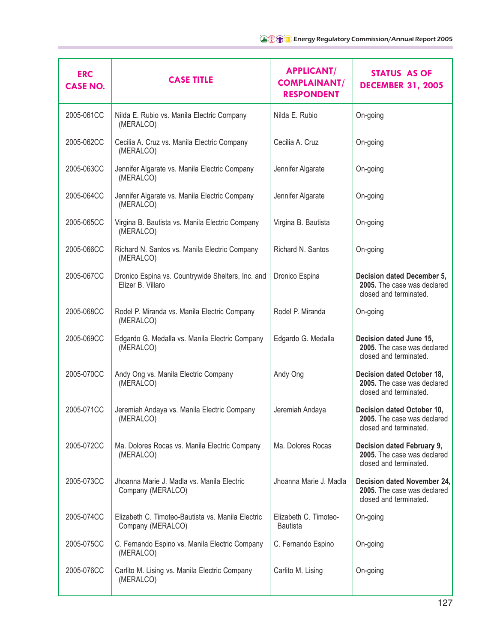| <b>ERC</b><br><b>CASE NO.</b> | <b>CASE TITLE</b>                                                      | <b>APPLICANT/</b><br><b>COMPLAINANT/</b><br><b>RESPONDENT</b> | <b>STATUS AS OF</b><br><b>DECEMBER 31, 2005</b>                                      |
|-------------------------------|------------------------------------------------------------------------|---------------------------------------------------------------|--------------------------------------------------------------------------------------|
| 2005-061CC                    | Nilda E. Rubio vs. Manila Electric Company<br>(MERALCO)                | Nilda E. Rubio                                                | On-going                                                                             |
| 2005-062CC                    | Cecilia A. Cruz vs. Manila Electric Company<br>(MERALCO)               | Cecilia A. Cruz                                               | On-going                                                                             |
| 2005-063CC                    | Jennifer Algarate vs. Manila Electric Company<br>(MERALCO)             | Jennifer Algarate                                             | On-going                                                                             |
| 2005-064CC                    | Jennifer Algarate vs. Manila Electric Company<br>(MERALCO)             | Jennifer Algarate                                             | On-going                                                                             |
| 2005-065CC                    | Virgina B. Bautista vs. Manila Electric Company<br>(MERALCO)           | Virgina B. Bautista                                           | On-going                                                                             |
| 2005-066CC                    | Richard N. Santos vs. Manila Electric Company<br>(MERALCO)             | Richard N. Santos                                             | On-going                                                                             |
| 2005-067CC                    | Dronico Espina vs. Countrywide Shelters, Inc. and<br>Elizer B. Villaro | Dronico Espina                                                | Decision dated December 5,<br>2005. The case was declared<br>closed and terminated.  |
| 2005-068CC                    | Rodel P. Miranda vs. Manila Electric Company<br>(MERALCO)              | Rodel P. Miranda                                              | On-going                                                                             |
| 2005-069CC                    | Edgardo G. Medalla vs. Manila Electric Company<br>(MERALCO)            | Edgardo G. Medalla                                            | Decision dated June 15,<br>2005. The case was declared<br>closed and terminated.     |
| 2005-070CC                    | Andy Ong vs. Manila Electric Company<br>(MERALCO)                      | Andy Ong                                                      | Decision dated October 18,<br>2005. The case was declared<br>closed and terminated.  |
| 2005-071CC                    | Jeremiah Andaya vs. Manila Electric Company<br>(MERALCO)               | Jeremiah Andaya                                               | Decision dated October 10,<br>2005. The case was declared<br>closed and terminated.  |
| 2005-072CC                    | Ma. Dolores Rocas vs. Manila Electric Company<br>(MERALCO)             | Ma. Dolores Rocas                                             | Decision dated February 9,<br>2005. The case was declared<br>closed and terminated.  |
| 2005-073CC                    | Jhoanna Marie J. Madla vs. Manila Electric<br>Company (MERALCO)        | Jhoanna Marie J. Madla                                        | Decision dated November 24,<br>2005. The case was declared<br>closed and terminated. |
| 2005-074CC                    | Elizabeth C. Timoteo-Bautista vs. Manila Electric<br>Company (MERALCO) | Elizabeth C. Timoteo-<br><b>Bautista</b>                      | On-going                                                                             |
| 2005-075CC                    | C. Fernando Espino vs. Manila Electric Company<br>(MERALCO)            | C. Fernando Espino                                            | On-going                                                                             |
| 2005-076CC                    | Carlito M. Lising vs. Manila Electric Company<br>(MERALCO)             | Carlito M. Lising                                             | On-going                                                                             |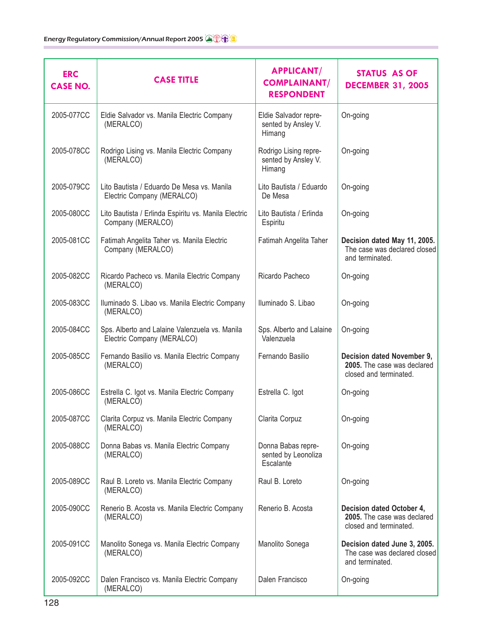| <b>ERC</b><br><b>CASE NO.</b> | <b>CASE TITLE</b>                                                            | <b>APPLICANT/</b><br><b>COMPLAINANT/</b><br><b>RESPONDENT</b> | <b>STATUS AS OF</b><br><b>DECEMBER 31, 2005</b>                                     |
|-------------------------------|------------------------------------------------------------------------------|---------------------------------------------------------------|-------------------------------------------------------------------------------------|
| 2005-077CC                    | Eldie Salvador vs. Manila Electric Company<br>(MERALCO)                      | Eldie Salvador repre-<br>sented by Ansley V.<br>Himang        | On-going                                                                            |
| 2005-078CC                    | Rodrigo Lising vs. Manila Electric Company<br>(MERALCO)                      | Rodrigo Lising repre-<br>sented by Ansley V.<br>Himang        | On-going                                                                            |
| 2005-079CC                    | Lito Bautista / Eduardo De Mesa vs. Manila<br>Electric Company (MERALCO)     | Lito Bautista / Eduardo<br>De Mesa                            | On-going                                                                            |
| 2005-080CC                    | Lito Bautista / Erlinda Espiritu vs. Manila Electric<br>Company (MERALCO)    | Lito Bautista / Erlinda<br>Espiritu                           | On-going                                                                            |
| 2005-081CC                    | Fatimah Angelita Taher vs. Manila Electric<br>Company (MERALCO)              | Fatimah Angelita Taher                                        | Decision dated May 11, 2005.<br>The case was declared closed<br>and terminated.     |
| 2005-082CC                    | Ricardo Pacheco vs. Manila Electric Company<br>(MERALCO)                     | Ricardo Pacheco                                               | On-going                                                                            |
| 2005-083CC                    | Iluminado S. Libao vs. Manila Electric Company<br>(MERALCO)                  | Iluminado S. Libao                                            | On-going                                                                            |
| 2005-084CC                    | Sps. Alberto and Lalaine Valenzuela vs. Manila<br>Electric Company (MERALCO) | Sps. Alberto and Lalaine<br>Valenzuela                        | On-going                                                                            |
| 2005-085CC                    | Fernando Basilio vs. Manila Electric Company<br>(MERALCO)                    | Fernando Basilio                                              | Decision dated November 9,<br>2005. The case was declared<br>closed and terminated. |
| 2005-086CC                    | Estrella C. Igot vs. Manila Electric Company<br>(MERALCO)                    | Estrella C. Igot                                              | On-going                                                                            |
| 2005-087CC                    | Clarita Corpuz vs. Manila Electric Company<br>(MERALCO)                      | Clarita Corpuz                                                | On-going                                                                            |
| 2005-088CC                    | Donna Babas vs. Manila Electric Company<br>(MERALCO)                         | Donna Babas repre-<br>sented by Leonoliza<br>Escalante        | On-going                                                                            |
| 2005-089CC                    | Raul B. Loreto vs. Manila Electric Company<br>(MERALCO)                      | Raul B. Loreto                                                | On-going                                                                            |
| 2005-090CC                    | Renerio B. Acosta vs. Manila Electric Company<br>(MERALCO)                   | Renerio B. Acosta                                             | Decision dated October 4,<br>2005. The case was declared<br>closed and terminated.  |
| 2005-091CC                    | Manolito Sonega vs. Manila Electric Company<br>(MERALCO)                     | Manolito Sonega                                               | Decision dated June 3, 2005.<br>The case was declared closed<br>and terminated.     |
| 2005-092CC                    | Dalen Francisco vs. Manila Electric Company<br>(MERALCO)                     | Dalen Francisco                                               | On-going                                                                            |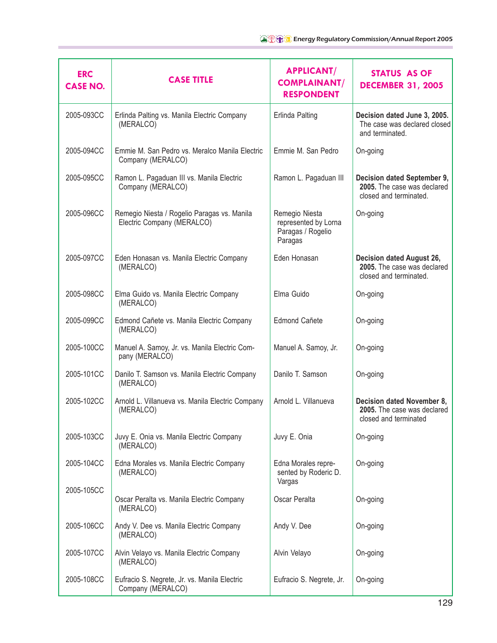| <b>ERC</b><br><b>CASE NO.</b> | <b>CASE TITLE</b>                                                         | <b>APPLICANT/</b><br><b>COMPLAINANT/</b><br><b>RESPONDENT</b>          | <b>STATUS AS OF</b><br><b>DECEMBER 31, 2005</b>                                      |
|-------------------------------|---------------------------------------------------------------------------|------------------------------------------------------------------------|--------------------------------------------------------------------------------------|
| 2005-093CC                    | Erlinda Palting vs. Manila Electric Company<br>(MERALCO)                  | Erlinda Palting                                                        | Decision dated June 3, 2005.<br>The case was declared closed<br>and terminated.      |
| 2005-094CC                    | Emmie M. San Pedro vs. Meralco Manila Electric<br>Company (MERALCO)       | Emmie M. San Pedro                                                     | On-going                                                                             |
| 2005-095CC                    | Ramon L. Pagaduan III vs. Manila Electric<br>Company (MERALCO)            | Ramon L. Pagaduan III                                                  | Decision dated September 9,<br>2005. The case was declared<br>closed and terminated. |
| 2005-096CC                    | Remegio Niesta / Rogelio Paragas vs. Manila<br>Electric Company (MERALCO) | Remegio Niesta<br>represented by Lorna<br>Paragas / Rogelio<br>Paragas | On-going                                                                             |
| 2005-097CC                    | Eden Honasan vs. Manila Electric Company<br>(MERALCO)                     | Eden Honasan                                                           | Decision dated August 26,<br>2005. The case was declared<br>closed and terminated.   |
| 2005-098CC                    | Elma Guido vs. Manila Electric Company<br>(MERALCO)                       | Elma Guido                                                             | On-going                                                                             |
| 2005-099CC                    | Edmond Cañete vs. Manila Electric Company<br>(MERALCO)                    | Edmond Cañete                                                          | On-going                                                                             |
| 2005-100CC                    | Manuel A. Samoy, Jr. vs. Manila Electric Com-<br>pany (MERALCO)           | Manuel A. Samoy, Jr.                                                   | On-going                                                                             |
| 2005-101CC                    | Danilo T. Samson vs. Manila Electric Company<br>(MERALCO)                 | Danilo T. Samson                                                       | On-going                                                                             |
| 2005-102CC                    | Arnold L. Villanueva vs. Manila Electric Company<br>(MERALCO)             | Arnold L. Villanueva                                                   | Decision dated November 8,<br>2005. The case was declared<br>closed and terminated   |
| 2005-103CC                    | Juvy E. Onia vs. Manila Electric Company<br>(MERALCO)                     | Juvy E. Onia                                                           | On-going                                                                             |
| 2005-104CC                    | Edna Morales vs. Manila Electric Company<br>(MERALCO)                     | Edna Morales repre-<br>sented by Roderic D.<br>Vargas                  | On-going                                                                             |
| 2005-105CC                    | Oscar Peralta vs. Manila Electric Company<br>(MERALCO)                    | Oscar Peralta                                                          | On-going                                                                             |
| 2005-106CC                    | Andy V. Dee vs. Manila Electric Company<br>(MERALCO)                      | Andy V. Dee                                                            | On-going                                                                             |
| 2005-107CC                    | Alvin Velayo vs. Manila Electric Company<br>(MERALCO)                     | Alvin Velayo                                                           | On-going                                                                             |
| 2005-108CC                    | Eufracio S. Negrete, Jr. vs. Manila Electric<br>Company (MERALCO)         | Eufracio S. Negrete, Jr.                                               | On-going                                                                             |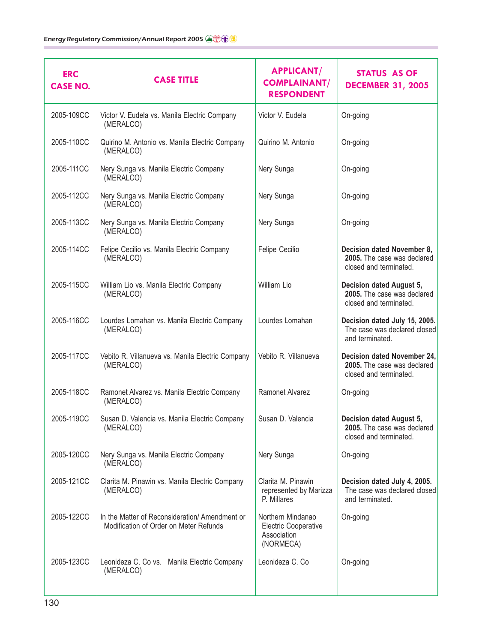| <b>ERC</b><br><b>CASE NO.</b> | <b>CASE TITLE</b>                                                                       | <b>APPLICANT/</b><br><b>COMPLAINANT/</b><br><b>RESPONDENT</b>                | STATUS AS OF<br><b>DECEMBER 31, 2005</b>                                                 |
|-------------------------------|-----------------------------------------------------------------------------------------|------------------------------------------------------------------------------|------------------------------------------------------------------------------------------|
| 2005-109CC                    | Victor V. Eudela vs. Manila Electric Company<br>(MERALCO)                               | Victor V. Eudela                                                             | On-going                                                                                 |
| 2005-110CC                    | Quirino M. Antonio vs. Manila Electric Company<br>(MERALCO)                             | Quirino M. Antonio                                                           | On-going                                                                                 |
| 2005-111CC                    | Nery Sunga vs. Manila Electric Company<br>(MERALCO)                                     | Nery Sunga                                                                   | On-going                                                                                 |
| 2005-112CC                    | Nery Sunga vs. Manila Electric Company<br>(MERALCO)                                     | Nery Sunga                                                                   | On-going                                                                                 |
| 2005-113CC                    | Nery Sunga vs. Manila Electric Company<br>(MERALCO)                                     | Nery Sunga                                                                   | On-going                                                                                 |
| 2005-114CC                    | Felipe Cecilio vs. Manila Electric Company<br>(MERALCO)                                 | Felipe Cecilio                                                               | Decision dated November 8,<br>2005. The case was declared<br>closed and terminated.      |
| 2005-115CC                    | William Lio vs. Manila Electric Company<br>(MERALCO)                                    | William Lio                                                                  | Decision dated August 5,<br>2005. The case was declared<br>closed and terminated.        |
| 2005-116CC                    | Lourdes Lomahan vs. Manila Electric Company<br>(MERALCO)                                | Lourdes Lomahan                                                              | Decision dated July 15, 2005.<br>The case was declared closed<br>and terminated.         |
| 2005-117CC                    | Vebito R. Villanueva vs. Manila Electric Company<br>(MERALCO)                           | Vebito R. Villanueva                                                         | Decision dated November 24,<br>2005. The case was declared<br>closed and terminated.     |
| 2005-118CC                    | Ramonet Alvarez vs. Manila Electric Company<br>(MERALCO)                                | Ramonet Alvarez                                                              | On-going                                                                                 |
| 2005-119CC                    | Susan D. Valencia vs. Manila Electric Company<br>(MERALCO)                              | Susan D. Valencia                                                            | <b>Decision dated August 5,</b><br>2005. The case was declared<br>closed and terminated. |
| 2005-120CC                    | Nery Sunga vs. Manila Electric Company<br>(MERALCO)                                     | Nery Sunga                                                                   | On-going                                                                                 |
| 2005-121CC                    | Clarita M. Pinawin vs. Manila Electric Company<br>(MERALCO)                             | Clarita M. Pinawin<br>represented by Marizza<br>P. Millares                  | Decision dated July 4, 2005.<br>The case was declared closed<br>and terminated.          |
| 2005-122CC                    | In the Matter of Reconsideration/Amendment or<br>Modification of Order on Meter Refunds | Northern Mindanao<br><b>Electric Cooperative</b><br>Association<br>(NORMECA) | On-going                                                                                 |
| 2005-123CC                    | Leonideza C. Co vs. Manila Electric Company<br>(MERALCO)                                | Leonideza C. Co                                                              | On-going                                                                                 |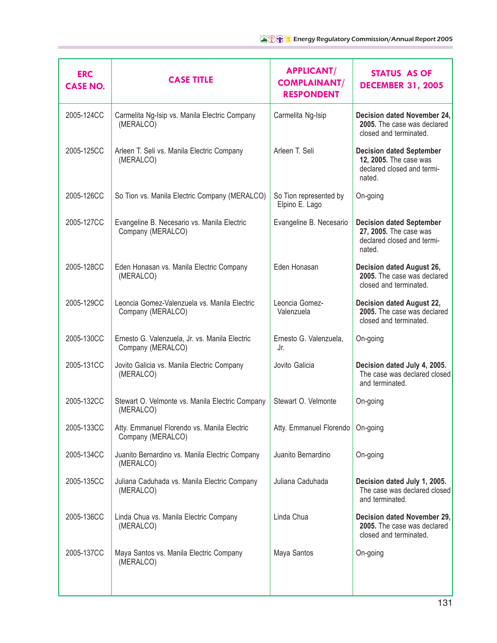| <b>ERC</b><br><b>CASE NO.</b> | <b>CASE TITLE</b>                                                   | <b>APPLICANT/</b><br><b>COMPLAINANT/</b><br><b>RESPONDENT</b> | STATUS AS OF<br><b>DECEMBER 31, 2005</b>                                                          |
|-------------------------------|---------------------------------------------------------------------|---------------------------------------------------------------|---------------------------------------------------------------------------------------------------|
| 2005-124CC                    | Carmelita Ng-Isip vs. Manila Electric Company<br>(MERALCO)          | Carmelita Ng-Isip                                             | Decision dated November 24,<br>2005. The case was declared<br>closed and terminated.              |
| 2005-125CC                    | Arleen T. Seli vs. Manila Electric Company<br>(MERALCO)             | Arleen T. Seli                                                | <b>Decision dated September</b><br>12, 2005. The case was<br>declared closed and termi-<br>nated. |
| 2005-126CC                    | So Tion vs. Manila Electric Company (MERALCO)                       | So Tion represented by<br>Elpino E. Lago                      | On-going                                                                                          |
| 2005-127CC                    | Evangeline B. Necesario vs. Manila Electric<br>Company (MERALCO)    | Evangeline B. Necesario                                       | <b>Decision dated September</b><br>27, 2005. The case was<br>declared closed and termi-<br>nated. |
| 2005-128CC                    | Eden Honasan vs. Manila Electric Company<br>(MERALCO)               | Eden Honasan                                                  | <b>Decision dated August 26,</b><br>2005. The case was declared<br>closed and terminated.         |
| 2005-129CC                    | Leoncia Gomez-Valenzuela vs. Manila Electric<br>Company (MERALCO)   | Leoncia Gomez-<br>Valenzuela                                  | <b>Decision dated August 22,</b><br>2005. The case was declared<br>closed and terminated.         |
| 2005-130CC                    | Ernesto G. Valenzuela, Jr. vs. Manila Electric<br>Company (MERALCO) | Ernesto G. Valenzuela,<br>Jr.                                 | On-going                                                                                          |
| 2005-131CC                    | Jovito Galicia vs. Manila Electric Company<br>(MERALCO)             | Jovito Galicia                                                | Decision dated July 4, 2005.<br>The case was declared closed<br>and terminated.                   |
| 2005-132CC                    | Stewart O. Velmonte vs. Manila Electric Company<br>(MERALCO)        | Stewart O. Velmonte                                           | On-going                                                                                          |
| 2005-133CC                    | Atty. Emmanuel Florendo vs. Manila Electric<br>Company (MERALCO)    | Atty. Emmanuel Florendo                                       | On-going                                                                                          |
| 2005-134CC                    | Juanito Bernardino vs. Manila Electric Company<br>(MERALCO)         | Juanito Bernardino                                            | On-going                                                                                          |
| 2005-135CC                    | Juliana Caduhada vs. Manila Electric Company<br>(MERALCO)           | Juliana Caduhada                                              | Decision dated July 1, 2005.<br>The case was declared closed<br>and terminated.                   |
| 2005-136CC                    | Linda Chua vs. Manila Electric Company<br>(MERALCO)                 | Linda Chua                                                    | Decision dated November 29,<br>2005. The case was declared<br>closed and terminated.              |
| 2005-137CC                    | Maya Santos vs. Manila Electric Company<br>(MERALCO)                | Maya Santos                                                   | On-going                                                                                          |
|                               |                                                                     |                                                               |                                                                                                   |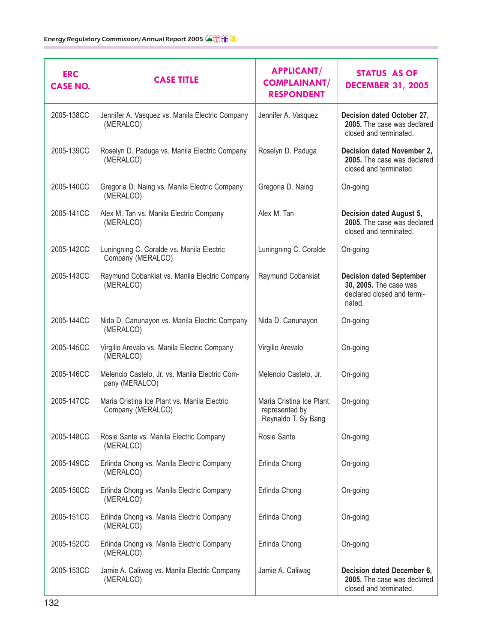| <b>ERC</b><br><b>CASE NO.</b> | <b>CASE TITLE</b>                                                 | <b>APPLICANT/</b><br><b>COMPLAINANT/</b><br><b>RESPONDENT</b>     | <b>STATUS AS OF</b><br><b>DECEMBER 31, 2005</b>                                                   |
|-------------------------------|-------------------------------------------------------------------|-------------------------------------------------------------------|---------------------------------------------------------------------------------------------------|
| 2005-138CC                    | Jennifer A. Vasquez vs. Manila Electric Company<br>(MERALCO)      | Jennifer A. Vasquez                                               | Decision dated October 27,<br>2005. The case was declared<br>closed and terminated.               |
| 2005-139CC                    | Roselyn D. Paduga vs. Manila Electric Company<br>(MERALCO)        | Roselyn D. Paduga                                                 | Decision dated November 2,<br>2005. The case was declared<br>closed and terminated.               |
| 2005-140CC                    | Gregoria D. Naing vs. Manila Electric Company<br>(MERALCO)        | Gregoria D. Naing                                                 | On-going                                                                                          |
| 2005-141CC                    | Alex M. Tan vs. Manila Electric Company<br>(MERALCO)              | Alex M. Tan                                                       | Decision dated August 5,<br>2005. The case was declared<br>closed and terminated.                 |
| 2005-142CC                    | Luningning C. Coralde vs. Manila Electric<br>Company (MERALCO)    | Luningning C. Coralde                                             | On-going                                                                                          |
| 2005-143CC                    | Raymund Cobankiat vs. Manila Electric Company<br>(MERALCO)        | Raymund Cobankiat                                                 | <b>Decision dated September</b><br>30, 2005. The case was<br>declared closed and termi-<br>nated. |
| 2005-144CC                    | Nida D. Canunayon vs. Manila Electric Company<br>(MERALCO)        | Nida D. Canunayon                                                 | On-going                                                                                          |
| 2005-145CC                    | Virgilio Arevalo vs. Manila Electric Company<br>(MERALCO)         | Virgilio Arevalo                                                  | On-going                                                                                          |
| 2005-146CC                    | Melencio Castelo, Jr. vs. Manila Electric Com-<br>pany (MERALCO)  | Melencio Castelo, Jr.                                             | On-going                                                                                          |
| 2005-147CC                    | Maria Cristina Ice Plant vs. Manila Electric<br>Company (MERALCO) | Maria Cristina Ice Plant<br>represented by<br>Reynaldo T. Sy Bang | On-going                                                                                          |
| 2005-148CC                    | Rosie Sante vs. Manila Electric Company<br>(MERALCO)              | Rosie Sante                                                       | On-going                                                                                          |
| 2005-149CC                    | Erlinda Chong vs. Manila Electric Company<br>(MERALCO)            | Erlinda Chong                                                     | On-going                                                                                          |
| 2005-150CC                    | Erlinda Chong vs. Manila Electric Company<br>(MERALCO)            | Erlinda Chong                                                     | On-going                                                                                          |
| 2005-151CC                    | Erlinda Chong vs. Manila Electric Company<br>(MERALCO)            | Erlinda Chong                                                     | On-going                                                                                          |
| 2005-152CC                    | Erlinda Chong vs. Manila Electric Company<br>(MERALCO)            | Erlinda Chong                                                     | On-going                                                                                          |
| 2005-153CC                    | Jamie A. Caliwag vs. Manila Electric Company<br>(MERALCO)         | Jamie A. Caliwag                                                  | Decision dated December 6,<br>2005. The case was declared<br>closed and terminated.               |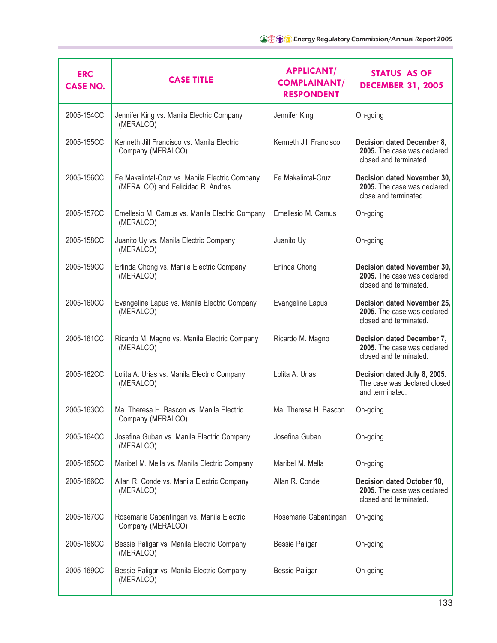| <b>ERC</b><br><b>CASE NO.</b> | <b>CASE TITLE</b>                                                                   | <b>APPLICANT/</b><br><b>COMPLAINANT/</b><br><b>RESPONDENT</b> | <b>STATUS AS OF</b><br><b>DECEMBER 31, 2005</b>                                      |
|-------------------------------|-------------------------------------------------------------------------------------|---------------------------------------------------------------|--------------------------------------------------------------------------------------|
| 2005-154CC                    | Jennifer King vs. Manila Electric Company<br>(MERALCO)                              | Jennifer King                                                 | On-going                                                                             |
| 2005-155CC                    | Kenneth Jill Francisco vs. Manila Electric<br>Company (MERALCO)                     | Kenneth Jill Francisco                                        | Decision dated December 8,<br>2005. The case was declared<br>closed and terminated.  |
| 2005-156CC                    | Fe Makalintal-Cruz vs. Manila Electric Company<br>(MERALCO) and Felicidad R. Andres | Fe Makalintal-Cruz                                            | Decision dated November 30,<br>2005. The case was declared<br>close and terminated.  |
| 2005-157CC                    | Emellesio M. Camus vs. Manila Electric Company<br>(MERALCO)                         | Emellesio M. Camus                                            | On-going                                                                             |
| 2005-158CC                    | Juanito Uy vs. Manila Electric Company<br>(MERALCO)                                 | Juanito Uy                                                    | On-going                                                                             |
| 2005-159CC                    | Erlinda Chong vs. Manila Electric Company<br>(MERALCO)                              | Erlinda Chong                                                 | Decision dated November 30,<br>2005. The case was declared<br>closed and terminated. |
| 2005-160CC                    | Evangeline Lapus vs. Manila Electric Company<br>(MERALCO)                           | Evangeline Lapus                                              | Decision dated November 25,<br>2005. The case was declared<br>closed and terminated. |
| 2005-161CC                    | Ricardo M. Magno vs. Manila Electric Company<br>(MERALCO)                           | Ricardo M. Magno                                              | Decision dated December 7,<br>2005. The case was declared<br>closed and terminated.  |
| 2005-162CC                    | Lolita A. Urias vs. Manila Electric Company<br>(MERALCO)                            | Lolita A. Urias                                               | Decision dated July 8, 2005.<br>The case was declared closed<br>and terminated.      |
| 2005-163CC                    | Ma. Theresa H. Bascon vs. Manila Electric<br>Company (MERALCO)                      | Ma. Theresa H. Bascon                                         | On-going                                                                             |
| 2005-164CC                    | Josefina Guban vs. Manila Electric Company<br>(MERALCO)                             | Josefina Guban                                                | On-going                                                                             |
| 2005-165CC                    | Maribel M. Mella vs. Manila Electric Company                                        | Maribel M. Mella                                              | On-going                                                                             |
| 2005-166CC                    | Allan R. Conde vs. Manila Electric Company<br>(MERALCO)                             | Allan R. Conde                                                | Decision dated October 10,<br>2005. The case was declared<br>closed and terminated.  |
| 2005-167CC                    | Rosemarie Cabantingan vs. Manila Electric<br>Company (MERALCO)                      | Rosemarie Cabantingan                                         | On-going                                                                             |
| 2005-168CC                    | Bessie Paligar vs. Manila Electric Company<br>(MERALCO)                             | <b>Bessie Paligar</b>                                         | On-going                                                                             |
| 2005-169CC                    | Bessie Paligar vs. Manila Electric Company<br>(MERALCO)                             | <b>Bessie Paligar</b>                                         | On-going                                                                             |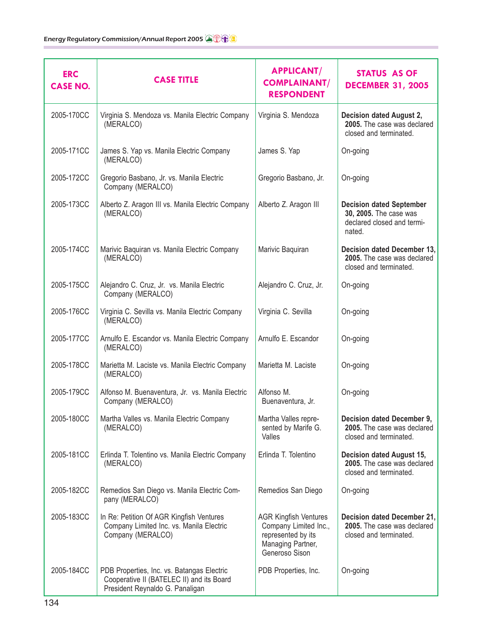| <b>ERC</b><br><b>CASE NO.</b> | <b>CASE TITLE</b>                                                                                                          | <b>APPLICANT/</b><br><b>COMPLAINANT/</b><br><b>RESPONDENT</b>                                                      | STATUS AS OF<br><b>DECEMBER 31, 2005</b>                                                          |
|-------------------------------|----------------------------------------------------------------------------------------------------------------------------|--------------------------------------------------------------------------------------------------------------------|---------------------------------------------------------------------------------------------------|
| 2005-170CC                    | Virginia S. Mendoza vs. Manila Electric Company<br>(MERALCO)                                                               | Virginia S. Mendoza                                                                                                | Decision dated August 2,<br>2005. The case was declared<br>closed and terminated.                 |
| 2005-171CC                    | James S. Yap vs. Manila Electric Company<br>(MERALCO)                                                                      | James S. Yap                                                                                                       | On-going                                                                                          |
| 2005-172CC                    | Gregorio Basbano, Jr. vs. Manila Electric<br>Company (MERALCO)                                                             | Gregorio Basbano, Jr.                                                                                              | On-going                                                                                          |
| 2005-173CC                    | Alberto Z. Aragon III vs. Manila Electric Company<br>(MERALCO)                                                             | Alberto Z. Aragon III                                                                                              | <b>Decision dated September</b><br>30, 2005. The case was<br>declared closed and termi-<br>nated. |
| 2005-174CC                    | Marivic Baquiran vs. Manila Electric Company<br>(MERALCO)                                                                  | Marivic Baquiran                                                                                                   | Decision dated December 13,<br>2005. The case was declared<br>closed and terminated.              |
| 2005-175CC                    | Alejandro C. Cruz, Jr. vs. Manila Electric<br>Company (MERALCO)                                                            | Alejandro C. Cruz, Jr.                                                                                             | On-going                                                                                          |
| 2005-176CC                    | Virginia C. Sevilla vs. Manila Electric Company<br>(MERALCO)                                                               | Virginia C. Sevilla                                                                                                | On-going                                                                                          |
| 2005-177CC                    | Arnulfo E. Escandor vs. Manila Electric Company<br>(MERALCO)                                                               | Arnulfo E. Escandor                                                                                                | On-going                                                                                          |
| 2005-178CC                    | Marietta M. Laciste vs. Manila Electric Company<br>(MERALCO)                                                               | Marietta M. Laciste                                                                                                | On-going                                                                                          |
| 2005-179CC                    | Alfonso M. Buenaventura, Jr. vs. Manila Electric<br>Company (MERALCO)                                                      | Alfonso M.<br>Buenaventura, Jr.                                                                                    | On-going                                                                                          |
| 2005-180CC                    | Martha Valles vs. Manila Electric Company<br>(MERALCO)                                                                     | Martha Valles repre-<br>sented by Marife G.<br>Valles                                                              | Decision dated December 9,<br>2005. The case was declared<br>closed and terminated.               |
| 2005-181CC                    | Erlinda T. Tolentino vs. Manila Electric Company<br>(MERALCO)                                                              | Erlinda T. Tolentino                                                                                               | Decision dated August 15,<br>2005. The case was declared<br>closed and terminated.                |
| 2005-182CC                    | Remedios San Diego vs. Manila Electric Com-<br>pany (MERALCO)                                                              | Remedios San Diego                                                                                                 | On-going                                                                                          |
| 2005-183CC                    | In Re: Petition Of AGR Kingfish Ventures<br>Company Limited Inc. vs. Manila Electric<br>Company (MERALCO)                  | <b>AGR Kingfish Ventures</b><br>Company Limited Inc.,<br>represented by its<br>Managing Partner,<br>Generoso Sison | Decision dated December 21,<br>2005. The case was declared<br>closed and terminated.              |
| 2005-184CC                    | PDB Properties, Inc. vs. Batangas Electric<br>Cooperative II (BATELEC II) and its Board<br>President Reynaldo G. Panaligan | PDB Properties, Inc.                                                                                               | On-going                                                                                          |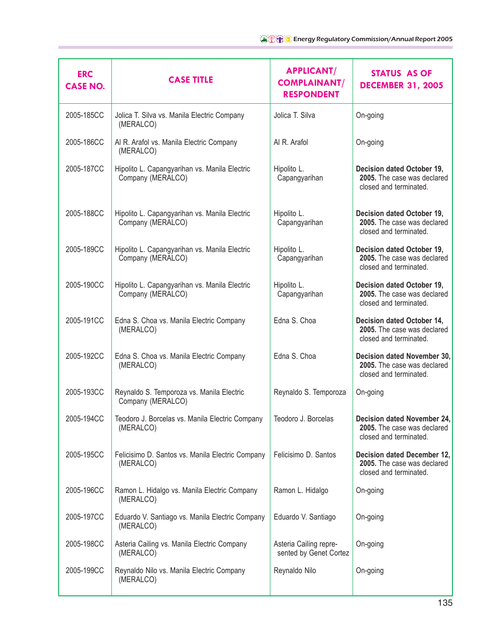| <b>ERC</b><br><b>CASE NO.</b> | <b>CASE TITLE</b>                                                  | <b>APPLICANT/</b><br><b>COMPLAINANT/</b><br><b>RESPONDENT</b> | <b>STATUS AS OF</b><br><b>DECEMBER 31, 2005</b>                                      |
|-------------------------------|--------------------------------------------------------------------|---------------------------------------------------------------|--------------------------------------------------------------------------------------|
| 2005-185CC                    | Jolica T. Silva vs. Manila Electric Company<br>(MERALCO)           | Jolica T. Silva                                               | On-going                                                                             |
| 2005-186CC                    | Al R. Arafol vs. Manila Electric Company<br>(MERALCO)              | Al R. Arafol                                                  | On-going                                                                             |
| 2005-187CC                    | Hipolito L. Capangyarihan vs. Manila Electric<br>Company (MERALCO) | Hipolito L.<br>Capangyarihan                                  | Decision dated October 19,<br>2005. The case was declared<br>closed and terminated.  |
| 2005-188CC                    | Hipolito L. Capangyarihan vs. Manila Electric<br>Company (MERALCO) | Hipolito L.<br>Capangyarihan                                  | Decision dated October 19,<br>2005. The case was declared<br>closed and terminated.  |
| 2005-189CC                    | Hipolito L. Capangyarihan vs. Manila Electric<br>Company (MERALCO) | Hipolito L.<br>Capangyarihan                                  | Decision dated October 19,<br>2005. The case was declared<br>closed and terminated.  |
| 2005-190CC                    | Hipolito L. Capangyarihan vs. Manila Electric<br>Company (MERALCO) | Hipolito L.<br>Capangyarihan                                  | Decision dated October 19,<br>2005. The case was declared<br>closed and terminated.  |
| 2005-191CC                    | Edna S. Choa vs. Manila Electric Company<br>(MERALCO)              | Edna S. Choa                                                  | Decision dated October 14,<br>2005. The case was declared<br>closed and terminated.  |
| 2005-192CC                    | Edna S. Choa vs. Manila Electric Company<br>(MERALCO)              | Edna S. Choa                                                  | Decision dated November 30,<br>2005. The case was declared<br>closed and terminated. |
| 2005-193CC                    | Reynaldo S. Temporoza vs. Manila Electric<br>Company (MERALCO)     | Reynaldo S. Temporoza                                         | On-going                                                                             |
| 2005-194CC                    | Teodoro J. Borcelas vs. Manila Electric Company<br>(MERALCO)       | Teodoro J. Borcelas                                           | Decision dated November 24,<br>2005. The case was declared<br>closed and terminated. |
| 2005-195CC                    | Felicisimo D. Santos vs. Manila Electric Company<br>(MERALCO)      | Felicisimo D. Santos                                          | Decision dated December 12,<br>2005. The case was declared<br>closed and terminated. |
| 2005-196CC                    | Ramon L. Hidalgo vs. Manila Electric Company<br>(MERALCO)          | Ramon L. Hidalgo                                              | On-going                                                                             |
| 2005-197CC                    | Eduardo V. Santiago vs. Manila Electric Company<br>(MERALCO)       | Eduardo V. Santiago                                           | On-going                                                                             |
| 2005-198CC                    | Asteria Cailing vs. Manila Electric Company<br>(MERALCO)           | Asteria Cailing repre-<br>sented by Genet Cortez              | On-going                                                                             |
| 2005-199CC                    | Reynaldo Nilo vs. Manila Electric Company<br>(MERALCO)             | Reynaldo Nilo                                                 | On-going                                                                             |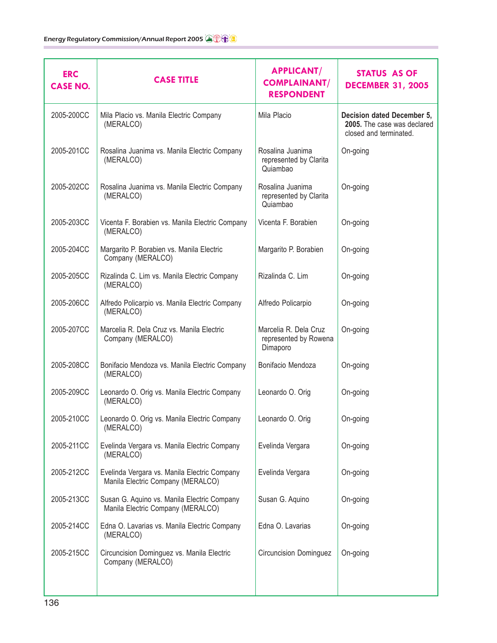| <b>ERC</b><br><b>CASE NO.</b> | <b>CASE TITLE</b>                                                                 | <b>APPLICANT/</b><br><b>COMPLAINANT/</b><br><b>RESPONDENT</b> | <b>STATUS AS OF</b><br><b>DECEMBER 31, 2005</b>                                     |
|-------------------------------|-----------------------------------------------------------------------------------|---------------------------------------------------------------|-------------------------------------------------------------------------------------|
| 2005-200CC                    | Mila Placio vs. Manila Electric Company<br>(MERALCO)                              | Mila Placio                                                   | Decision dated December 5,<br>2005. The case was declared<br>closed and terminated. |
| 2005-201CC                    | Rosalina Juanima vs. Manila Electric Company<br>(MERALCO)                         | Rosalina Juanima<br>represented by Clarita<br>Quiambao        | On-going                                                                            |
| 2005-202CC                    | Rosalina Juanima vs. Manila Electric Company<br>(MERALCO)                         | Rosalina Juanima<br>represented by Clarita<br>Quiambao        | On-going                                                                            |
| 2005-203CC                    | Vicenta F. Borabien vs. Manila Electric Company<br>(MERALCO)                      | Vicenta F. Borabien                                           | On-going                                                                            |
| 2005-204CC                    | Margarito P. Borabien vs. Manila Electric<br>Company (MERALCO)                    | Margarito P. Borabien                                         | On-going                                                                            |
| 2005-205CC                    | Rizalinda C. Lim vs. Manila Electric Company<br>(MERALCO)                         | Rizalinda C. Lim                                              | On-going                                                                            |
| 2005-206CC                    | Alfredo Policarpio vs. Manila Electric Company<br>(MERALCO)                       | Alfredo Policarpio                                            | On-going                                                                            |
| 2005-207CC                    | Marcelia R. Dela Cruz vs. Manila Electric<br>Company (MERALCO)                    | Marcelia R. Dela Cruz<br>represented by Rowena<br>Dimaporo    | On-going                                                                            |
| 2005-208CC                    | Bonifacio Mendoza vs. Manila Electric Company<br>(MERALCO)                        | Bonifacio Mendoza                                             | On-going                                                                            |
| 2005-209CC                    | Leonardo O. Orig vs. Manila Electric Company<br>(MERALCO)                         | Leonardo O. Orig                                              | On-going                                                                            |
| 2005-210CC                    | Leonardo O. Orig vs. Manila Electric Company<br>(MERALCO)                         | Leonardo O. Orig                                              | On-going                                                                            |
| 2005-211CC                    | Evelinda Vergara vs. Manila Electric Company<br>(MERALCO)                         | Evelinda Vergara                                              | On-going                                                                            |
| 2005-212CC                    | Evelinda Vergara vs. Manila Electric Company<br>Manila Electric Company (MERALCO) | Evelinda Vergara                                              | On-going                                                                            |
| 2005-213CC                    | Susan G. Aquino vs. Manila Electric Company<br>Manila Electric Company (MERALCO)  | Susan G. Aquino                                               | On-going                                                                            |
| 2005-214CC                    | Edna O. Lavarias vs. Manila Electric Company<br>(MERALCO)                         | Edna O. Lavarias                                              | On-going                                                                            |
| 2005-215CC                    | Circuncision Dominguez vs. Manila Electric<br>Company (MERALCO)                   | <b>Circuncision Dominguez</b>                                 | On-going                                                                            |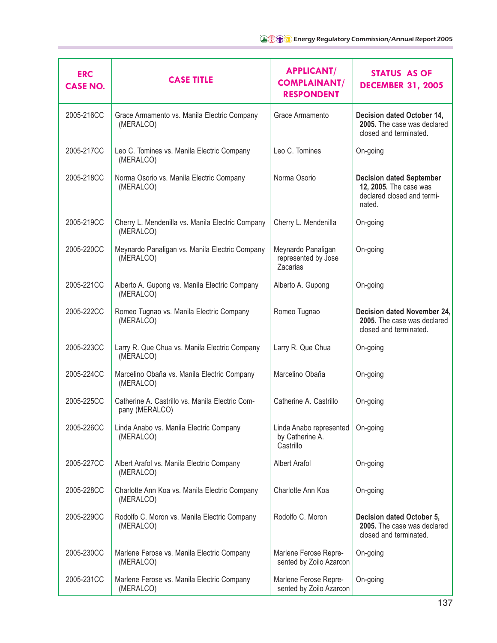| <b>ERC</b><br><b>CASE NO.</b> | <b>CASE TITLE</b>                                                 | <b>APPLICANT/</b><br><b>COMPLAINANT/</b><br><b>RESPONDENT</b> | STATUS AS OF<br><b>DECEMBER 31, 2005</b>                                                          |
|-------------------------------|-------------------------------------------------------------------|---------------------------------------------------------------|---------------------------------------------------------------------------------------------------|
| 2005-216CC                    | Grace Armamento vs. Manila Electric Company<br>(MERALCO)          | Grace Armamento                                               | Decision dated October 14,<br>2005. The case was declared<br>closed and terminated.               |
| 2005-217CC                    | Leo C. Tomines vs. Manila Electric Company<br>(MERALCO)           | Leo C. Tomines                                                | On-going                                                                                          |
| 2005-218CC                    | Norma Osorio vs. Manila Electric Company<br>(MERALCO)             | Norma Osorio                                                  | <b>Decision dated September</b><br>12, 2005. The case was<br>declared closed and termi-<br>nated. |
| 2005-219CC                    | Cherry L. Mendenilla vs. Manila Electric Company<br>(MERALCO)     | Cherry L. Mendenilla                                          | On-going                                                                                          |
| 2005-220CC                    | Meynardo Panaligan vs. Manila Electric Company<br>(MERALCO)       | Meynardo Panaligan<br>represented by Jose<br>Zacarias         | On-going                                                                                          |
| 2005-221CC                    | Alberto A. Gupong vs. Manila Electric Company<br>(MERALCO)        | Alberto A. Gupong                                             | On-going                                                                                          |
| 2005-222CC                    | Romeo Tugnao vs. Manila Electric Company<br>(MERALCO)             | Romeo Tugnao                                                  | Decision dated November 24,<br>2005. The case was declared<br>closed and terminated.              |
| 2005-223CC                    | Larry R. Que Chua vs. Manila Electric Company<br>(MERALCO)        | Larry R. Que Chua                                             | On-going                                                                                          |
| 2005-224CC                    | Marcelino Obaña vs. Manila Electric Company<br>(MERALCO)          | Marcelino Obaña                                               | On-going                                                                                          |
| 2005-225CC                    | Catherine A. Castrillo vs. Manila Electric Com-<br>pany (MERALCO) | Catherine A. Castrillo                                        | On-going                                                                                          |
| 2005-226CC                    | Linda Anabo vs. Manila Electric Company<br>(MERALCO)              | Linda Anabo represented<br>by Catherine A.<br>Castrillo       | On-going                                                                                          |
| 2005-227CC                    | Albert Arafol vs. Manila Electric Company<br>(MERALCO)            | <b>Albert Arafol</b>                                          | On-going                                                                                          |
| 2005-228CC                    | Charlotte Ann Koa vs. Manila Electric Company<br>(MERALCO)        | Charlotte Ann Koa                                             | On-going                                                                                          |
| 2005-229CC                    | Rodolfo C. Moron vs. Manila Electric Company<br>(MERALCO)         | Rodolfo C. Moron                                              | Decision dated October 5,<br>2005. The case was declared<br>closed and terminated.                |
| 2005-230CC                    | Marlene Ferose vs. Manila Electric Company<br>(MERALCO)           | Marlene Ferose Repre-<br>sented by Zoilo Azarcon              | On-going                                                                                          |
| 2005-231CC                    | Marlene Ferose vs. Manila Electric Company<br>(MERALCO)           | Marlene Ferose Repre-<br>sented by Zoilo Azarcon              | On-going                                                                                          |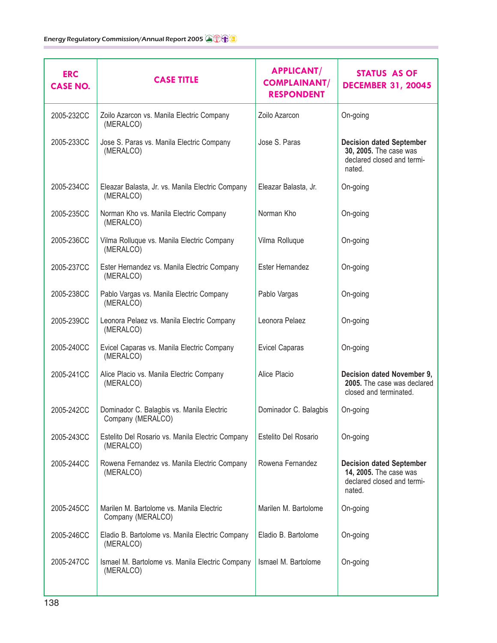| <b>ERC</b><br><b>CASE NO.</b> | <b>CASE TITLE</b>                                              | <b>APPLICANT/</b><br><b>COMPLAINANT/</b><br><b>RESPONDENT</b> | <b>STATUS AS OF</b><br><b>DECEMBER 31, 20045</b>                                                  |
|-------------------------------|----------------------------------------------------------------|---------------------------------------------------------------|---------------------------------------------------------------------------------------------------|
| 2005-232CC                    | Zoilo Azarcon vs. Manila Electric Company<br>(MERALCO)         | Zoilo Azarcon                                                 | On-going                                                                                          |
| 2005-233CC                    | Jose S. Paras vs. Manila Electric Company<br>(MERALCO)         | Jose S. Paras                                                 | <b>Decision dated September</b><br>30, 2005. The case was<br>declared closed and termi-<br>nated. |
| 2005-234CC                    | Eleazar Balasta, Jr. vs. Manila Electric Company<br>(MERALCO)  | Eleazar Balasta, Jr.                                          | On-going                                                                                          |
| 2005-235CC                    | Norman Kho vs. Manila Electric Company<br>(MERALCO)            | Norman Kho                                                    | On-going                                                                                          |
| 2005-236CC                    | Vilma Rolluque vs. Manila Electric Company<br>(MERALCO)        | Vilma Rolluque                                                | On-going                                                                                          |
| 2005-237CC                    | Ester Hernandez vs. Manila Electric Company<br>(MERALCO)       | Ester Hernandez                                               | On-going                                                                                          |
| 2005-238CC                    | Pablo Vargas vs. Manila Electric Company<br>(MERALCO)          | Pablo Vargas                                                  | On-going                                                                                          |
| 2005-239CC                    | Leonora Pelaez vs. Manila Electric Company<br>(MERALCO)        | Leonora Pelaez                                                | On-going                                                                                          |
| 2005-240CC                    | Evicel Caparas vs. Manila Electric Company<br>(MERALCO)        | <b>Evicel Caparas</b>                                         | On-going                                                                                          |
| 2005-241CC                    | Alice Placio vs. Manila Electric Company<br>(MERALCO)          | Alice Placio                                                  | Decision dated November 9,<br>2005. The case was declared<br>closed and terminated.               |
| 2005-242CC                    | Dominador C. Balagbis vs. Manila Electric<br>Company (MERALCO) | Dominador C. Balagbis                                         | On-going                                                                                          |
| 2005-243CC                    | Estelito Del Rosario vs. Manila Electric Company<br>(MERALCO)  | Estelito Del Rosario                                          | On-going                                                                                          |
| 2005-244CC                    | Rowena Fernandez vs. Manila Electric Company<br>(MERALCO)      | Rowena Fernandez                                              | <b>Decision dated September</b><br>14, 2005. The case was<br>declared closed and termi-<br>nated. |
| 2005-245CC                    | Marilen M. Bartolome vs. Manila Electric<br>Company (MERALCO)  | Marilen M. Bartolome                                          | On-going                                                                                          |
| 2005-246CC                    | Eladio B. Bartolome vs. Manila Electric Company<br>(MERALCO)   | Eladio B. Bartolome                                           | On-going                                                                                          |
| 2005-247CC                    | Ismael M. Bartolome vs. Manila Electric Company<br>(MERALCO)   | Ismael M. Bartolome                                           | On-going                                                                                          |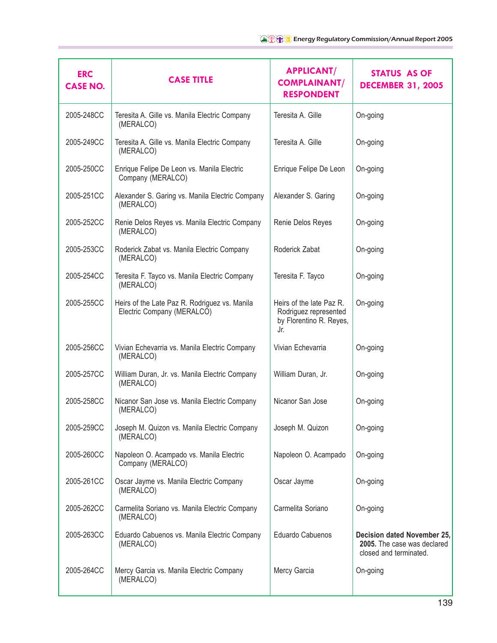| <b>ERC</b><br><b>CASE NO.</b> | <b>CASE TITLE</b>                                                           | <b>APPLICANT/</b><br><b>COMPLAINANT/</b><br><b>RESPONDENT</b>                       | STATUS AS OF<br><b>DECEMBER 31, 2005</b>                                             |
|-------------------------------|-----------------------------------------------------------------------------|-------------------------------------------------------------------------------------|--------------------------------------------------------------------------------------|
| 2005-248CC                    | Teresita A. Gille vs. Manila Electric Company<br>(MERALCO)                  | Teresita A. Gille                                                                   | On-going                                                                             |
| 2005-249CC                    | Teresita A. Gille vs. Manila Electric Company<br>(MERALCO)                  | Teresita A. Gille                                                                   | On-going                                                                             |
| 2005-250CC                    | Enrique Felipe De Leon vs. Manila Electric<br>Company (MERALCO)             | Enrique Felipe De Leon                                                              | On-going                                                                             |
| 2005-251CC                    | Alexander S. Garing vs. Manila Electric Company<br>(MERALCO)                | Alexander S. Garing                                                                 | On-going                                                                             |
| 2005-252CC                    | Renie Delos Reyes vs. Manila Electric Company<br>(MERALCO)                  | Renie Delos Reyes                                                                   | On-going                                                                             |
| 2005-253CC                    | Roderick Zabat vs. Manila Electric Company<br>(MERALCO)                     | Roderick Zabat                                                                      | On-going                                                                             |
| 2005-254CC                    | Teresita F. Tayco vs. Manila Electric Company<br>(MERALCO)                  | Teresita F. Tayco                                                                   | On-going                                                                             |
| 2005-255CC                    | Heirs of the Late Paz R. Rodriguez vs. Manila<br>Electric Company (MERALCO) | Heirs of the late Paz R.<br>Rodriguez represented<br>by Florentino R. Reyes,<br>Jr. | On-going                                                                             |
| 2005-256CC                    | Vivian Echevarria vs. Manila Electric Company<br>(MERALCO)                  | Vivian Echevarria                                                                   | On-going                                                                             |
| 2005-257CC                    | William Duran, Jr. vs. Manila Electric Company<br>(MERALCO)                 | William Duran, Jr.                                                                  | On-going                                                                             |
| 2005-258CC                    | Nicanor San Jose vs. Manila Electric Company<br>(MERALCO)                   | Nicanor San Jose                                                                    | On-going                                                                             |
| 2005-259CC                    | Joseph M. Quizon vs. Manila Electric Company<br>(MERALCO)                   | Joseph M. Quizon                                                                    | On-going                                                                             |
| 2005-260CC                    | Napoleon O. Acampado vs. Manila Electric<br>Company (MERALCO)               | Napoleon O. Acampado                                                                | On-going                                                                             |
| 2005-261CC                    | Oscar Jayme vs. Manila Electric Company<br>(MERALCO)                        | Oscar Jayme                                                                         | On-going                                                                             |
| 2005-262CC                    | Carmelita Soriano vs. Manila Electric Company<br>(MERALCO)                  | Carmelita Soriano                                                                   | On-going                                                                             |
| 2005-263CC                    | Eduardo Cabuenos vs. Manila Electric Company<br>(MERALCO)                   | Eduardo Cabuenos                                                                    | Decision dated November 25,<br>2005. The case was declared<br>closed and terminated. |
| 2005-264CC                    | Mercy Garcia vs. Manila Electric Company<br>(MERALCO)                       | Mercy Garcia                                                                        | On-going                                                                             |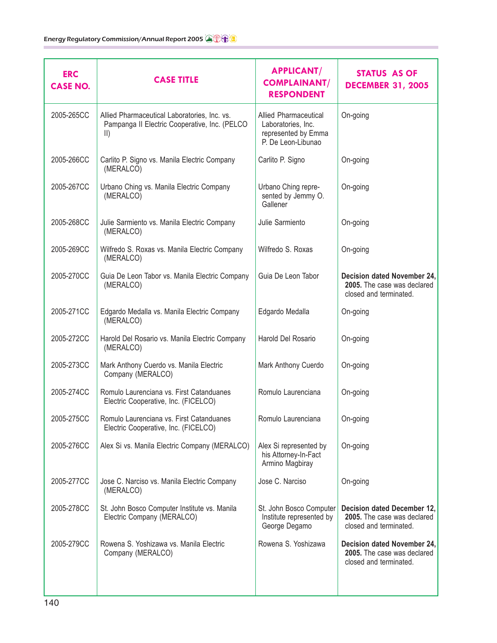| <b>ERC</b><br><b>CASE NO.</b> | <b>CASE TITLE</b>                                                                                            | <b>APPLICANT/</b><br><b>COMPLAINANT/</b><br><b>RESPONDENT</b>                                   | STATUS AS OF<br><b>DECEMBER 31, 2005</b>                                             |
|-------------------------------|--------------------------------------------------------------------------------------------------------------|-------------------------------------------------------------------------------------------------|--------------------------------------------------------------------------------------|
| 2005-265CC                    | Allied Pharmaceutical Laboratories, Inc. vs.<br>Pampanga II Electric Cooperative, Inc. (PELCO<br>$\parallel$ | <b>Allied Pharmaceutical</b><br>Laboratories, Inc.<br>represented by Emma<br>P. De Leon-Libunao | On-going                                                                             |
| 2005-266CC                    | Carlito P. Signo vs. Manila Electric Company<br>(MERALCO)                                                    | Carlito P. Signo                                                                                | On-going                                                                             |
| 2005-267CC                    | Urbano Ching vs. Manila Electric Company<br>(MERALCO)                                                        | Urbano Ching repre-<br>sented by Jemmy O.<br>Gallener                                           | On-going                                                                             |
| 2005-268CC                    | Julie Sarmiento vs. Manila Electric Company<br>(MERALCO)                                                     | Julie Sarmiento                                                                                 | On-going                                                                             |
| 2005-269CC                    | Wilfredo S. Roxas vs. Manila Electric Company<br>(MERALCO)                                                   | Wilfredo S. Roxas                                                                               | On-going                                                                             |
| 2005-270CC                    | Guia De Leon Tabor vs. Manila Electric Company<br>(MERALCO)                                                  | Guia De Leon Tabor                                                                              | Decision dated November 24,<br>2005. The case was declared<br>closed and terminated. |
| 2005-271CC                    | Edgardo Medalla vs. Manila Electric Company<br>(MERALCO)                                                     | Edgardo Medalla                                                                                 | On-going                                                                             |
| 2005-272CC                    | Harold Del Rosario vs. Manila Electric Company<br>(MERALCO)                                                  | Harold Del Rosario                                                                              | On-going                                                                             |
| 2005-273CC                    | Mark Anthony Cuerdo vs. Manila Electric<br>Company (MERALCO)                                                 | Mark Anthony Cuerdo                                                                             | On-going                                                                             |
| 2005-274CC                    | Romulo Laurenciana vs. First Catanduanes<br>Electric Cooperative, Inc. (FICELCO)                             | Romulo Laurenciana                                                                              | On-going                                                                             |
| 2005-275CC                    | Romulo Laurenciana vs. First Catanduanes<br>Electric Cooperative, Inc. (FICELCO)                             | Romulo Laurenciana                                                                              | On-going                                                                             |
| 2005-276CC                    | Alex Si vs. Manila Electric Company (MERALCO)                                                                | Alex Si represented by<br>his Attorney-In-Fact<br>Armino Magbiray                               | On-going                                                                             |
| 2005-277CC                    | Jose C. Narciso vs. Manila Electric Company<br>(MERALCO)                                                     | Jose C. Narciso                                                                                 | On-going                                                                             |
| 2005-278CC                    | St. John Bosco Computer Institute vs. Manila<br>Electric Company (MERALCO)                                   | St. John Bosco Computer<br>Institute represented by<br>George Degamo                            | Decision dated December 12,<br>2005. The case was declared<br>closed and terminated. |
| 2005-279CC                    | Rowena S. Yoshizawa vs. Manila Electric<br>Company (MERALCO)                                                 | Rowena S. Yoshizawa                                                                             | Decision dated November 24,<br>2005. The case was declared<br>closed and terminated. |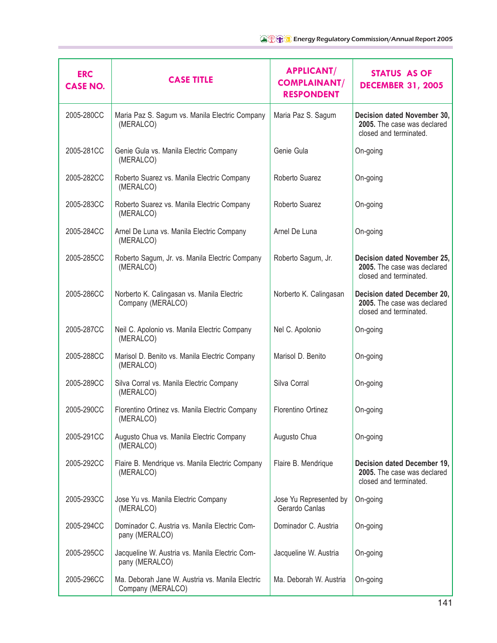| <b>ERC</b><br><b>CASE NO.</b> | <b>CASE TITLE</b>                                                    | <b>APPLICANT/</b><br><b>COMPLAINANT/</b><br><b>RESPONDENT</b> | <b>STATUS AS OF</b><br><b>DECEMBER 31, 2005</b>                                             |
|-------------------------------|----------------------------------------------------------------------|---------------------------------------------------------------|---------------------------------------------------------------------------------------------|
| 2005-280CC                    | Maria Paz S. Sagum vs. Manila Electric Company<br>(MERALCO)          | Maria Paz S. Sagum                                            | Decision dated November 30,<br>2005. The case was declared<br>closed and terminated.        |
| 2005-281CC                    | Genie Gula vs. Manila Electric Company<br>(MERALCO)                  | Genie Gula                                                    | On-going                                                                                    |
| 2005-282CC                    | Roberto Suarez vs. Manila Electric Company<br>(MERALCO)              | Roberto Suarez                                                | On-going                                                                                    |
| 2005-283CC                    | Roberto Suarez vs. Manila Electric Company<br>(MERALCO)              | Roberto Suarez                                                | On-going                                                                                    |
| 2005-284CC                    | Arnel De Luna vs. Manila Electric Company<br>(MERALCO)               | Arnel De Luna                                                 | On-going                                                                                    |
| 2005-285CC                    | Roberto Sagum, Jr. vs. Manila Electric Company<br>(MERALCO)          | Roberto Sagum, Jr.                                            | Decision dated November 25,<br>2005. The case was declared<br>closed and terminated.        |
| 2005-286CC                    | Norberto K. Calingasan vs. Manila Electric<br>Company (MERALCO)      | Norberto K. Calingasan                                        | <b>Decision dated December 20,</b><br>2005. The case was declared<br>closed and terminated. |
| 2005-287CC                    | Neil C. Apolonio vs. Manila Electric Company<br>(MERALCO)            | Nel C. Apolonio                                               | On-going                                                                                    |
| 2005-288CC                    | Marisol D. Benito vs. Manila Electric Company<br>(MERALCO)           | Marisol D. Benito                                             | On-going                                                                                    |
| 2005-289CC                    | Silva Corral vs. Manila Electric Company<br>(MERALCO)                | Silva Corral                                                  | On-going                                                                                    |
| 2005-290CC                    | Florentino Ortinez vs. Manila Electric Company<br>(MERALCO)          | Florentino Ortinez                                            | On-going                                                                                    |
| 2005-291CC                    | Augusto Chua vs. Manila Electric Company<br>(MERALCO)                | Augusto Chua                                                  | On-going                                                                                    |
| 2005-292CC                    | Flaire B. Mendrique vs. Manila Electric Company<br>(MERALCO)         | Flaire B. Mendrique                                           | Decision dated December 19,<br>2005. The case was declared<br>closed and terminated.        |
| 2005-293CC                    | Jose Yu vs. Manila Electric Company<br>(MERALCO)                     | Jose Yu Represented by<br>Gerardo Canlas                      | On-going                                                                                    |
| 2005-294CC                    | Dominador C. Austria vs. Manila Electric Com-<br>pany (MERALCO)      | Dominador C. Austria                                          | On-going                                                                                    |
| 2005-295CC                    | Jacqueline W. Austria vs. Manila Electric Com-<br>pany (MERALCO)     | Jacqueline W. Austria                                         | On-going                                                                                    |
| 2005-296CC                    | Ma. Deborah Jane W. Austria vs. Manila Electric<br>Company (MERALCO) | Ma. Deborah W. Austria                                        | On-going                                                                                    |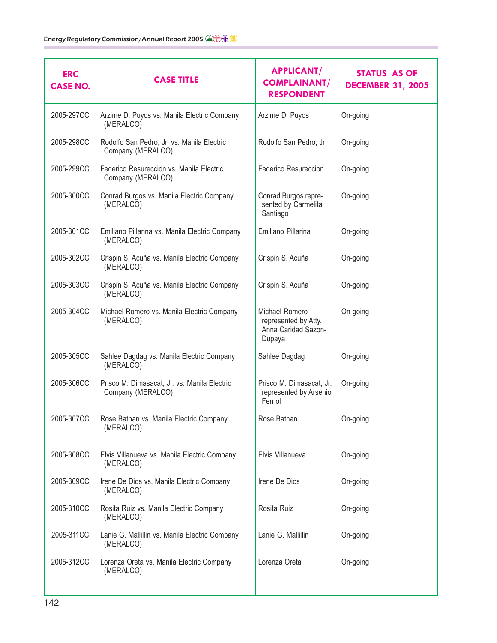| <b>ERC</b><br><b>CASE NO.</b> | <b>CASE TITLE</b>                                                 | <b>APPLICANT/</b><br><b>COMPLAINANT/</b><br><b>RESPONDENT</b>           | STATUS AS OF<br><b>DECEMBER 31, 2005</b> |
|-------------------------------|-------------------------------------------------------------------|-------------------------------------------------------------------------|------------------------------------------|
| 2005-297CC                    | Arzime D. Puyos vs. Manila Electric Company<br>(MERALCO)          | Arzime D. Puyos                                                         | On-going                                 |
| 2005-298CC                    | Rodolfo San Pedro, Jr. vs. Manila Electric<br>Company (MERALCO)   | Rodolfo San Pedro, Jr                                                   | On-going                                 |
| 2005-299CC                    | Federico Resureccion vs. Manila Electric<br>Company (MERALCO)     | Federico Resureccion                                                    | On-going                                 |
| 2005-300CC                    | Conrad Burgos vs. Manila Electric Company<br>(MERALCO)            | Conrad Burgos repre-<br>sented by Carmelita<br>Santiago                 | On-going                                 |
| 2005-301CC                    | Emiliano Pillarina vs. Manila Electric Company<br>(MERALCO)       | Emiliano Pillarina                                                      | On-going                                 |
| 2005-302CC                    | Crispin S. Acuña vs. Manila Electric Company<br>(MERALCO)         | Crispin S. Acuña                                                        | On-going                                 |
| 2005-303CC                    | Crispin S. Acuña vs. Manila Electric Company<br>(MERALCO)         | Crispin S. Acuña                                                        | On-going                                 |
| 2005-304CC                    | Michael Romero vs. Manila Electric Company<br>(MERALCO)           | Michael Romero<br>represented by Atty.<br>Anna Caridad Sazon-<br>Dupaya | On-going                                 |
| 2005-305CC                    | Sahlee Dagdag vs. Manila Electric Company<br>(MERALCO)            | Sahlee Dagdag                                                           | On-going                                 |
| 2005-306CC                    | Prisco M. Dimasacat, Jr. vs. Manila Electric<br>Company (MERALCO) | Prisco M. Dimasacat, Jr.<br>represented by Arsenio<br>Ferriol           | On-going                                 |
| 2005-307CC                    | Rose Bathan vs. Manila Electric Company<br>(MERALCO)              | Rose Bathan                                                             | On-going                                 |
| 2005-308CC                    | Elvis Villanueva vs. Manila Electric Company<br>(MERALCO)         | Elvis Villanueva                                                        | On-going                                 |
| 2005-309CC                    | Irene De Dios vs. Manila Electric Company<br>(MERALCO)            | Irene De Dios                                                           | On-going                                 |
| 2005-310CC                    | Rosita Ruiz vs. Manila Electric Company<br>(MERALCO)              | Rosita Ruiz                                                             | On-going                                 |
| 2005-311CC                    | Lanie G. Mallillin vs. Manila Electric Company<br>(MERALCO)       | Lanie G. Mallillin                                                      | On-going                                 |
| 2005-312CC                    | Lorenza Oreta vs. Manila Electric Company<br>(MERALCO)            | Lorenza Oreta                                                           | On-going                                 |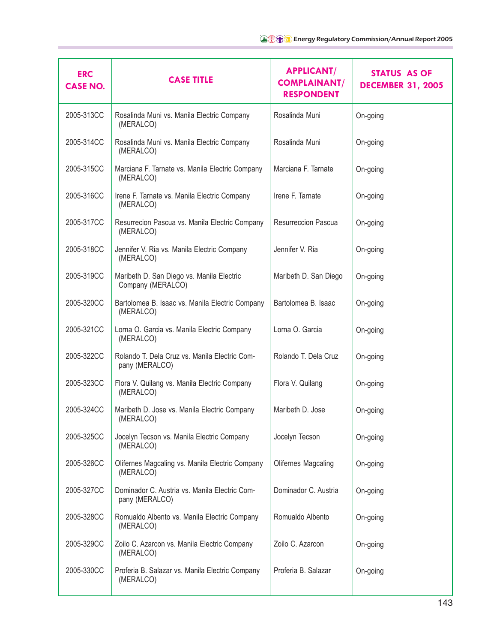| <b>ERC</b><br><b>CASE NO.</b> | <b>CASE TITLE</b>                                               | <b>APPLICANT/</b><br><b>COMPLAINANT/</b><br><b>RESPONDENT</b> | STATUS AS OF<br><b>DECEMBER 31, 2005</b> |
|-------------------------------|-----------------------------------------------------------------|---------------------------------------------------------------|------------------------------------------|
| 2005-313CC                    | Rosalinda Muni vs. Manila Electric Company<br>(MERALCO)         | Rosalinda Muni                                                | On-going                                 |
| 2005-314CC                    | Rosalinda Muni vs. Manila Electric Company<br>(MERALCO)         | Rosalinda Muni                                                | On-going                                 |
| 2005-315CC                    | Marciana F. Tarnate vs. Manila Electric Company<br>(MERALCO)    | Marciana F. Tarnate                                           | On-going                                 |
| 2005-316CC                    | Irene F. Tarnate vs. Manila Electric Company<br>(MERALCO)       | Irene F. Tarnate                                              | On-going                                 |
| 2005-317CC                    | Resurrecion Pascua vs. Manila Electric Company<br>(MERALCO)     | <b>Resurreccion Pascua</b>                                    | On-going                                 |
| 2005-318CC                    | Jennifer V. Ria vs. Manila Electric Company<br>(MERALCO)        | Jennifer V. Ria                                               | On-going                                 |
| 2005-319CC                    | Maribeth D. San Diego vs. Manila Electric<br>Company (MERALCO)  | Maribeth D. San Diego                                         | On-going                                 |
| 2005-320CC                    | Bartolomea B. Isaac vs. Manila Electric Company<br>(MERALCO)    | Bartolomea B. Isaac                                           | On-going                                 |
| 2005-321CC                    | Lorna O. Garcia vs. Manila Electric Company<br>(MERALCO)        | Lorna O. Garcia                                               | On-going                                 |
| 2005-322CC                    | Rolando T. Dela Cruz vs. Manila Electric Com-<br>pany (MERALCO) | Rolando T. Dela Cruz                                          | On-going                                 |
| 2005-323CC                    | Flora V. Quilang vs. Manila Electric Company<br>(MERALCO)       | Flora V. Quilang                                              | On-going                                 |
| 2005-324CC                    | Maribeth D. Jose vs. Manila Electric Company<br>(MERALCO)       | Maribeth D. Jose                                              | On-going                                 |
| 2005-325CC                    | Jocelyn Tecson vs. Manila Electric Company<br>(MERALCO)         | Jocelyn Tecson                                                | On-going                                 |
| 2005-326CC                    | Olifernes Magcaling vs. Manila Electric Company<br>(MERALCO)    | Olifernes Magcaling                                           | On-going                                 |
| 2005-327CC                    | Dominador C. Austria vs. Manila Electric Com-<br>pany (MERALCO) | Dominador C. Austria                                          | On-going                                 |
| 2005-328CC                    | Romualdo Albento vs. Manila Electric Company<br>(MERALCO)       | Romualdo Albento                                              | On-going                                 |
| 2005-329CC                    | Zoilo C. Azarcon vs. Manila Electric Company<br>(MERALCO)       | Zoilo C. Azarcon                                              | On-going                                 |
| 2005-330CC                    | Proferia B. Salazar vs. Manila Electric Company<br>(MERALCO)    | Proferia B. Salazar                                           | On-going                                 |
|                               |                                                                 |                                                               |                                          |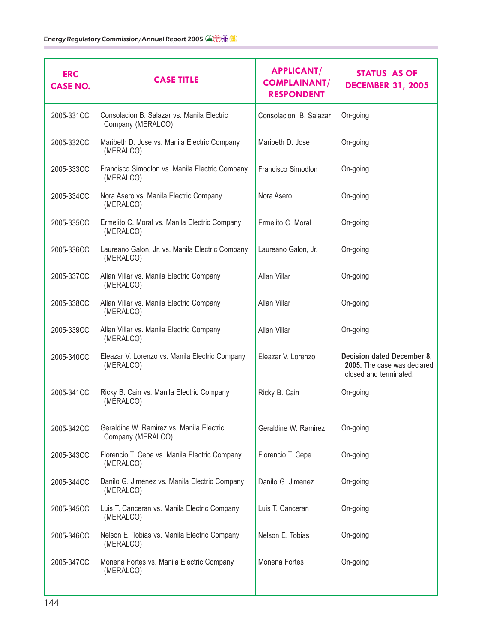| <b>ERC</b><br><b>CASE NO.</b> | <b>CASE TITLE</b>                                               | <b>APPLICANT/</b><br><b>COMPLAINANT/</b><br><b>RESPONDENT</b> | STATUS AS OF<br><b>DECEMBER 31, 2005</b>                                            |
|-------------------------------|-----------------------------------------------------------------|---------------------------------------------------------------|-------------------------------------------------------------------------------------|
| 2005-331CC                    | Consolacion B. Salazar vs. Manila Electric<br>Company (MERALCO) | Consolacion B. Salazar                                        | On-going                                                                            |
| 2005-332CC                    | Maribeth D. Jose vs. Manila Electric Company<br>(MERALCO)       | Maribeth D. Jose                                              | On-going                                                                            |
| 2005-333CC                    | Francisco Simodlon vs. Manila Electric Company<br>(MERALCO)     | Francisco Simodlon                                            | On-going                                                                            |
| 2005-334CC                    | Nora Asero vs. Manila Electric Company<br>(MERALCO)             | Nora Asero                                                    | On-going                                                                            |
| 2005-335CC                    | Ermelito C. Moral vs. Manila Electric Company<br>(MERALCO)      | Ermelito C. Moral                                             | On-going                                                                            |
| 2005-336CC                    | Laureano Galon, Jr. vs. Manila Electric Company<br>(MERALCO)    | Laureano Galon, Jr.                                           | On-going                                                                            |
| 2005-337CC                    | Allan Villar vs. Manila Electric Company<br>(MERALCO)           | Allan Villar                                                  | On-going                                                                            |
| 2005-338CC                    | Allan Villar vs. Manila Electric Company<br>(MERALCO)           | Allan Villar                                                  | On-going                                                                            |
| 2005-339CC                    | Allan Villar vs. Manila Electric Company<br>(MERALCO)           | Allan Villar                                                  | On-going                                                                            |
| 2005-340CC                    | Eleazar V. Lorenzo vs. Manila Electric Company<br>(MERALCO)     | Eleazar V. Lorenzo                                            | Decision dated December 8,<br>2005. The case was declared<br>closed and terminated. |
| 2005-341CC                    | Ricky B. Cain vs. Manila Electric Company<br>(MERALCO)          | Ricky B. Cain                                                 | On-going                                                                            |
| 2005-342CC                    | Geraldine W. Ramirez vs. Manila Electric<br>Company (MERALCO)   | Geraldine W. Ramirez                                          | On-going                                                                            |
| 2005-343CC                    | Florencio T. Cepe vs. Manila Electric Company<br>(MERALCO)      | Florencio T. Cepe                                             | On-going                                                                            |
| 2005-344CC                    | Danilo G. Jimenez vs. Manila Electric Company<br>(MERALCO)      | Danilo G. Jimenez                                             | On-going                                                                            |
| 2005-345CC                    | Luis T. Canceran vs. Manila Electric Company<br>(MERALCO)       | Luis T. Canceran                                              | On-going                                                                            |
| 2005-346CC                    | Nelson E. Tobias vs. Manila Electric Company<br>(MERALCO)       | Nelson E. Tobias                                              | On-going                                                                            |
| 2005-347CC                    | Monena Fortes vs. Manila Electric Company<br>(MERALCO)          | Monena Fortes                                                 | On-going                                                                            |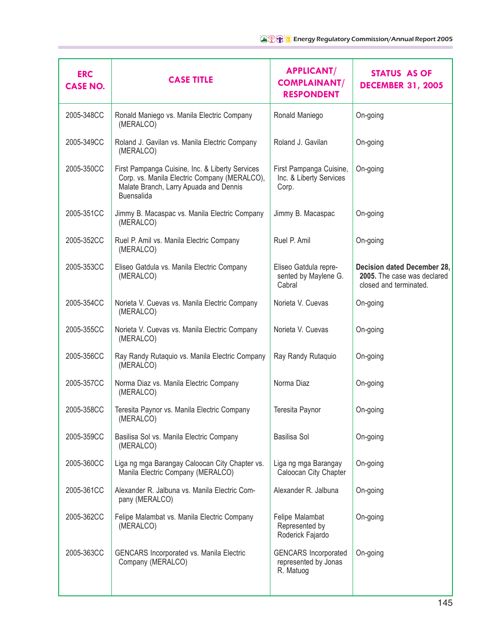| <b>ERC</b><br><b>CASE NO.</b> | <b>CASE TITLE</b>                                                                                                                                              | <b>APPLICANT/</b><br><b>COMPLAINANT/</b><br><b>RESPONDENT</b>    | <b>STATUS AS OF</b><br><b>DECEMBER 31, 2005</b>                                      |
|-------------------------------|----------------------------------------------------------------------------------------------------------------------------------------------------------------|------------------------------------------------------------------|--------------------------------------------------------------------------------------|
| 2005-348CC                    | Ronald Maniego vs. Manila Electric Company<br>(MERALCO)                                                                                                        | Ronald Maniego                                                   | On-going                                                                             |
| 2005-349CC                    | Roland J. Gavilan vs. Manila Electric Company<br>(MERALCO)                                                                                                     | Roland J. Gavilan                                                | On-going                                                                             |
| 2005-350CC                    | First Pampanga Cuisine, Inc. & Liberty Services<br>Corp. vs. Manila Electric Company (MERALCO),<br>Malate Branch, Larry Apuada and Dennis<br><b>Buensalida</b> | First Pampanga Cuisine,<br>Inc. & Liberty Services<br>Corp.      | On-going                                                                             |
| 2005-351CC                    | Jimmy B. Macaspac vs. Manila Electric Company<br>(MERALCO)                                                                                                     | Jimmy B. Macaspac                                                | On-going                                                                             |
| 2005-352CC                    | Ruel P. Amil vs. Manila Electric Company<br>(MERALCO)                                                                                                          | Ruel P. Amil                                                     | On-going                                                                             |
| 2005-353CC                    | Eliseo Gatdula vs. Manila Electric Company<br>(MERALCO)                                                                                                        | Eliseo Gatdula repre-<br>sented by Maylene G.<br>Cabral          | Decision dated December 28,<br>2005. The case was declared<br>closed and terminated. |
| 2005-354CC                    | Norieta V. Cuevas vs. Manila Electric Company<br>(MERALCO)                                                                                                     | Norieta V. Cuevas                                                | On-going                                                                             |
| 2005-355CC                    | Norieta V. Cuevas vs. Manila Electric Company<br>(MERALCO)                                                                                                     | Norieta V. Cuevas                                                | On-going                                                                             |
| 2005-356CC                    | Ray Randy Rutaquio vs. Manila Electric Company<br>(MERALCO)                                                                                                    | Ray Randy Rutaquio                                               | On-going                                                                             |
| 2005-357CC                    | Norma Diaz vs. Manila Electric Company<br>(MERALCO)                                                                                                            | Norma Diaz                                                       | On-going                                                                             |
| 2005-358CC                    | Teresita Paynor vs. Manila Electric Company<br>(MERALCO)                                                                                                       | Teresita Paynor                                                  | On-going                                                                             |
| 2005-359CC                    | Basilisa Sol vs. Manila Electric Company<br>(MERALCO)                                                                                                          | Basilisa Sol                                                     | On-going                                                                             |
| 2005-360CC                    | Liga ng mga Barangay Caloocan City Chapter vs.<br>Manila Electric Company (MERALCO)                                                                            | Liga ng mga Barangay<br>Caloocan City Chapter                    | On-going                                                                             |
| 2005-361CC                    | Alexander R. Jalbuna vs. Manila Electric Com-<br>pany (MERALCO)                                                                                                | Alexander R. Jalbuna                                             | On-going                                                                             |
| 2005-362CC                    | Felipe Malambat vs. Manila Electric Company<br>(MERALCO)                                                                                                       | Felipe Malambat<br>Represented by<br>Roderick Fajardo            | On-going                                                                             |
| 2005-363CC                    | <b>GENCARS Incorporated vs. Manila Electric</b><br>Company (MERALCO)                                                                                           | <b>GENCARS</b> Incorporated<br>represented by Jonas<br>R. Matuog | On-going                                                                             |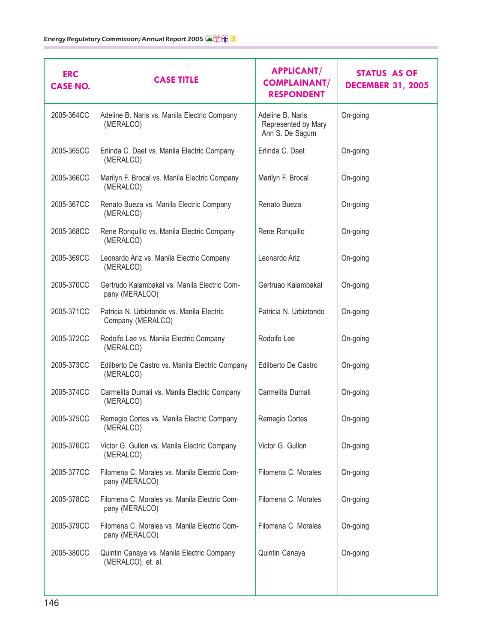| <b>ERC</b><br><b>CASE NO.</b> | <b>CASE TITLE</b>                                                | <b>APPLICANT/</b><br><b>COMPLAINANT/</b><br><b>RESPONDENT</b> | <b>STATUS AS OF</b><br><b>DECEMBER 31, 2005</b> |
|-------------------------------|------------------------------------------------------------------|---------------------------------------------------------------|-------------------------------------------------|
| 2005-364CC                    | Adeline B. Naris vs. Manila Electric Company<br>(MERALCO)        | Adeline B. Naris<br>Represented by Mary<br>Ann S. De Sagum    | On-going                                        |
| 2005-365CC                    | Erlinda C. Daet vs. Manila Electric Company<br>(MERALCO)         | Erlinda C. Daet                                               | On-going                                        |
| 2005-366CC                    | Marilyn F. Brocal vs. Manila Electric Company<br>(MERALCO)       | Marilyn F. Brocal                                             | On-going                                        |
| 2005-367CC                    | Renato Bueza vs. Manila Electric Company<br>(MERALCO)            | Renato Bueza                                                  | On-going                                        |
| 2005-368CC                    | Rene Ronquillo vs. Manila Electric Company<br>(MERALCO)          | Rene Ronquillo                                                | On-going                                        |
| 2005-369CC                    | Leonardo Ariz vs. Manila Electric Company<br>(MERALCO)           | Leonardo Ariz                                                 | On-going                                        |
| 2005-370CC                    | Gertrudo Kalambakal vs. Manila Electric Com-<br>pany (MERALCO)   | Gertruao Kalambakal                                           | On-going                                        |
| 2005-371CC                    | Patricia N. Urbiztondo vs. Manila Electric<br>Company (MERALCO)  | Patricia N. Urbiztondo                                        | On-going                                        |
| 2005-372CC                    | Rodolfo Lee vs. Manila Electric Company<br>(MERALCO)             | Rodolfo Lee                                                   | On-going                                        |
| 2005-373CC                    | Edilberto De Castro vs. Manila Electric Company<br>(MERALCO)     | Edilberto De Castro                                           | On-going                                        |
| 2005-374CC                    | Carmelita Dumali vs. Manila Electric Company<br>(MERALCO)        | Carmelita Dumali                                              | On-going                                        |
| 2005-375CC                    | Remegio Cortes vs. Manila Electric Company<br>(MERALCO)          | Remegio Cortes                                                | On-going                                        |
| 2005-376CC                    | Victor G. Gullon vs. Manila Electric Company<br>(MERALCO)        | Victor G. Gullon                                              | On-going                                        |
| 2005-377CC                    | Filomena C. Morales vs. Manila Electric Com-<br>pany (MERALCO)   | Filomena C. Morales                                           | On-going                                        |
| 2005-378CC                    | Filomena C. Morales vs. Manila Electric Com-<br>pany (MERALCO)   | Filomena C. Morales                                           | On-going                                        |
| 2005-379CC                    | Filomena C. Morales vs. Manila Electric Com-<br>pany (MERALCO)   | Filomena C. Morales                                           | On-going                                        |
| 2005-380CC                    | Quintin Canaya vs. Manila Electric Company<br>(MERALCO), et. al. | Quintin Canaya                                                | On-going                                        |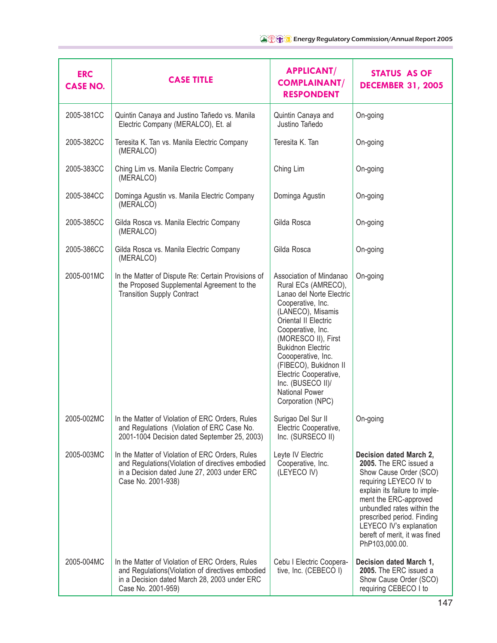| <b>ERC</b><br><b>CASE NO.</b> | <b>CASE TITLE</b>                                                                                                                                                         | <b>APPLICANT/</b><br><b>COMPLAINANT/</b><br><b>RESPONDENT</b>                                                                                                                                                                                                                                                                                                   | <b>STATUS AS OF</b><br><b>DECEMBER 31, 2005</b>                                                                                                                                                                                                                                                           |
|-------------------------------|---------------------------------------------------------------------------------------------------------------------------------------------------------------------------|-----------------------------------------------------------------------------------------------------------------------------------------------------------------------------------------------------------------------------------------------------------------------------------------------------------------------------------------------------------------|-----------------------------------------------------------------------------------------------------------------------------------------------------------------------------------------------------------------------------------------------------------------------------------------------------------|
| 2005-381CC                    | Quintin Canaya and Justino Tañedo vs. Manila<br>Electric Company (MERALCO), Et. al                                                                                        | Quintin Canaya and<br>Justino Tañedo                                                                                                                                                                                                                                                                                                                            | On-going                                                                                                                                                                                                                                                                                                  |
| 2005-382CC                    | Teresita K. Tan vs. Manila Electric Company<br>(MERALCO)                                                                                                                  | Teresita K. Tan                                                                                                                                                                                                                                                                                                                                                 | On-going                                                                                                                                                                                                                                                                                                  |
| 2005-383CC                    | Ching Lim vs. Manila Electric Company<br>(MERALCO)                                                                                                                        | Ching Lim                                                                                                                                                                                                                                                                                                                                                       | On-going                                                                                                                                                                                                                                                                                                  |
| 2005-384CC                    | Dominga Agustin vs. Manila Electric Company<br>(MERALCO)                                                                                                                  | Dominga Agustin                                                                                                                                                                                                                                                                                                                                                 | On-going                                                                                                                                                                                                                                                                                                  |
| 2005-385CC                    | Gilda Rosca vs. Manila Electric Company<br>(MERALCO)                                                                                                                      | Gilda Rosca                                                                                                                                                                                                                                                                                                                                                     | On-going                                                                                                                                                                                                                                                                                                  |
| 2005-386CC                    | Gilda Rosca vs. Manila Electric Company<br>(MERALCO)                                                                                                                      | Gilda Rosca                                                                                                                                                                                                                                                                                                                                                     | On-going                                                                                                                                                                                                                                                                                                  |
| 2005-001MC                    | In the Matter of Dispute Re: Certain Provisions of<br>the Proposed Supplemental Agreement to the<br><b>Transition Supply Contract</b>                                     | Association of Mindanao<br>Rural ECs (AMRECO),<br>Lanao del Norte Electric<br>Cooperative, Inc.<br>(LANECO), Misamis<br>Oriental II Electric<br>Cooperative, Inc.<br>(MORESCO II), First<br><b>Bukidnon Electric</b><br>Coooperative, Inc.<br>(FIBECO), Bukidnon II<br>Electric Cooperative,<br>Inc. (BUSECO II)/<br><b>National Power</b><br>Corporation (NPC) | On-going                                                                                                                                                                                                                                                                                                  |
| 2005-002MC                    | In the Matter of Violation of ERC Orders, Rules<br>and Regulations (Violation of ERC Case No.<br>2001-1004 Decision dated September 25, 2003)                             | Surigao Del Sur II<br>Electric Cooperative,<br>Inc. (SURSECO II)                                                                                                                                                                                                                                                                                                | On-going                                                                                                                                                                                                                                                                                                  |
| 2005-003MC                    | In the Matter of Violation of ERC Orders, Rules<br>and Regulations(Violation of directives embodied<br>in a Decision dated June 27, 2003 under ERC<br>Case No. 2001-938)  | Leyte IV Electric<br>Cooperative, Inc.<br>(LEYECO IV)                                                                                                                                                                                                                                                                                                           | Decision dated March 2,<br>2005. The ERC issued a<br>Show Cause Order (SCO)<br>requiring LEYECO IV to<br>explain its failure to imple-<br>ment the ERC-approved<br>unbundled rates within the<br>prescribed period. Finding<br>LEYECO IV's explanation<br>bereft of merit, it was fined<br>PhP103,000.00. |
| 2005-004MC                    | In the Matter of Violation of ERC Orders, Rules<br>and Regulations(Violation of directives embodied<br>in a Decision dated March 28, 2003 under ERC<br>Case No. 2001-959) | Cebu I Electric Coopera-<br>tive, Inc. (CEBECO I)                                                                                                                                                                                                                                                                                                               | Decision dated March 1,<br>2005. The ERC issued a<br>Show Cause Order (SCO)<br>requiring CEBECO I to                                                                                                                                                                                                      |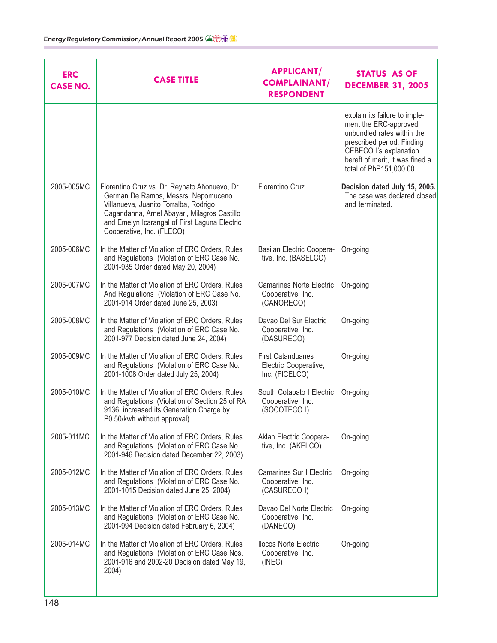| <b>ERC</b><br><b>CASE NO.</b> | <b>CASE TITLE</b>                                                                                                                                                                                                                                           | <b>APPLICANT/</b><br><b>COMPLAINANT/</b><br><b>RESPONDENT</b>       | <b>STATUS AS OF</b><br><b>DECEMBER 31, 2005</b>                                                                                                                                                            |
|-------------------------------|-------------------------------------------------------------------------------------------------------------------------------------------------------------------------------------------------------------------------------------------------------------|---------------------------------------------------------------------|------------------------------------------------------------------------------------------------------------------------------------------------------------------------------------------------------------|
|                               |                                                                                                                                                                                                                                                             |                                                                     | explain its failure to imple-<br>ment the ERC-approved<br>unbundled rates within the<br>prescribed period. Finding<br>CEBECO I's explanation<br>bereft of merit, it was fined a<br>total of PhP151,000.00. |
| 2005-005MC                    | Florentino Cruz vs. Dr. Reynato Añonuevo, Dr.<br>German De Ramos, Messrs. Nepomuceno<br>Villanueva, Juanito Torralba, Rodrigo<br>Cagandahna, Arnel Abayari, Milagros Castillo<br>and Emelyn Icarangal of First Laguna Electric<br>Cooperative, Inc. (FLECO) | Florentino Cruz                                                     | Decision dated July 15, 2005.<br>The case was declared closed<br>and terminated.                                                                                                                           |
| 2005-006MC                    | In the Matter of Violation of ERC Orders, Rules<br>and Regulations (Violation of ERC Case No.<br>2001-935 Order dated May 20, 2004)                                                                                                                         | Basilan Electric Coopera-<br>tive, Inc. (BASELCO)                   | On-going                                                                                                                                                                                                   |
| 2005-007MC                    | In the Matter of Violation of ERC Orders, Rules<br>And Regulations (Violation of ERC Case No.<br>2001-914 Order dated June 25, 2003)                                                                                                                        | <b>Camarines Norte Electric</b><br>Cooperative, Inc.<br>(CANORECO)  | On-going                                                                                                                                                                                                   |
| 2005-008MC                    | In the Matter of Violation of ERC Orders, Rules<br>and Regulations (Violation of ERC Case No.<br>2001-977 Decision dated June 24, 2004)                                                                                                                     | Davao Del Sur Electric<br>Cooperative, Inc.<br>(DASURECO)           | On-going                                                                                                                                                                                                   |
| 2005-009MC                    | In the Matter of Violation of ERC Orders, Rules<br>and Regulations (Violation of ERC Case No.<br>2001-1008 Order dated July 25, 2004)                                                                                                                       | <b>First Catanduanes</b><br>Electric Cooperative,<br>Inc. (FICELCO) | On-going                                                                                                                                                                                                   |
| 2005-010MC                    | In the Matter of Violation of ERC Orders, Rules<br>and Regulations (Violation of Section 25 of RA<br>9136, increased its Generation Charge by<br>P0.50/kwh without approval)                                                                                | South Cotabato I Electric<br>Cooperative, Inc.<br>(SOCOTECO I)      | On-going                                                                                                                                                                                                   |
| 2005-011MC                    | In the Matter of Violation of ERC Orders, Rules<br>and Regulations (Violation of ERC Case No.<br>2001-946 Decision dated December 22, 2003)                                                                                                                 | Aklan Electric Coopera-<br>tive, Inc. (AKELCO)                      | On-going                                                                                                                                                                                                   |
| 2005-012MC                    | In the Matter of Violation of ERC Orders, Rules<br>and Regulations (Violation of ERC Case No.<br>2001-1015 Decision dated June 25, 2004)                                                                                                                    | Camarines Sur I Electric<br>Cooperative, Inc.<br>(CASURECO I)       | On-going                                                                                                                                                                                                   |
| 2005-013MC                    | In the Matter of Violation of ERC Orders, Rules<br>and Regulations (Violation of ERC Case No.<br>2001-994 Decision dated February 6, 2004)                                                                                                                  | Davao Del Norte Electric<br>Cooperative, Inc.<br>(DANECO)           | On-going                                                                                                                                                                                                   |
| 2005-014MC                    | In the Matter of Violation of ERC Orders, Rules<br>and Regulations (Violation of ERC Case Nos.<br>2001-916 and 2002-20 Decision dated May 19,<br>2004)                                                                                                      | <b>Ilocos Norte Electric</b><br>Cooperative, Inc.<br>(INEC)         | On-going                                                                                                                                                                                                   |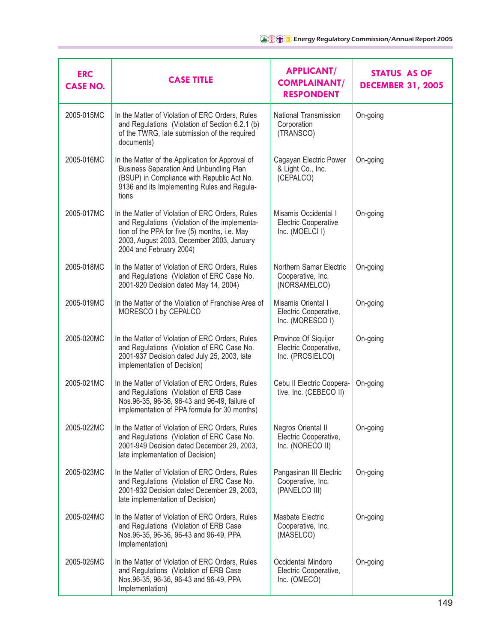| <b>ERC</b><br><b>CASE NO.</b> | <b>CASE TITLE</b>                                                                                                                                                                                                         | <b>APPLICANT/</b><br><b>COMPLAINANT/</b><br><b>RESPONDENT</b>          | <b>STATUS AS OF</b><br><b>DECEMBER 31, 2005</b> |
|-------------------------------|---------------------------------------------------------------------------------------------------------------------------------------------------------------------------------------------------------------------------|------------------------------------------------------------------------|-------------------------------------------------|
| 2005-015MC                    | In the Matter of Violation of ERC Orders, Rules<br>and Regulations (Violation of Section 6.2.1 (b)<br>of the TWRG, late submission of the required<br>documents)                                                          | National Transmission<br>Corporation<br>(TRANSCO)                      | On-going                                        |
| 2005-016MC                    | In the Matter of the Application for Approval of<br><b>Business Separation And Unbundling Plan</b><br>(BSUP) in Compliance with Republic Act No.<br>9136 and its Implementing Rules and Regula-<br>tions                  | Cagayan Electric Power<br>& Light Co., Inc.<br>(CEPALCO)               | On-going                                        |
| 2005-017MC                    | In the Matter of Violation of ERC Orders, Rules<br>and Regulations (Violation of the implementa-<br>tion of the PPA for five (5) months, i.e. May<br>2003, August 2003, December 2003, January<br>2004 and February 2004) | Misamis Occidental I<br><b>Electric Cooperative</b><br>Inc. (MOELCI I) | On-going                                        |
| 2005-018MC                    | In the Matter of Violation of ERC Orders, Rules<br>and Regulations (Violation of ERC Case No.<br>2001-920 Decision dated May 14, 2004)                                                                                    | Northern Samar Electric<br>Cooperative, Inc.<br>(NORSAMELCO)           | On-going                                        |
| 2005-019MC                    | In the Matter of the Violation of Franchise Area of<br>MORESCO I by CEPALCO                                                                                                                                               | Misamis Oriental I<br>Electric Cooperative,<br>Inc. (MORESCO I)        | On-going                                        |
| 2005-020MC                    | In the Matter of Violation of ERC Orders, Rules<br>and Regulations (Violation of ERC Case No.<br>2001-937 Decision dated July 25, 2003, late<br>implementation of Decision)                                               | Province Of Siquijor<br>Electric Cooperative,<br>Inc. (PROSIELCO)      | On-going                                        |
| 2005-021MC                    | In the Matter of Violation of ERC Orders, Rules<br>and Regulations (Violation of ERB Case<br>Nos.96-35, 96-36, 96-43 and 96-49, failure of<br>implementation of PPA formula for 30 months)                                | Cebu II Electric Coopera-<br>tive, Inc. (CEBECO II)                    | On-going                                        |
| 2005-022MC                    | In the Matter of Violation of ERC Orders, Rules<br>and Regulations (Violation of ERC Case No.<br>2001-949 Decision dated December 29, 2003,<br>late implementation of Decision)                                           | Negros Oriental II<br>Electric Cooperative,<br>Inc. (NORECO II)        | On-going                                        |
| 2005-023MC                    | In the Matter of Violation of ERC Orders, Rules<br>and Regulations (Violation of ERC Case No.<br>2001-932 Decision dated December 29, 2003,<br>late implementation of Decision)                                           | Pangasinan III Electric<br>Cooperative, Inc.<br>(PANELCO III)          | On-going                                        |
| 2005-024MC                    | In the Matter of Violation of ERC Orders, Rules<br>and Regulations (Violation of ERB Case<br>Nos.96-35, 96-36, 96-43 and 96-49, PPA<br>Implementation)                                                                    | Masbate Electric<br>Cooperative, Inc.<br>(MASELCO)                     | On-going                                        |
| 2005-025MC                    | In the Matter of Violation of ERC Orders, Rules<br>and Regulations (Violation of ERB Case<br>Nos.96-35, 96-36, 96-43 and 96-49, PPA<br>Implementation)                                                                    | Occidental Mindoro<br>Electric Cooperative,<br>Inc. (OMECO)            | On-going                                        |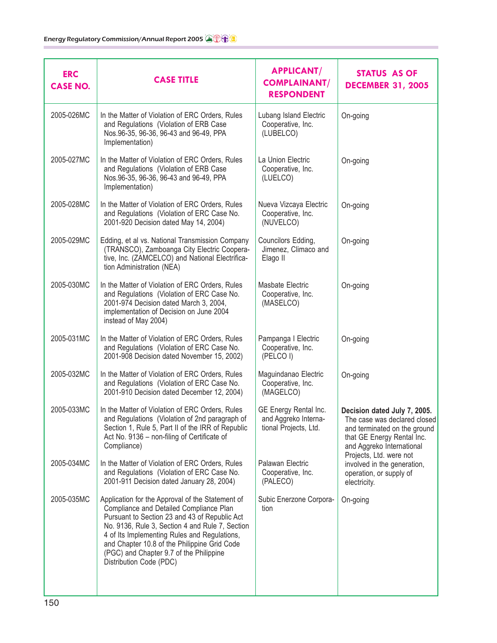| <b>ERC</b><br><b>CASE NO.</b> | <b>CASE TITLE</b>                                                                                                                                                                                                                                                                                                                                                     | <b>APPLICANT/</b><br><b>COMPLAINANT/</b><br><b>RESPONDENT</b>          | <b>STATUS AS OF</b><br><b>DECEMBER 31, 2005</b>                                                                                                         |
|-------------------------------|-----------------------------------------------------------------------------------------------------------------------------------------------------------------------------------------------------------------------------------------------------------------------------------------------------------------------------------------------------------------------|------------------------------------------------------------------------|---------------------------------------------------------------------------------------------------------------------------------------------------------|
| 2005-026MC                    | In the Matter of Violation of ERC Orders, Rules<br>and Regulations (Violation of ERB Case<br>Nos.96-35, 96-36, 96-43 and 96-49, PPA<br>Implementation)                                                                                                                                                                                                                | Lubang Island Electric<br>Cooperative, Inc.<br>(LUBELCO)               | On-going                                                                                                                                                |
| 2005-027MC                    | In the Matter of Violation of ERC Orders, Rules<br>and Regulations (Violation of ERB Case<br>Nos.96-35, 96-36, 96-43 and 96-49, PPA<br>Implementation)                                                                                                                                                                                                                | La Union Electric<br>Cooperative, Inc.<br>(LUELCO)                     | On-going                                                                                                                                                |
| 2005-028MC                    | In the Matter of Violation of ERC Orders, Rules<br>and Regulations (Violation of ERC Case No.<br>2001-920 Decision dated May 14, 2004)                                                                                                                                                                                                                                | Nueva Vizcaya Electric<br>Cooperative, Inc.<br>(NUVELCO)               | On-going                                                                                                                                                |
| 2005-029MC                    | Edding, et al vs. National Transmission Company<br>(TRANSCO), Zamboanga City Electric Coopera-<br>tive, Inc. (ZAMCELCO) and National Electrifica-<br>tion Administration (NEA)                                                                                                                                                                                        | Councilors Edding,<br>Jimenez, Climaco and<br>Elago II                 | On-going                                                                                                                                                |
| 2005-030MC                    | In the Matter of Violation of ERC Orders, Rules<br>and Regulations (Violation of ERC Case No.<br>2001-974 Decision dated March 3, 2004,<br>implementation of Decision on June 2004<br>instead of May 2004)                                                                                                                                                            | Masbate Electric<br>Cooperative, Inc.<br>(MASELCO)                     | On-going                                                                                                                                                |
| 2005-031MC                    | In the Matter of Violation of ERC Orders, Rules<br>and Regulations (Violation of ERC Case No.<br>2001-908 Decision dated November 15, 2002)                                                                                                                                                                                                                           | Pampanga I Electric<br>Cooperative, Inc.<br>(PELCO I)                  | On-going                                                                                                                                                |
| 2005-032MC                    | In the Matter of Violation of ERC Orders, Rules<br>and Regulations (Violation of ERC Case No.<br>2001-910 Decision dated December 12, 2004)                                                                                                                                                                                                                           | Maguindanao Electric<br>Cooperative, Inc.<br>(MAGELCO)                 | On-going                                                                                                                                                |
| 2005-033MC                    | In the Matter of Violation of ERC Orders, Rules<br>and Regulations (Violation of 2nd paragraph of<br>Section 1, Rule 5, Part II of the IRR of Republic<br>Act No. 9136 - non-filing of Certificate of<br>Compliance)                                                                                                                                                  | GE Energy Rental Inc.<br>and Aggreko Interna-<br>tional Projects, Ltd. | Decision dated July 7, 2005.<br>The case was declared closed<br>and terminated on the ground<br>that GE Energy Rental Inc.<br>and Aggreko International |
| 2005-034MC                    | In the Matter of Violation of ERC Orders, Rules<br>and Regulations (Violation of ERC Case No.<br>2001-911 Decision dated January 28, 2004)                                                                                                                                                                                                                            | Palawan Electric<br>Cooperative, Inc.<br>(PALECO)                      | Projects, Ltd. were not<br>involved in the generation,<br>operation, or supply of<br>electricity.                                                       |
| 2005-035MC                    | Application for the Approval of the Statement of<br>Compliance and Detailed Compliance Plan<br>Pursuant to Section 23 and 43 of Republic Act<br>No. 9136, Rule 3, Section 4 and Rule 7, Section<br>4 of Its Implementing Rules and Regulations,<br>and Chapter 10.8 of the Philippine Grid Code<br>(PGC) and Chapter 9.7 of the Philippine<br>Distribution Code (PDC) | Subic Enerzone Corpora-<br>tion                                        | On-going                                                                                                                                                |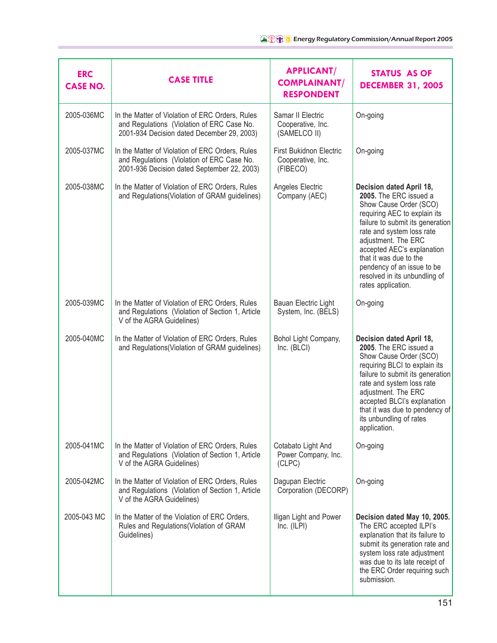| <b>ERC</b><br><b>CASE NO.</b> | <b>CASE TITLE</b>                                                                                                                            | <b>APPLICANT/</b><br><b>COMPLAINANT/</b><br><b>RESPONDENT</b>   | <b>STATUS AS OF</b><br><b>DECEMBER 31, 2005</b>                                                                                                                                                                                                                                                                                                   |
|-------------------------------|----------------------------------------------------------------------------------------------------------------------------------------------|-----------------------------------------------------------------|---------------------------------------------------------------------------------------------------------------------------------------------------------------------------------------------------------------------------------------------------------------------------------------------------------------------------------------------------|
| 2005-036MC                    | In the Matter of Violation of ERC Orders, Rules<br>and Regulations (Violation of ERC Case No.<br>2001-934 Decision dated December 29, 2003)  | Samar II Electric<br>Cooperative, Inc.<br>(SAMELCO II)          | On-going                                                                                                                                                                                                                                                                                                                                          |
| 2005-037MC                    | In the Matter of Violation of ERC Orders, Rules<br>and Regulations (Violation of ERC Case No.<br>2001-936 Decision dated September 22, 2003) | <b>First Bukidnon Electric</b><br>Cooperative, Inc.<br>(FIBECO) | On-going                                                                                                                                                                                                                                                                                                                                          |
| 2005-038MC                    | In the Matter of Violation of ERC Orders, Rules<br>and Regulations (Violation of GRAM guidelines)                                            | Angeles Electric<br>Company (AEC)                               | Decision dated April 18,<br>2005. The ERC issued a<br>Show Cause Order (SCO)<br>requiring AEC to explain its<br>failure to submit its generation<br>rate and system loss rate<br>adjustment. The ERC<br>accepted AEC's explanation<br>that it was due to the<br>pendency of an issue to be<br>resolved in its unbundling of<br>rates application. |
| 2005-039MC                    | In the Matter of Violation of ERC Orders, Rules<br>and Regulations (Violation of Section 1, Article<br>V of the AGRA Guidelines)             | Bauan Electric Light<br>System, Inc. (BELS)                     | On-going                                                                                                                                                                                                                                                                                                                                          |
| 2005-040MC                    | In the Matter of Violation of ERC Orders, Rules<br>and Regulations (Violation of GRAM guidelines)                                            | Bohol Light Company,<br>Inc. (BLCI)                             | Decision dated April 18,<br>2005. The ERC issued a<br>Show Cause Order (SCO)<br>requiring BLCI to explain its<br>failure to submit its generation<br>rate and system loss rate<br>adjustment. The ERC<br>accepted BLCI's explanation<br>that it was due to pendency of<br>its unbundling of rates<br>application.                                 |
| 2005-041MC                    | In the Matter of Violation of ERC Orders, Rules<br>and Regulations (Violation of Section 1, Article<br>V of the AGRA Guidelines)             | Cotabato Light And<br>Power Company, Inc.<br>(CLPC)             | On-going                                                                                                                                                                                                                                                                                                                                          |
| 2005-042MC                    | In the Matter of Violation of ERC Orders, Rules<br>and Regulations (Violation of Section 1, Article<br>V of the AGRA Guidelines)             | Dagupan Electric<br>Corporation (DECORP)                        | On-going                                                                                                                                                                                                                                                                                                                                          |
| 2005-043 MC                   | In the Matter of the Violation of ERC Orders,<br>Rules and Regulations (Violation of GRAM<br>Guidelines)                                     | Iligan Light and Power<br>Inc. (ILPI)                           | Decision dated May 10, 2005.<br>The ERC accepted ILPI's<br>explanation that its failure to<br>submit its generation rate and<br>system loss rate adjustment<br>was due to its late receipt of<br>the ERC Order requiring such<br>submission.                                                                                                      |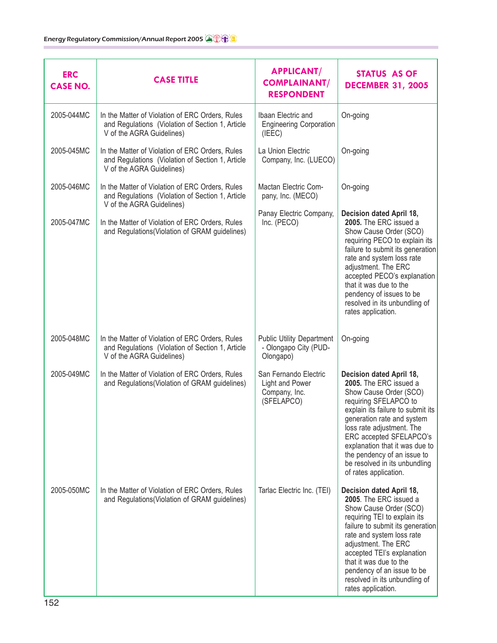| <b>ERC</b><br><b>CASE NO.</b> | <b>CASE TITLE</b>                                                                                                                | <b>APPLICANT/</b><br><b>COMPLAINANT/</b><br><b>RESPONDENT</b>           | <b>STATUS AS OF</b><br><b>DECEMBER 31, 2005</b>                                                                                                                                                                                                                                                                                                             |
|-------------------------------|----------------------------------------------------------------------------------------------------------------------------------|-------------------------------------------------------------------------|-------------------------------------------------------------------------------------------------------------------------------------------------------------------------------------------------------------------------------------------------------------------------------------------------------------------------------------------------------------|
| 2005-044MC                    | In the Matter of Violation of ERC Orders, Rules<br>and Regulations (Violation of Section 1, Article<br>V of the AGRA Guidelines) | Ibaan Electric and<br><b>Engineering Corporation</b><br>(IEEC)          | On-going                                                                                                                                                                                                                                                                                                                                                    |
| 2005-045MC                    | In the Matter of Violation of ERC Orders, Rules<br>and Regulations (Violation of Section 1, Article<br>V of the AGRA Guidelines) | La Union Electric<br>Company, Inc. (LUECO)                              | On-going                                                                                                                                                                                                                                                                                                                                                    |
| 2005-046MC                    | In the Matter of Violation of ERC Orders, Rules<br>and Regulations (Violation of Section 1, Article<br>V of the AGRA Guidelines) | Mactan Electric Com-<br>pany, Inc. (MECO)                               | On-going                                                                                                                                                                                                                                                                                                                                                    |
| 2005-047MC                    | In the Matter of Violation of ERC Orders, Rules<br>and Regulations (Violation of GRAM guidelines)                                | Panay Electric Company,<br>Inc. (PECO)                                  | Decision dated April 18,<br>2005. The ERC issued a<br>Show Cause Order (SCO)<br>requiring PECO to explain its<br>failure to submit its generation<br>rate and system loss rate<br>adjustment. The ERC<br>accepted PECO's explanation<br>that it was due to the<br>pendency of issues to be<br>resolved in its unbundling of<br>rates application.           |
| 2005-048MC                    | In the Matter of Violation of ERC Orders, Rules<br>and Regulations (Violation of Section 1, Article<br>V of the AGRA Guidelines) | <b>Public Utility Department</b><br>- Olongapo City (PUD-<br>Olongapo)  | On-going                                                                                                                                                                                                                                                                                                                                                    |
| 2005-049MC                    | In the Matter of Violation of ERC Orders, Rules<br>and Regulations (Violation of GRAM guidelines)                                | San Fernando Electric<br>Light and Power<br>Company, Inc.<br>(SFELAPCO) | Decision dated April 18,<br>2005. The ERC issued a<br>Show Cause Order (SCO)<br>requiring SFELAPCO to<br>explain its failure to submit its<br>generation rate and system<br>loss rate adjustment. The<br>ERC accepted SFELAPCO's<br>explanation that it was due to<br>the pendency of an issue to<br>be resolved in its unbundling<br>of rates application. |
| 2005-050MC                    | In the Matter of Violation of ERC Orders, Rules<br>and Regulations (Violation of GRAM guidelines)                                | Tarlac Electric Inc. (TEI)                                              | Decision dated April 18,<br>2005. The ERC issued a<br>Show Cause Order (SCO)<br>requiring TEI to explain its<br>failure to submit its generation<br>rate and system loss rate<br>adjustment. The ERC<br>accepted TEI's explanation<br>that it was due to the<br>pendency of an issue to be<br>resolved in its unbundling of<br>rates application.           |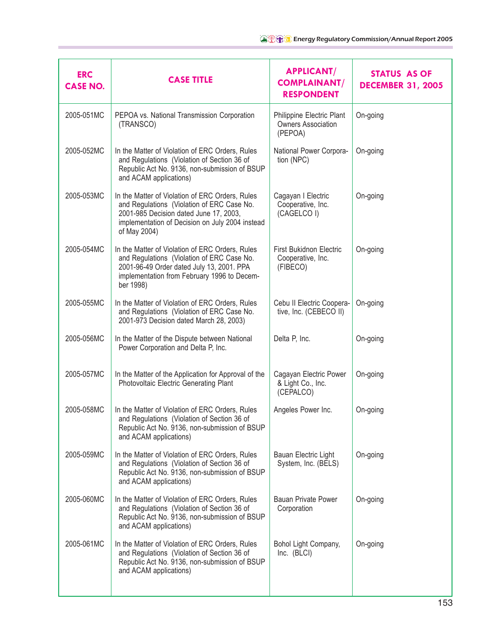| <b>ERC</b><br><b>CASE NO.</b> | <b>CASE TITLE</b>                                                                                                                                                                                          | <b>APPLICANT/</b><br><b>COMPLAINANT/</b><br><b>RESPONDENT</b>     | <b>STATUS AS OF</b><br><b>DECEMBER 31, 2005</b> |
|-------------------------------|------------------------------------------------------------------------------------------------------------------------------------------------------------------------------------------------------------|-------------------------------------------------------------------|-------------------------------------------------|
| 2005-051MC                    | PEPOA vs. National Transmission Corporation<br>(TRANSCO)                                                                                                                                                   | Philippine Electric Plant<br><b>Owners Association</b><br>(PEPOA) | On-going                                        |
| 2005-052MC                    | In the Matter of Violation of ERC Orders, Rules<br>and Regulations (Violation of Section 36 of<br>Republic Act No. 9136, non-submission of BSUP<br>and ACAM applications)                                  | National Power Corpora-<br>tion (NPC)                             | On-going                                        |
| 2005-053MC                    | In the Matter of Violation of ERC Orders, Rules<br>and Regulations (Violation of ERC Case No.<br>2001-985 Decision dated June 17, 2003,<br>implementation of Decision on July 2004 instead<br>of May 2004) | Cagayan I Electric<br>Cooperative, Inc.<br>(CAGELCO I)            | On-going                                        |
| 2005-054MC                    | In the Matter of Violation of ERC Orders, Rules<br>and Regulations (Violation of ERC Case No.<br>2001-96-49 Order dated July 13, 2001. PPA<br>implementation from February 1996 to Decem-<br>ber 1998)     | <b>First Bukidnon Electric</b><br>Cooperative, Inc.<br>(FIBECO)   | On-going                                        |
| 2005-055MC                    | In the Matter of Violation of ERC Orders, Rules<br>and Regulations (Violation of ERC Case No.<br>2001-973 Decision dated March 28, 2003)                                                                   | Cebu II Electric Coopera-<br>tive, Inc. (CEBECO II)               | On-going                                        |
| 2005-056MC                    | In the Matter of the Dispute between National<br>Power Corporation and Delta P, Inc.                                                                                                                       | Delta P, Inc.                                                     | On-going                                        |
| 2005-057MC                    | In the Matter of the Application for Approval of the<br>Photovoltaic Electric Generating Plant                                                                                                             | Cagayan Electric Power<br>& Light Co., Inc.<br>(CEPALCO)          | On-going                                        |
| 2005-058MC                    | In the Matter of Violation of ERC Orders, Rules<br>and Regulations (Violation of Section 36 of<br>Republic Act No. 9136, non-submission of BSUP<br>and ACAM applications)                                  | Angeles Power Inc.                                                | On-going                                        |
| 2005-059MC                    | In the Matter of Violation of ERC Orders, Rules<br>and Regulations (Violation of Section 36 of<br>Republic Act No. 9136, non-submission of BSUP<br>and ACAM applications)                                  | Bauan Electric Light<br>System, Inc. (BELS)                       | On-going                                        |
| 2005-060MC                    | In the Matter of Violation of ERC Orders, Rules<br>and Regulations (Violation of Section 36 of<br>Republic Act No. 9136, non-submission of BSUP<br>and ACAM applications)                                  | Bauan Private Power<br>Corporation                                | On-going                                        |
| 2005-061MC                    | In the Matter of Violation of ERC Orders, Rules<br>and Regulations (Violation of Section 36 of<br>Republic Act No. 9136, non-submission of BSUP<br>and ACAM applications)                                  | Bohol Light Company,<br>Inc. (BLCI)                               | On-going                                        |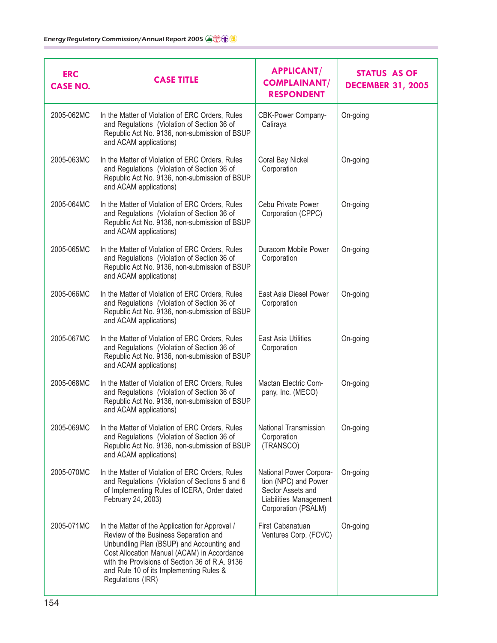| <b>ERC</b><br><b>CASE NO.</b> | <b>CASE TITLE</b>                                                                                                                                                                                                                                                                                      | <b>APPLICANT/</b><br><b>COMPLAINANT/</b><br><b>RESPONDENT</b>                                                         | <b>STATUS AS OF</b><br><b>DECEMBER 31, 2005</b> |
|-------------------------------|--------------------------------------------------------------------------------------------------------------------------------------------------------------------------------------------------------------------------------------------------------------------------------------------------------|-----------------------------------------------------------------------------------------------------------------------|-------------------------------------------------|
| 2005-062MC                    | In the Matter of Violation of ERC Orders, Rules<br>and Regulations (Violation of Section 36 of<br>Republic Act No. 9136, non-submission of BSUP<br>and ACAM applications)                                                                                                                              | <b>CBK-Power Company-</b><br>Caliraya                                                                                 | On-going                                        |
| 2005-063MC                    | In the Matter of Violation of ERC Orders, Rules<br>and Regulations (Violation of Section 36 of<br>Republic Act No. 9136, non-submission of BSUP<br>and ACAM applications)                                                                                                                              | Coral Bay Nickel<br>Corporation                                                                                       | On-going                                        |
| 2005-064MC                    | In the Matter of Violation of ERC Orders, Rules<br>and Regulations (Violation of Section 36 of<br>Republic Act No. 9136, non-submission of BSUP<br>and ACAM applications)                                                                                                                              | Cebu Private Power<br>Corporation (CPPC)                                                                              | On-going                                        |
| 2005-065MC                    | In the Matter of Violation of ERC Orders, Rules<br>and Regulations (Violation of Section 36 of<br>Republic Act No. 9136, non-submission of BSUP<br>and ACAM applications)                                                                                                                              | Duracom Mobile Power<br>Corporation                                                                                   | On-going                                        |
| 2005-066MC                    | In the Matter of Violation of ERC Orders, Rules<br>and Regulations (Violation of Section 36 of<br>Republic Act No. 9136, non-submission of BSUP<br>and ACAM applications)                                                                                                                              | East Asia Diesel Power<br>Corporation                                                                                 | On-going                                        |
| 2005-067MC                    | In the Matter of Violation of ERC Orders, Rules<br>and Regulations (Violation of Section 36 of<br>Republic Act No. 9136, non-submission of BSUP<br>and ACAM applications)                                                                                                                              | East Asia Utilities<br>Corporation                                                                                    | On-going                                        |
| 2005-068MC                    | In the Matter of Violation of ERC Orders, Rules<br>and Regulations (Violation of Section 36 of<br>Republic Act No. 9136, non-submission of BSUP<br>and ACAM applications)                                                                                                                              | Mactan Electric Com-<br>pany, Inc. (MECO)                                                                             | On-going                                        |
| 2005-069MC                    | In the Matter of Violation of ERC Orders, Rules<br>and Regulations (Violation of Section 36 of<br>Republic Act No. 9136, non-submission of BSUP<br>and ACAM applications)                                                                                                                              | National Transmission<br>Corporation<br>(TRANSCO)                                                                     | On-going                                        |
| 2005-070MC                    | In the Matter of Violation of ERC Orders, Rules<br>and Regulations (Violation of Sections 5 and 6<br>of Implementing Rules of ICERA, Order dated<br>February 24, 2003)                                                                                                                                 | National Power Corpora-<br>tion (NPC) and Power<br>Sector Assets and<br>Liabilities Management<br>Corporation (PSALM) | On-going                                        |
| 2005-071MC                    | In the Matter of the Application for Approval /<br>Review of the Business Separation and<br>Unbundling Plan (BSUP) and Accounting and<br>Cost Allocation Manual (ACAM) in Accordance<br>with the Provisions of Section 36 of R.A. 9136<br>and Rule 10 of its Implementing Rules &<br>Regulations (IRR) | First Cabanatuan<br>Ventures Corp. (FCVC)                                                                             | On-going                                        |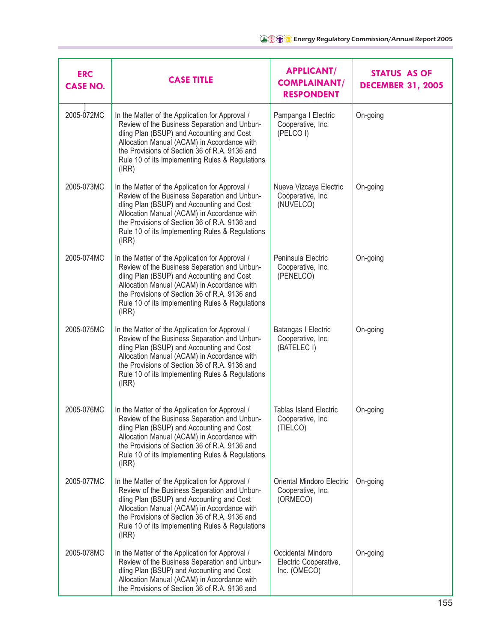| <b>ERC</b><br><b>CASE NO.</b> | <b>CASE TITLE</b>                                                                                                                                                                                                                                                                                        | <b>APPLICANT/</b><br><b>COMPLAINANT/</b><br><b>RESPONDENT</b>  | <b>STATUS AS OF</b><br><b>DECEMBER 31, 2005</b> |
|-------------------------------|----------------------------------------------------------------------------------------------------------------------------------------------------------------------------------------------------------------------------------------------------------------------------------------------------------|----------------------------------------------------------------|-------------------------------------------------|
| 2005-072MC                    | In the Matter of the Application for Approval /<br>Review of the Business Separation and Unbun-<br>dling Plan (BSUP) and Accounting and Cost<br>Allocation Manual (ACAM) in Accordance with<br>the Provisions of Section 36 of R.A. 9136 and<br>Rule 10 of its Implementing Rules & Regulations<br>(IRR) | Pampanga I Electric<br>Cooperative, Inc.<br>(PELCO I)          | On-going                                        |
| 2005-073MC                    | In the Matter of the Application for Approval /<br>Review of the Business Separation and Unbun-<br>dling Plan (BSUP) and Accounting and Cost<br>Allocation Manual (ACAM) in Accordance with<br>the Provisions of Section 36 of R.A. 9136 and<br>Rule 10 of its Implementing Rules & Regulations<br>(IRR) | Nueva Vizcaya Electric<br>Cooperative, Inc.<br>(NUVELCO)       | On-going                                        |
| 2005-074MC                    | In the Matter of the Application for Approval /<br>Review of the Business Separation and Unbun-<br>dling Plan (BSUP) and Accounting and Cost<br>Allocation Manual (ACAM) in Accordance with<br>the Provisions of Section 36 of R.A. 9136 and<br>Rule 10 of its Implementing Rules & Regulations<br>(IRR) | Peninsula Electric<br>Cooperative, Inc.<br>(PENELCO)           | On-going                                        |
| 2005-075MC                    | In the Matter of the Application for Approval /<br>Review of the Business Separation and Unbun-<br>dling Plan (BSUP) and Accounting and Cost<br>Allocation Manual (ACAM) in Accordance with<br>the Provisions of Section 36 of R.A. 9136 and<br>Rule 10 of its Implementing Rules & Regulations<br>(IRR) | Batangas I Electric<br>Cooperative, Inc.<br>(BATELEC I)        | On-going                                        |
| 2005-076MC                    | In the Matter of the Application for Approval /<br>Review of the Business Separation and Unbun-<br>dling Plan (BSUP) and Accounting and Cost<br>Allocation Manual (ACAM) in Accordance with<br>the Provisions of Section 36 of R.A. 9136 and<br>Rule 10 of its Implementing Rules & Regulations<br>(IRR) | <b>Tablas Island Electric</b><br>Cooperative, Inc.<br>(TIELCO) | On-going                                        |
| 2005-077MC                    | In the Matter of the Application for Approval /<br>Review of the Business Separation and Unbun-<br>dling Plan (BSUP) and Accounting and Cost<br>Allocation Manual (ACAM) in Accordance with<br>the Provisions of Section 36 of R.A. 9136 and<br>Rule 10 of its Implementing Rules & Regulations<br>(IRR) | Oriental Mindoro Electric<br>Cooperative, Inc.<br>(ORMECO)     | On-going                                        |
| 2005-078MC                    | In the Matter of the Application for Approval /<br>Review of the Business Separation and Unbun-<br>dling Plan (BSUP) and Accounting and Cost<br>Allocation Manual (ACAM) in Accordance with<br>the Provisions of Section 36 of R.A. 9136 and                                                             | Occidental Mindoro<br>Electric Cooperative,<br>Inc. (OMECO)    | On-going                                        |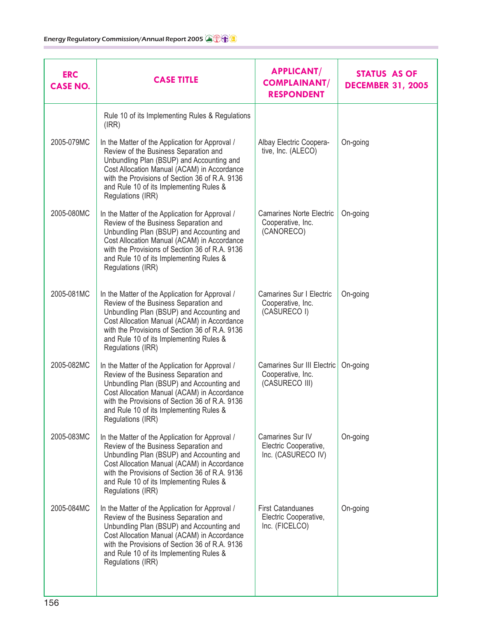| <b>ERC</b><br><b>CASE NO.</b> | <b>CASE TITLE</b>                                                                                                                                                                                                                                                                                      | <b>APPLICANT/</b><br><b>COMPLAINANT/</b><br><b>RESPONDENT</b>            | <b>STATUS AS OF</b><br><b>DECEMBER 31, 2005</b> |
|-------------------------------|--------------------------------------------------------------------------------------------------------------------------------------------------------------------------------------------------------------------------------------------------------------------------------------------------------|--------------------------------------------------------------------------|-------------------------------------------------|
|                               | Rule 10 of its Implementing Rules & Regulations<br>(IRR)                                                                                                                                                                                                                                               |                                                                          |                                                 |
| 2005-079MC                    | In the Matter of the Application for Approval /<br>Review of the Business Separation and<br>Unbundling Plan (BSUP) and Accounting and<br>Cost Allocation Manual (ACAM) in Accordance<br>with the Provisions of Section 36 of R.A. 9136<br>and Rule 10 of its Implementing Rules &<br>Regulations (IRR) | Albay Electric Coopera-<br>tive, Inc. (ALECO)                            | On-going                                        |
| 2005-080MC                    | In the Matter of the Application for Approval /<br>Review of the Business Separation and<br>Unbundling Plan (BSUP) and Accounting and<br>Cost Allocation Manual (ACAM) in Accordance<br>with the Provisions of Section 36 of R.A. 9136<br>and Rule 10 of its Implementing Rules &<br>Regulations (IRR) | <b>Camarines Norte Electric</b><br>Cooperative, Inc.<br>(CANORECO)       | On-going                                        |
| 2005-081MC                    | In the Matter of the Application for Approval /<br>Review of the Business Separation and<br>Unbundling Plan (BSUP) and Accounting and<br>Cost Allocation Manual (ACAM) in Accordance<br>with the Provisions of Section 36 of R.A. 9136<br>and Rule 10 of its Implementing Rules &<br>Regulations (IRR) | Camarines Sur I Electric<br>Cooperative, Inc.<br>(CASURECO I)            | On-going                                        |
| 2005-082MC                    | In the Matter of the Application for Approval /<br>Review of the Business Separation and<br>Unbundling Plan (BSUP) and Accounting and<br>Cost Allocation Manual (ACAM) in Accordance<br>with the Provisions of Section 36 of R.A. 9136<br>and Rule 10 of its Implementing Rules &<br>Regulations (IRR) | <b>Camarines Sur III Electric</b><br>Cooperative, Inc.<br>(CASURECO III) | On-going                                        |
| 2005-083MC                    | In the Matter of the Application for Approval /<br>Review of the Business Separation and<br>Unbundling Plan (BSUP) and Accounting and<br>Cost Allocation Manual (ACAM) in Accordance<br>with the Provisions of Section 36 of R.A. 9136<br>and Rule 10 of its Implementing Rules &<br>Regulations (IRR) | Camarines Sur IV<br>Electric Cooperative,<br>Inc. (CASURECO IV)          | On-going                                        |
| 2005-084MC                    | In the Matter of the Application for Approval /<br>Review of the Business Separation and<br>Unbundling Plan (BSUP) and Accounting and<br>Cost Allocation Manual (ACAM) in Accordance<br>with the Provisions of Section 36 of R.A. 9136<br>and Rule 10 of its Implementing Rules &<br>Regulations (IRR) | <b>First Catanduanes</b><br>Electric Cooperative,<br>Inc. (FICELCO)      | On-going                                        |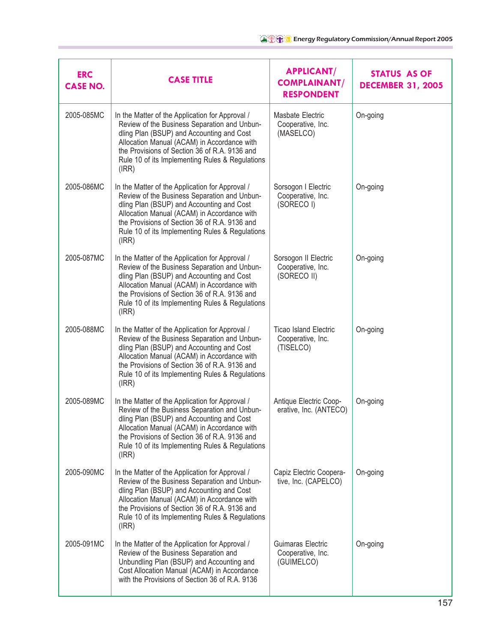| <b>ERC</b><br><b>CASE NO.</b> | <b>CASE TITLE</b>                                                                                                                                                                                                                                                                                        | <b>APPLICANT/</b><br><b>COMPLAINANT/</b><br><b>RESPONDENT</b>  | <b>STATUS AS OF</b><br><b>DECEMBER 31, 2005</b> |
|-------------------------------|----------------------------------------------------------------------------------------------------------------------------------------------------------------------------------------------------------------------------------------------------------------------------------------------------------|----------------------------------------------------------------|-------------------------------------------------|
| 2005-085MC                    | In the Matter of the Application for Approval /<br>Review of the Business Separation and Unbun-<br>dling Plan (BSUP) and Accounting and Cost<br>Allocation Manual (ACAM) in Accordance with<br>the Provisions of Section 36 of R.A. 9136 and<br>Rule 10 of its Implementing Rules & Regulations<br>(IRR) | Masbate Electric<br>Cooperative, Inc.<br>(MASELCO)             | On-going                                        |
| 2005-086MC                    | In the Matter of the Application for Approval /<br>Review of the Business Separation and Unbun-<br>dling Plan (BSUP) and Accounting and Cost<br>Allocation Manual (ACAM) in Accordance with<br>the Provisions of Section 36 of R.A. 9136 and<br>Rule 10 of its Implementing Rules & Regulations<br>(IRR) | Sorsogon I Electric<br>Cooperative, Inc.<br>(SORECO I)         | On-going                                        |
| 2005-087MC                    | In the Matter of the Application for Approval /<br>Review of the Business Separation and Unbun-<br>dling Plan (BSUP) and Accounting and Cost<br>Allocation Manual (ACAM) in Accordance with<br>the Provisions of Section 36 of R.A. 9136 and<br>Rule 10 of its Implementing Rules & Regulations<br>(IRR) | Sorsogon II Electric<br>Cooperative, Inc.<br>(SORECO II)       | On-going                                        |
| 2005-088MC                    | In the Matter of the Application for Approval /<br>Review of the Business Separation and Unbun-<br>dling Plan (BSUP) and Accounting and Cost<br>Allocation Manual (ACAM) in Accordance with<br>the Provisions of Section 36 of R.A. 9136 and<br>Rule 10 of its Implementing Rules & Regulations<br>(IRR) | <b>Ticao Island Electric</b><br>Cooperative, Inc.<br>(TISELCO) | On-going                                        |
| 2005-089MC                    | In the Matter of the Application for Approval /<br>Review of the Business Separation and Unbun-<br>dling Plan (BSUP) and Accounting and Cost<br>Allocation Manual (ACAM) in Accordance with<br>the Provisions of Section 36 of R.A. 9136 and<br>Rule 10 of its Implementing Rules & Regulations<br>(IRR) | Antique Electric Coop-<br>erative, Inc. (ANTECO)               | On-going                                        |
| 2005-090MC                    | In the Matter of the Application for Approval /<br>Review of the Business Separation and Unbun-<br>dling Plan (BSUP) and Accounting and Cost<br>Allocation Manual (ACAM) in Accordance with<br>the Provisions of Section 36 of R.A. 9136 and<br>Rule 10 of its Implementing Rules & Regulations<br>(IRR) | Capiz Electric Coopera-<br>tive, Inc. (CAPELCO)                | On-going                                        |
| 2005-091MC                    | In the Matter of the Application for Approval /<br>Review of the Business Separation and<br>Unbundling Plan (BSUP) and Accounting and<br>Cost Allocation Manual (ACAM) in Accordance<br>with the Provisions of Section 36 of R.A. 9136                                                                   | Guimaras Electric<br>Cooperative, Inc.<br>(GUIMELCO)           | On-going                                        |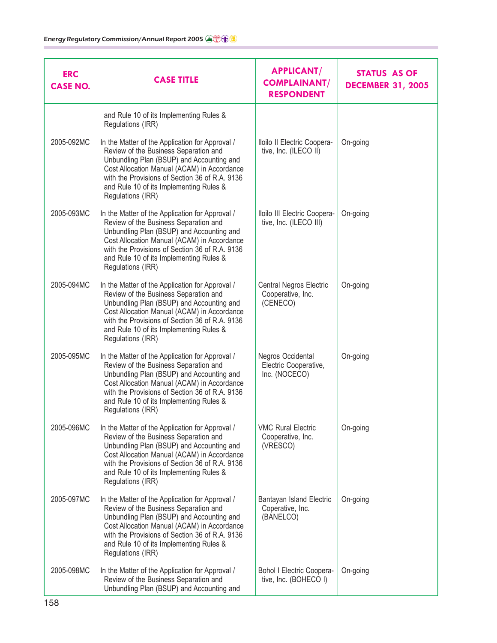| <b>ERC</b><br><b>CASE NO.</b> | <b>CASE TITLE</b>                                                                                                                                                                                                                                                                                      | <b>APPLICANT/</b><br><b>COMPLAINANT/</b><br><b>RESPONDENT</b>   | STATUS AS OF<br><b>DECEMBER 31, 2005</b> |
|-------------------------------|--------------------------------------------------------------------------------------------------------------------------------------------------------------------------------------------------------------------------------------------------------------------------------------------------------|-----------------------------------------------------------------|------------------------------------------|
|                               | and Rule 10 of its Implementing Rules &<br>Regulations (IRR)                                                                                                                                                                                                                                           |                                                                 |                                          |
| 2005-092MC                    | In the Matter of the Application for Approval /<br>Review of the Business Separation and<br>Unbundling Plan (BSUP) and Accounting and<br>Cost Allocation Manual (ACAM) in Accordance<br>with the Provisions of Section 36 of R.A. 9136<br>and Rule 10 of its Implementing Rules &<br>Regulations (IRR) | Iloilo II Electric Coopera-<br>tive, Inc. (ILECO II)            | On-going                                 |
| 2005-093MC                    | In the Matter of the Application for Approval /<br>Review of the Business Separation and<br>Unbundling Plan (BSUP) and Accounting and<br>Cost Allocation Manual (ACAM) in Accordance<br>with the Provisions of Section 36 of R.A. 9136<br>and Rule 10 of its Implementing Rules &<br>Regulations (IRR) | Iloilo III Electric Coopera-<br>tive, Inc. (ILECO III)          | On-going                                 |
| 2005-094MC                    | In the Matter of the Application for Approval /<br>Review of the Business Separation and<br>Unbundling Plan (BSUP) and Accounting and<br>Cost Allocation Manual (ACAM) in Accordance<br>with the Provisions of Section 36 of R.A. 9136<br>and Rule 10 of its Implementing Rules &<br>Regulations (IRR) | <b>Central Negros Electric</b><br>Cooperative, Inc.<br>(CENECO) | On-going                                 |
| 2005-095MC                    | In the Matter of the Application for Approval /<br>Review of the Business Separation and<br>Unbundling Plan (BSUP) and Accounting and<br>Cost Allocation Manual (ACAM) in Accordance<br>with the Provisions of Section 36 of R.A. 9136<br>and Rule 10 of its Implementing Rules &<br>Regulations (IRR) | Negros Occidental<br>Electric Cooperative,<br>Inc. (NOCECO)     | On-going                                 |
| 2005-096MC                    | In the Matter of the Application for Approval /<br>Review of the Business Separation and<br>Unbundling Plan (BSUP) and Accounting and<br>Cost Allocation Manual (ACAM) in Accordance<br>with the Provisions of Section 36 of R.A. 9136<br>and Rule 10 of its Implementing Rules &<br>Regulations (IRR) | <b>VMC Rural Electric</b><br>Cooperative, Inc.<br>(VRESCO)      | On-going                                 |
| 2005-097MC                    | In the Matter of the Application for Approval /<br>Review of the Business Separation and<br>Unbundling Plan (BSUP) and Accounting and<br>Cost Allocation Manual (ACAM) in Accordance<br>with the Provisions of Section 36 of R.A. 9136<br>and Rule 10 of its Implementing Rules &<br>Regulations (IRR) | Bantayan Island Electric<br>Coperative, Inc.<br>(BANELCO)       | On-going                                 |
| 2005-098MC                    | In the Matter of the Application for Approval /<br>Review of the Business Separation and<br>Unbundling Plan (BSUP) and Accounting and                                                                                                                                                                  | Bohol I Electric Coopera-<br>tive, Inc. (BOHECO I)              | On-going                                 |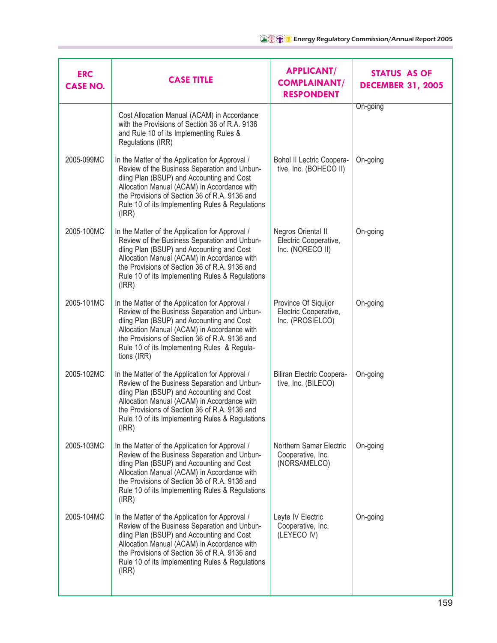| <b>ERC</b><br><b>CASE NO.</b> | <b>CASE TITLE</b>                                                                                                                                                                                                                                                                                          | <b>APPLICANT/</b><br><b>COMPLAINANT/</b><br><b>RESPONDENT</b>     | <b>STATUS AS OF</b><br><b>DECEMBER 31, 2005</b> |
|-------------------------------|------------------------------------------------------------------------------------------------------------------------------------------------------------------------------------------------------------------------------------------------------------------------------------------------------------|-------------------------------------------------------------------|-------------------------------------------------|
|                               | Cost Allocation Manual (ACAM) in Accordance<br>with the Provisions of Section 36 of R.A. 9136<br>and Rule 10 of its Implementing Rules &<br>Regulations (IRR)                                                                                                                                              |                                                                   | On-going                                        |
| 2005-099MC                    | In the Matter of the Application for Approval /<br>Review of the Business Separation and Unbun-<br>dling Plan (BSUP) and Accounting and Cost<br>Allocation Manual (ACAM) in Accordance with<br>the Provisions of Section 36 of R.A. 9136 and<br>Rule 10 of its Implementing Rules & Regulations<br>(IRR)   | Bohol II Lectric Coopera-<br>tive, Inc. (BOHECO II)               | On-going                                        |
| 2005-100MC                    | In the Matter of the Application for Approval /<br>Review of the Business Separation and Unbun-<br>dling Plan (BSUP) and Accounting and Cost<br>Allocation Manual (ACAM) in Accordance with<br>the Provisions of Section 36 of R.A. 9136 and<br>Rule 10 of its Implementing Rules & Regulations<br>(IRR)   | Negros Oriental II<br>Electric Cooperative,<br>Inc. (NORECO II)   | On-going                                        |
| 2005-101MC                    | In the Matter of the Application for Approval /<br>Review of the Business Separation and Unbun-<br>dling Plan (BSUP) and Accounting and Cost<br>Allocation Manual (ACAM) in Accordance with<br>the Provisions of Section 36 of R.A. 9136 and<br>Rule 10 of its Implementing Rules & Regula-<br>tions (IRR) | Province Of Siquijor<br>Electric Cooperative,<br>Inc. (PROSIELCO) | On-going                                        |
| 2005-102MC                    | In the Matter of the Application for Approval /<br>Review of the Business Separation and Unbun-<br>dling Plan (BSUP) and Accounting and Cost<br>Allocation Manual (ACAM) in Accordance with<br>the Provisions of Section 36 of R.A. 9136 and<br>Rule 10 of its Implementing Rules & Regulations<br>(IRR)   | Biliran Electric Coopera-<br>tive, Inc. (BILECO)                  | On-going                                        |
| 2005-103MC                    | In the Matter of the Application for Approval /<br>Review of the Business Separation and Unbun-<br>dling Plan (BSUP) and Accounting and Cost<br>Allocation Manual (ACAM) in Accordance with<br>the Provisions of Section 36 of R.A. 9136 and<br>Rule 10 of its Implementing Rules & Regulations<br>(IRR)   | Northern Samar Electric<br>Cooperative, Inc.<br>(NORSAMELCO)      | On-going                                        |
| 2005-104MC                    | In the Matter of the Application for Approval /<br>Review of the Business Separation and Unbun-<br>dling Plan (BSUP) and Accounting and Cost<br>Allocation Manual (ACAM) in Accordance with<br>the Provisions of Section 36 of R.A. 9136 and<br>Rule 10 of its Implementing Rules & Regulations<br>(IRR)   | Leyte IV Electric<br>Cooperative, Inc.<br>(LEYECO IV)             | On-going                                        |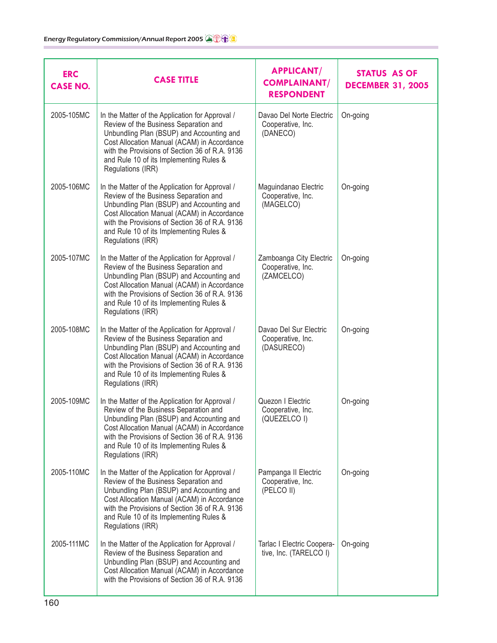| <b>ERC</b><br><b>CASE NO.</b> | <b>CASE TITLE</b>                                                                                                                                                                                                                                                                                      | <b>APPLICANT/</b><br><b>COMPLAINANT/</b><br><b>RESPONDENT</b> | <b>STATUS AS OF</b><br><b>DECEMBER 31, 2005</b> |
|-------------------------------|--------------------------------------------------------------------------------------------------------------------------------------------------------------------------------------------------------------------------------------------------------------------------------------------------------|---------------------------------------------------------------|-------------------------------------------------|
| 2005-105MC                    | In the Matter of the Application for Approval /<br>Review of the Business Separation and<br>Unbundling Plan (BSUP) and Accounting and<br>Cost Allocation Manual (ACAM) in Accordance<br>with the Provisions of Section 36 of R.A. 9136<br>and Rule 10 of its Implementing Rules &<br>Regulations (IRR) | Davao Del Norte Electric<br>Cooperative, Inc.<br>(DANECO)     | On-going                                        |
| 2005-106MC                    | In the Matter of the Application for Approval /<br>Review of the Business Separation and<br>Unbundling Plan (BSUP) and Accounting and<br>Cost Allocation Manual (ACAM) in Accordance<br>with the Provisions of Section 36 of R.A. 9136<br>and Rule 10 of its Implementing Rules &<br>Regulations (IRR) | Maguindanao Electric<br>Cooperative, Inc.<br>(MAGELCO)        | On-going                                        |
| 2005-107MC                    | In the Matter of the Application for Approval /<br>Review of the Business Separation and<br>Unbundling Plan (BSUP) and Accounting and<br>Cost Allocation Manual (ACAM) in Accordance<br>with the Provisions of Section 36 of R.A. 9136<br>and Rule 10 of its Implementing Rules &<br>Regulations (IRR) | Zamboanga City Electric<br>Cooperative, Inc.<br>(ZAMCELCO)    | On-going                                        |
| 2005-108MC                    | In the Matter of the Application for Approval /<br>Review of the Business Separation and<br>Unbundling Plan (BSUP) and Accounting and<br>Cost Allocation Manual (ACAM) in Accordance<br>with the Provisions of Section 36 of R.A. 9136<br>and Rule 10 of its Implementing Rules &<br>Regulations (IRR) | Davao Del Sur Electric<br>Cooperative, Inc.<br>(DASURECO)     | On-going                                        |
| 2005-109MC                    | In the Matter of the Application for Approval /<br>Review of the Business Separation and<br>Unbundling Plan (BSUP) and Accounting and<br>Cost Allocation Manual (ACAM) in Accordance<br>with the Provisions of Section 36 of R.A. 9136<br>and Rule 10 of its Implementing Rules &<br>Regulations (IRR) | Quezon I Electric<br>Cooperative, Inc.<br>(QUEZELCO I)        | On-going                                        |
| 2005-110MC                    | In the Matter of the Application for Approval /<br>Review of the Business Separation and<br>Unbundling Plan (BSUP) and Accounting and<br>Cost Allocation Manual (ACAM) in Accordance<br>with the Provisions of Section 36 of R.A. 9136<br>and Rule 10 of its Implementing Rules &<br>Regulations (IRR) | Pampanga II Electric<br>Cooperative, Inc.<br>(PELCO II)       | On-going                                        |
| 2005-111MC                    | In the Matter of the Application for Approval /<br>Review of the Business Separation and<br>Unbundling Plan (BSUP) and Accounting and<br>Cost Allocation Manual (ACAM) in Accordance<br>with the Provisions of Section 36 of R.A. 9136                                                                 | Tarlac I Electric Coopera-<br>tive, Inc. (TARELCO I)          | On-going                                        |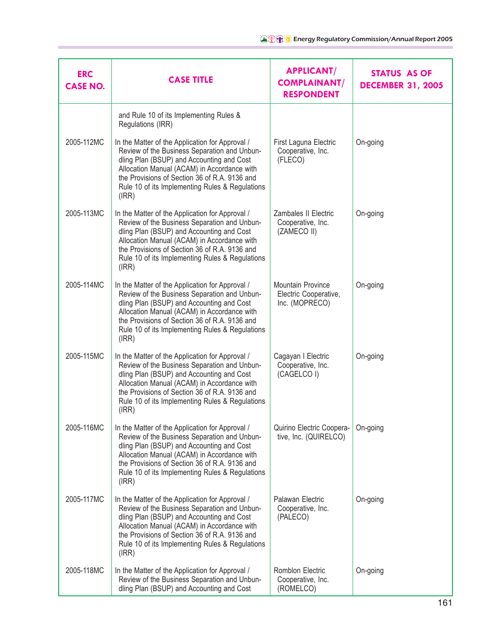| <b>ERC</b><br><b>CASE NO.</b> | <b>CASE TITLE</b>                                                                                                                                                                                                                                                                                        | <b>APPLICANT/</b><br><b>COMPLAINANT/</b><br><b>RESPONDENT</b>       | <b>STATUS AS OF</b><br><b>DECEMBER 31, 2005</b> |
|-------------------------------|----------------------------------------------------------------------------------------------------------------------------------------------------------------------------------------------------------------------------------------------------------------------------------------------------------|---------------------------------------------------------------------|-------------------------------------------------|
|                               | and Rule 10 of its Implementing Rules &<br>Regulations (IRR)                                                                                                                                                                                                                                             |                                                                     |                                                 |
| 2005-112MC                    | In the Matter of the Application for Approval /<br>Review of the Business Separation and Unbun-<br>dling Plan (BSUP) and Accounting and Cost<br>Allocation Manual (ACAM) in Accordance with<br>the Provisions of Section 36 of R.A. 9136 and<br>Rule 10 of its Implementing Rules & Regulations<br>(IRR) | First Laguna Electric<br>Cooperative, Inc.<br>(FLECO)               | On-going                                        |
| 2005-113MC                    | In the Matter of the Application for Approval /<br>Review of the Business Separation and Unbun-<br>dling Plan (BSUP) and Accounting and Cost<br>Allocation Manual (ACAM) in Accordance with<br>the Provisions of Section 36 of R.A. 9136 and<br>Rule 10 of its Implementing Rules & Regulations<br>(IRR) | Zambales II Electric<br>Cooperative, Inc.<br>(ZAMECO II)            | On-going                                        |
| 2005-114MC                    | In the Matter of the Application for Approval /<br>Review of the Business Separation and Unbun-<br>dling Plan (BSUP) and Accounting and Cost<br>Allocation Manual (ACAM) in Accordance with<br>the Provisions of Section 36 of R.A. 9136 and<br>Rule 10 of its Implementing Rules & Regulations<br>(IRR) | <b>Mountain Province</b><br>Electric Cooperative,<br>Inc. (MOPRECO) | On-going                                        |
| 2005-115MC                    | In the Matter of the Application for Approval /<br>Review of the Business Separation and Unbun-<br>dling Plan (BSUP) and Accounting and Cost<br>Allocation Manual (ACAM) in Accordance with<br>the Provisions of Section 36 of R.A. 9136 and<br>Rule 10 of its Implementing Rules & Regulations<br>(IRR) | Cagayan I Electric<br>Cooperative, Inc.<br>(CAGELCO I)              | On-going                                        |
| 2005-116MC                    | In the Matter of the Application for Approval /<br>Review of the Business Separation and Unbun-<br>dling Plan (BSUP) and Accounting and Cost<br>Allocation Manual (ACAM) in Accordance with<br>the Provisions of Section 36 of R.A. 9136 and<br>Rule 10 of its Implementing Rules & Regulations<br>(IRR) | Quirino Electric Coopera-<br>tive, Inc. (QUIRELCO)                  | On-going                                        |
| 2005-117MC                    | In the Matter of the Application for Approval /<br>Review of the Business Separation and Unbun-<br>dling Plan (BSUP) and Accounting and Cost<br>Allocation Manual (ACAM) in Accordance with<br>the Provisions of Section 36 of R.A. 9136 and<br>Rule 10 of its Implementing Rules & Regulations<br>(IRR) | Palawan Electric<br>Cooperative, Inc.<br>(PALECO)                   | On-going                                        |
| 2005-118MC                    | In the Matter of the Application for Approval /<br>Review of the Business Separation and Unbun-<br>dling Plan (BSUP) and Accounting and Cost                                                                                                                                                             | Romblon Electric<br>Cooperative, Inc.<br>(ROMELCO)                  | On-going                                        |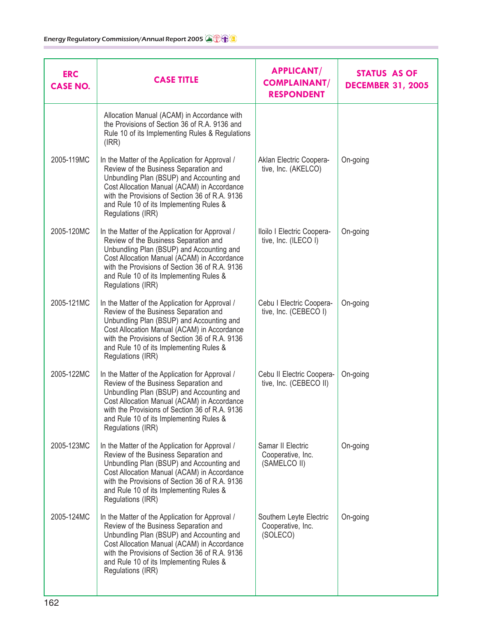| <b>ERC</b><br><b>CASE NO.</b> | <b>CASE TITLE</b>                                                                                                                                                                                                                                                                                      | <b>APPLICANT/</b><br><b>COMPLAINANT/</b><br><b>RESPONDENT</b> | <b>STATUS AS OF</b><br><b>DECEMBER 31, 2005</b> |
|-------------------------------|--------------------------------------------------------------------------------------------------------------------------------------------------------------------------------------------------------------------------------------------------------------------------------------------------------|---------------------------------------------------------------|-------------------------------------------------|
|                               | Allocation Manual (ACAM) in Accordance with<br>the Provisions of Section 36 of R.A. 9136 and<br>Rule 10 of its Implementing Rules & Regulations<br>(IRR)                                                                                                                                               |                                                               |                                                 |
| 2005-119MC                    | In the Matter of the Application for Approval /<br>Review of the Business Separation and<br>Unbundling Plan (BSUP) and Accounting and<br>Cost Allocation Manual (ACAM) in Accordance<br>with the Provisions of Section 36 of R.A. 9136<br>and Rule 10 of its Implementing Rules &<br>Regulations (IRR) | Aklan Electric Coopera-<br>tive, Inc. (AKELCO)                | On-going                                        |
| 2005-120MC                    | In the Matter of the Application for Approval /<br>Review of the Business Separation and<br>Unbundling Plan (BSUP) and Accounting and<br>Cost Allocation Manual (ACAM) in Accordance<br>with the Provisions of Section 36 of R.A. 9136<br>and Rule 10 of its Implementing Rules &<br>Regulations (IRR) | Iloilo I Electric Coopera-<br>tive, Inc. (ILECO I)            | On-going                                        |
| 2005-121MC                    | In the Matter of the Application for Approval /<br>Review of the Business Separation and<br>Unbundling Plan (BSUP) and Accounting and<br>Cost Allocation Manual (ACAM) in Accordance<br>with the Provisions of Section 36 of R.A. 9136<br>and Rule 10 of its Implementing Rules &<br>Regulations (IRR) | Cebu I Electric Coopera-<br>tive, Inc. (CEBECO I)             | On-going                                        |
| 2005-122MC                    | In the Matter of the Application for Approval /<br>Review of the Business Separation and<br>Unbundling Plan (BSUP) and Accounting and<br>Cost Allocation Manual (ACAM) in Accordance<br>with the Provisions of Section 36 of R.A. 9136<br>and Rule 10 of its Implementing Rules &<br>Regulations (IRR) | Cebu II Electric Coopera-<br>tive, Inc. (CEBECO II)           | On-going                                        |
| 2005-123MC                    | In the Matter of the Application for Approval /<br>Review of the Business Separation and<br>Unbundling Plan (BSUP) and Accounting and<br>Cost Allocation Manual (ACAM) in Accordance<br>with the Provisions of Section 36 of R.A. 9136<br>and Rule 10 of its Implementing Rules &<br>Regulations (IRR) | Samar II Electric<br>Cooperative, Inc.<br>(SAMELCO II)        | On-going                                        |
| 2005-124MC                    | In the Matter of the Application for Approval /<br>Review of the Business Separation and<br>Unbundling Plan (BSUP) and Accounting and<br>Cost Allocation Manual (ACAM) in Accordance<br>with the Provisions of Section 36 of R.A. 9136<br>and Rule 10 of its Implementing Rules &<br>Regulations (IRR) | Southern Leyte Electric<br>Cooperative, Inc.<br>(SOLECO)      | On-going                                        |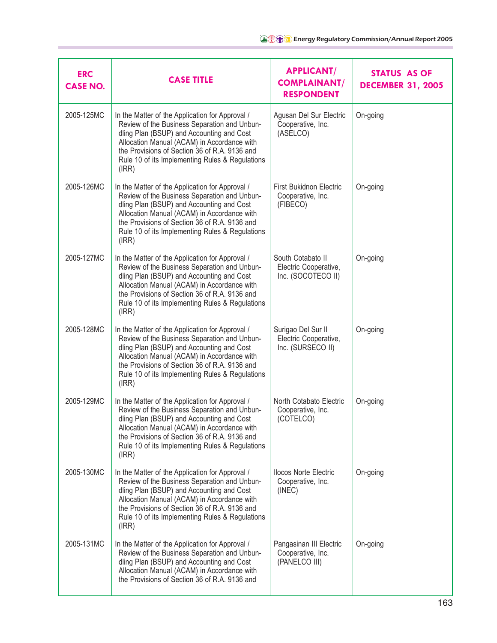| <b>ERC</b><br><b>CASE NO.</b> | <b>CASE TITLE</b>                                                                                                                                                                                                                                                                                        | <b>APPLICANT/</b><br><b>COMPLAINANT/</b><br><b>RESPONDENT</b>    | <b>STATUS AS OF</b><br><b>DECEMBER 31, 2005</b> |
|-------------------------------|----------------------------------------------------------------------------------------------------------------------------------------------------------------------------------------------------------------------------------------------------------------------------------------------------------|------------------------------------------------------------------|-------------------------------------------------|
| 2005-125MC                    | In the Matter of the Application for Approval /<br>Review of the Business Separation and Unbun-<br>dling Plan (BSUP) and Accounting and Cost<br>Allocation Manual (ACAM) in Accordance with<br>the Provisions of Section 36 of R.A. 9136 and<br>Rule 10 of its Implementing Rules & Regulations<br>(IRR) | Agusan Del Sur Electric<br>Cooperative, Inc.<br>(ASELCO)         | On-going                                        |
| 2005-126MC                    | In the Matter of the Application for Approval /<br>Review of the Business Separation and Unbun-<br>dling Plan (BSUP) and Accounting and Cost<br>Allocation Manual (ACAM) in Accordance with<br>the Provisions of Section 36 of R.A. 9136 and<br>Rule 10 of its Implementing Rules & Regulations<br>(IRR) | <b>First Bukidnon Electric</b><br>Cooperative, Inc.<br>(FIBECO)  | On-going                                        |
| 2005-127MC                    | In the Matter of the Application for Approval /<br>Review of the Business Separation and Unbun-<br>dling Plan (BSUP) and Accounting and Cost<br>Allocation Manual (ACAM) in Accordance with<br>the Provisions of Section 36 of R.A. 9136 and<br>Rule 10 of its Implementing Rules & Regulations<br>(IRR) | South Cotabato II<br>Electric Cooperative,<br>Inc. (SOCOTECO II) | On-going                                        |
| 2005-128MC                    | In the Matter of the Application for Approval /<br>Review of the Business Separation and Unbun-<br>dling Plan (BSUP) and Accounting and Cost<br>Allocation Manual (ACAM) in Accordance with<br>the Provisions of Section 36 of R.A. 9136 and<br>Rule 10 of its Implementing Rules & Regulations<br>(IRR) | Surigao Del Sur II<br>Electric Cooperative,<br>Inc. (SURSECO II) | On-going                                        |
| 2005-129MC                    | In the Matter of the Application for Approval /<br>Review of the Business Separation and Unbun-<br>dling Plan (BSUP) and Accounting and Cost<br>Allocation Manual (ACAM) in Accordance with<br>the Provisions of Section 36 of R.A. 9136 and<br>Rule 10 of its Implementing Rules & Regulations<br>(IRR) | North Cotabato Electric<br>Cooperative, Inc.<br>(COTELCO)        | On-going                                        |
| 2005-130MC                    | In the Matter of the Application for Approval /<br>Review of the Business Separation and Unbun-<br>dling Plan (BSUP) and Accounting and Cost<br>Allocation Manual (ACAM) in Accordance with<br>the Provisions of Section 36 of R.A. 9136 and<br>Rule 10 of its Implementing Rules & Regulations<br>(IRR) | <b>Ilocos Norte Electric</b><br>Cooperative, Inc.<br>(INEC)      | On-going                                        |
| 2005-131MC                    | In the Matter of the Application for Approval /<br>Review of the Business Separation and Unbun-<br>dling Plan (BSUP) and Accounting and Cost<br>Allocation Manual (ACAM) in Accordance with<br>the Provisions of Section 36 of R.A. 9136 and                                                             | Pangasinan III Electric<br>Cooperative, Inc.<br>(PANELCO III)    | On-going                                        |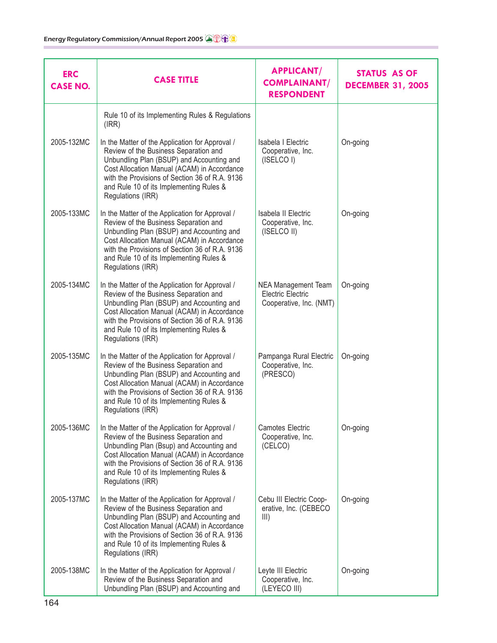| <b>ERC</b><br><b>CASE NO.</b> | <b>CASE TITLE</b>                                                                                                                                                                                                                                                                                      | <b>APPLICANT/</b><br><b>COMPLAINANT/</b><br><b>RESPONDENT</b>              | STATUS AS OF<br><b>DECEMBER 31, 2005</b> |
|-------------------------------|--------------------------------------------------------------------------------------------------------------------------------------------------------------------------------------------------------------------------------------------------------------------------------------------------------|----------------------------------------------------------------------------|------------------------------------------|
|                               | Rule 10 of its Implementing Rules & Regulations<br>(IRR)                                                                                                                                                                                                                                               |                                                                            |                                          |
| 2005-132MC                    | In the Matter of the Application for Approval /<br>Review of the Business Separation and<br>Unbundling Plan (BSUP) and Accounting and<br>Cost Allocation Manual (ACAM) in Accordance<br>with the Provisions of Section 36 of R.A. 9136<br>and Rule 10 of its Implementing Rules &<br>Regulations (IRR) | Isabela I Electric<br>Cooperative, Inc.<br>(ISELCO I)                      | On-going                                 |
| 2005-133MC                    | In the Matter of the Application for Approval /<br>Review of the Business Separation and<br>Unbundling Plan (BSUP) and Accounting and<br>Cost Allocation Manual (ACAM) in Accordance<br>with the Provisions of Section 36 of R.A. 9136<br>and Rule 10 of its Implementing Rules &<br>Regulations (IRR) | Isabela II Electric<br>Cooperative, Inc.<br>(ISELCO II)                    | On-going                                 |
| 2005-134MC                    | In the Matter of the Application for Approval /<br>Review of the Business Separation and<br>Unbundling Plan (BSUP) and Accounting and<br>Cost Allocation Manual (ACAM) in Accordance<br>with the Provisions of Section 36 of R.A. 9136<br>and Rule 10 of its Implementing Rules &<br>Regulations (IRR) | <b>NEA Management Team</b><br>Electric Electric<br>Cooperative, Inc. (NMT) | On-going                                 |
| 2005-135MC                    | In the Matter of the Application for Approval /<br>Review of the Business Separation and<br>Unbundling Plan (BSUP) and Accounting and<br>Cost Allocation Manual (ACAM) in Accordance<br>with the Provisions of Section 36 of R.A. 9136<br>and Rule 10 of its Implementing Rules &<br>Regulations (IRR) | Pampanga Rural Electric<br>Cooperative, Inc.<br>(PRESCO)                   | On-going                                 |
| 2005-136MC                    | In the Matter of the Application for Approval /<br>Review of the Business Separation and<br>Unbundling Plan (Bsup) and Accounting and<br>Cost Allocation Manual (ACAM) in Accordance<br>with the Provisions of Section 36 of R.A. 9136<br>and Rule 10 of its Implementing Rules &<br>Regulations (IRR) | <b>Camotes Electric</b><br>Cooperative, Inc.<br>(CELCO)                    | On-going                                 |
| 2005-137MC                    | In the Matter of the Application for Approval /<br>Review of the Business Separation and<br>Unbundling Plan (BSUP) and Accounting and<br>Cost Allocation Manual (ACAM) in Accordance<br>with the Provisions of Section 36 of R.A. 9136<br>and Rule 10 of its Implementing Rules &<br>Regulations (IRR) | Cebu III Electric Coop-<br>erative, Inc. (CEBECO<br>III)                   | On-going                                 |
| 2005-138MC                    | In the Matter of the Application for Approval /<br>Review of the Business Separation and<br>Unbundling Plan (BSUP) and Accounting and                                                                                                                                                                  | Leyte III Electric<br>Cooperative, Inc.<br>(LEYECO III)                    | On-going                                 |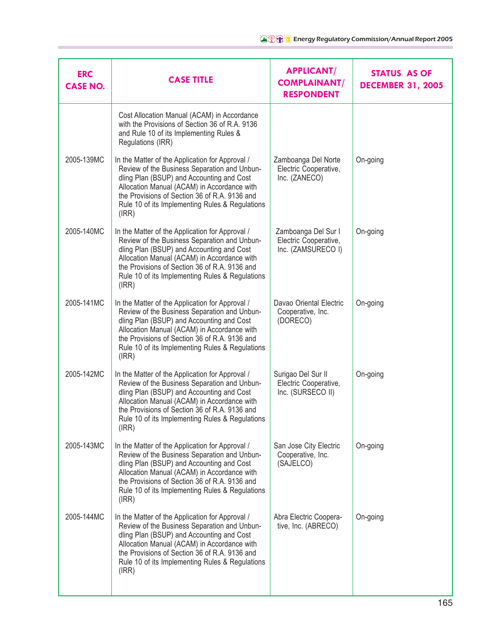| <b>ERC</b><br><b>CASE NO.</b> | <b>CASE TITLE</b>                                                                                                                                                                                                                                                                                        | <b>APPLICANT/</b><br><b>COMPLAINANT/</b><br><b>RESPONDENT</b>      | <b>STATUS AS OF</b><br><b>DECEMBER 31, 2005</b> |
|-------------------------------|----------------------------------------------------------------------------------------------------------------------------------------------------------------------------------------------------------------------------------------------------------------------------------------------------------|--------------------------------------------------------------------|-------------------------------------------------|
|                               | Cost Allocation Manual (ACAM) in Accordance<br>with the Provisions of Section 36 of R.A. 9136<br>and Rule 10 of its Implementing Rules &<br>Regulations (IRR)                                                                                                                                            |                                                                    |                                                 |
| 2005-139MC                    | In the Matter of the Application for Approval /<br>Review of the Business Separation and Unbun-<br>dling Plan (BSUP) and Accounting and Cost<br>Allocation Manual (ACAM) in Accordance with<br>the Provisions of Section 36 of R.A. 9136 and<br>Rule 10 of its Implementing Rules & Regulations<br>(IRR) | Zamboanga Del Norte<br>Electric Cooperative,<br>Inc. (ZANECO)      | On-going                                        |
| 2005-140MC                    | In the Matter of the Application for Approval /<br>Review of the Business Separation and Unbun-<br>dling Plan (BSUP) and Accounting and Cost<br>Allocation Manual (ACAM) in Accordance with<br>the Provisions of Section 36 of R.A. 9136 and<br>Rule 10 of its Implementing Rules & Regulations<br>(IRR) | Zamboanga Del Sur I<br>Electric Cooperative,<br>Inc. (ZAMSURECO I) | On-going                                        |
| 2005-141MC                    | In the Matter of the Application for Approval /<br>Review of the Business Separation and Unbun-<br>dling Plan (BSUP) and Accounting and Cost<br>Allocation Manual (ACAM) in Accordance with<br>the Provisions of Section 36 of R.A. 9136 and<br>Rule 10 of its Implementing Rules & Regulations<br>(IRR) | Davao Oriental Electric<br>Cooperative, Inc.<br>(DORECO)           | On-going                                        |
| 2005-142MC                    | In the Matter of the Application for Approval /<br>Review of the Business Separation and Unbun-<br>dling Plan (BSUP) and Accounting and Cost<br>Allocation Manual (ACAM) in Accordance with<br>the Provisions of Section 36 of R.A. 9136 and<br>Rule 10 of its Implementing Rules & Regulations<br>(IRR) | Surigao Del Sur II<br>Electric Cooperative,<br>Inc. (SURSECO II)   | On-going                                        |
| 2005-143MC                    | In the Matter of the Application for Approval /<br>Review of the Business Separation and Unbun-<br>dling Plan (BSUP) and Accounting and Cost<br>Allocation Manual (ACAM) in Accordance with<br>the Provisions of Section 36 of R.A. 9136 and<br>Rule 10 of its Implementing Rules & Regulations<br>(IRR) | San Jose City Electric<br>Cooperative, Inc.<br>(SAJELCO)           | On-going                                        |
| 2005-144MC                    | In the Matter of the Application for Approval /<br>Review of the Business Separation and Unbun-<br>dling Plan (BSUP) and Accounting and Cost<br>Allocation Manual (ACAM) in Accordance with<br>the Provisions of Section 36 of R.A. 9136 and<br>Rule 10 of its Implementing Rules & Regulations<br>(IRR) | Abra Electric Coopera-<br>tive, Inc. (ABRECO)                      | On-going                                        |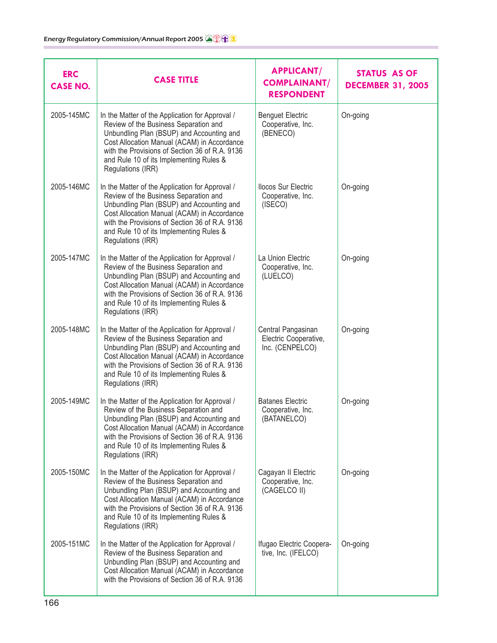| <b>ERC</b><br><b>CASE NO.</b> | <b>CASE TITLE</b>                                                                                                                                                                                                                                                                                      | <b>APPLICANT/</b><br><b>COMPLAINANT/</b><br><b>RESPONDENT</b>  | <b>STATUS AS OF</b><br><b>DECEMBER 31, 2005</b> |
|-------------------------------|--------------------------------------------------------------------------------------------------------------------------------------------------------------------------------------------------------------------------------------------------------------------------------------------------------|----------------------------------------------------------------|-------------------------------------------------|
| 2005-145MC                    | In the Matter of the Application for Approval /<br>Review of the Business Separation and<br>Unbundling Plan (BSUP) and Accounting and<br>Cost Allocation Manual (ACAM) in Accordance<br>with the Provisions of Section 36 of R.A. 9136<br>and Rule 10 of its Implementing Rules &<br>Regulations (IRR) | <b>Benguet Electric</b><br>Cooperative, Inc.<br>(BENECO)       | On-going                                        |
| 2005-146MC                    | In the Matter of the Application for Approval /<br>Review of the Business Separation and<br>Unbundling Plan (BSUP) and Accounting and<br>Cost Allocation Manual (ACAM) in Accordance<br>with the Provisions of Section 36 of R.A. 9136<br>and Rule 10 of its Implementing Rules &<br>Regulations (IRR) | <b>Ilocos Sur Electric</b><br>Cooperative, Inc.<br>(ISECO)     | On-going                                        |
| 2005-147MC                    | In the Matter of the Application for Approval /<br>Review of the Business Separation and<br>Unbundling Plan (BSUP) and Accounting and<br>Cost Allocation Manual (ACAM) in Accordance<br>with the Provisions of Section 36 of R.A. 9136<br>and Rule 10 of its Implementing Rules &<br>Regulations (IRR) | La Union Electric<br>Cooperative, Inc.<br>(LUELCO)             | On-going                                        |
| 2005-148MC                    | In the Matter of the Application for Approval /<br>Review of the Business Separation and<br>Unbundling Plan (BSUP) and Accounting and<br>Cost Allocation Manual (ACAM) in Accordance<br>with the Provisions of Section 36 of R.A. 9136<br>and Rule 10 of its Implementing Rules &<br>Regulations (IRR) | Central Pangasinan<br>Electric Cooperative,<br>Inc. (CENPELCO) | On-going                                        |
| 2005-149MC                    | In the Matter of the Application for Approval /<br>Review of the Business Separation and<br>Unbundling Plan (BSUP) and Accounting and<br>Cost Allocation Manual (ACAM) in Accordance<br>with the Provisions of Section 36 of R.A. 9136<br>and Rule 10 of its Implementing Rules &<br>Regulations (IRR) | <b>Batanes Electric</b><br>Cooperative, Inc.<br>(BATANELCO)    | On-going                                        |
| 2005-150MC                    | In the Matter of the Application for Approval /<br>Review of the Business Separation and<br>Unbundling Plan (BSUP) and Accounting and<br>Cost Allocation Manual (ACAM) in Accordance<br>with the Provisions of Section 36 of R.A. 9136<br>and Rule 10 of its Implementing Rules &<br>Regulations (IRR) | Cagayan II Electric<br>Cooperative, Inc.<br>(CAGELCO II)       | On-going                                        |
| 2005-151MC                    | In the Matter of the Application for Approval /<br>Review of the Business Separation and<br>Unbundling Plan (BSUP) and Accounting and<br>Cost Allocation Manual (ACAM) in Accordance<br>with the Provisions of Section 36 of R.A. 9136                                                                 | Ifugao Electric Coopera-<br>tive, Inc. (IFELCO)                | On-going                                        |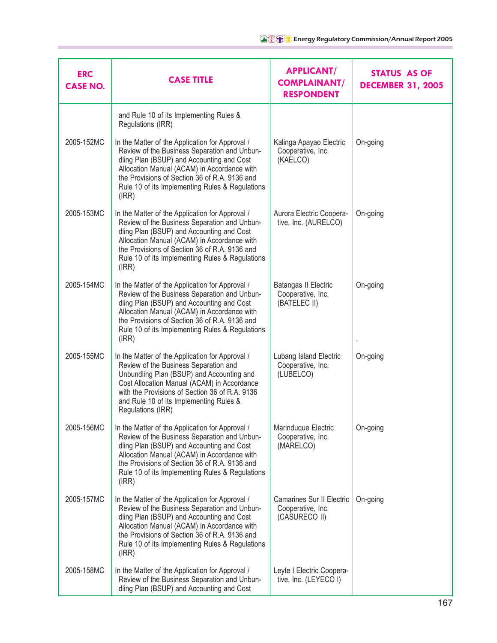| <b>ERC</b><br><b>CASE NO.</b> | <b>CASE TITLE</b>                                                                                                                                                                                                                                                                                        | <b>APPLICANT/</b><br><b>COMPLAINANT/</b><br><b>RESPONDENT</b>   | STATUS AS OF<br><b>DECEMBER 31, 2005</b> |
|-------------------------------|----------------------------------------------------------------------------------------------------------------------------------------------------------------------------------------------------------------------------------------------------------------------------------------------------------|-----------------------------------------------------------------|------------------------------------------|
|                               | and Rule 10 of its Implementing Rules &<br>Regulations (IRR)                                                                                                                                                                                                                                             |                                                                 |                                          |
| 2005-152MC                    | In the Matter of the Application for Approval /<br>Review of the Business Separation and Unbun-<br>dling Plan (BSUP) and Accounting and Cost<br>Allocation Manual (ACAM) in Accordance with<br>the Provisions of Section 36 of R.A. 9136 and<br>Rule 10 of its Implementing Rules & Regulations<br>(IRR) | Kalinga Apayao Electric<br>Cooperative, Inc.<br>(KAELCO)        | On-going                                 |
| 2005-153MC                    | In the Matter of the Application for Approval /<br>Review of the Business Separation and Unbun-<br>dling Plan (BSUP) and Accounting and Cost<br>Allocation Manual (ACAM) in Accordance with<br>the Provisions of Section 36 of R.A. 9136 and<br>Rule 10 of its Implementing Rules & Regulations<br>(IRR) | Aurora Electric Coopera-<br>tive, Inc. (AURELCO)                | On-going                                 |
| 2005-154MC                    | In the Matter of the Application for Approval /<br>Review of the Business Separation and Unbun-<br>dling Plan (BSUP) and Accounting and Cost<br>Allocation Manual (ACAM) in Accordance with<br>the Provisions of Section 36 of R.A. 9136 and<br>Rule 10 of its Implementing Rules & Regulations<br>(IRR) | Batangas II Electric<br>Cooperative, Inc.<br>(BATELEC II)       | On-going                                 |
| 2005-155MC                    | In the Matter of the Application for Approval /<br>Review of the Business Separation and<br>Unbundling Plan (BSUP) and Accounting and<br>Cost Allocation Manual (ACAM) in Accordance<br>with the Provisions of Section 36 of R.A. 9136<br>and Rule 10 of its Implementing Rules &<br>Regulations (IRR)   | Lubang Island Electric<br>Cooperative, Inc.<br>(LUBELCO)        | On-going                                 |
| 2005-156MC                    | In the Matter of the Application for Approval /<br>Review of the Business Separation and Unbun-<br>dling Plan (BSUP) and Accounting and Cost<br>Allocation Manual (ACAM) in Accordance with<br>the Provisions of Section 36 of R.A. 9136 and<br>Rule 10 of its Implementing Rules & Regulations<br>(IRR) | Marinduque Electric<br>Cooperative, Inc.<br>(MARELCO)           | On-going                                 |
| 2005-157MC                    | In the Matter of the Application for Approval /<br>Review of the Business Separation and Unbun-<br>dling Plan (BSUP) and Accounting and Cost<br>Allocation Manual (ACAM) in Accordance with<br>the Provisions of Section 36 of R.A. 9136 and<br>Rule 10 of its Implementing Rules & Regulations<br>(IRR) | Camarines Sur II Electric<br>Cooperative, Inc.<br>(CASURECO II) | On-going                                 |
| 2005-158MC                    | In the Matter of the Application for Approval /<br>Review of the Business Separation and Unbun-<br>dling Plan (BSUP) and Accounting and Cost                                                                                                                                                             | Leyte I Electric Coopera-<br>tive, Inc. (LEYECO I)              |                                          |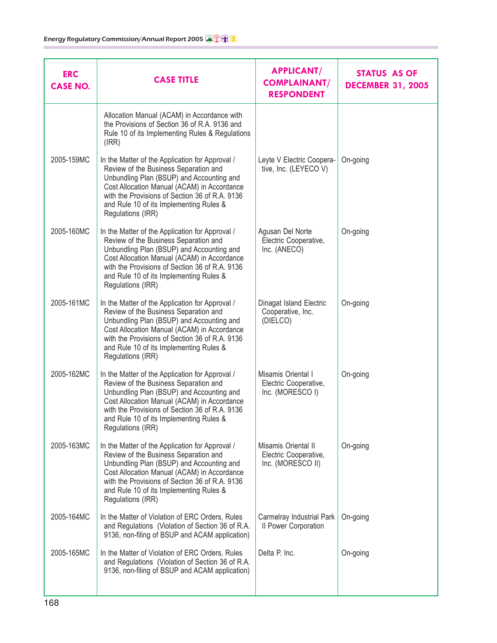| <b>ERC</b><br><b>CASE NO.</b> | <b>CASE TITLE</b>                                                                                                                                                                                                                                                                                      | <b>APPLICANT/</b><br><b>COMPLAINANT/</b><br><b>RESPONDENT</b>     | <b>STATUS AS OF</b><br><b>DECEMBER 31, 2005</b> |
|-------------------------------|--------------------------------------------------------------------------------------------------------------------------------------------------------------------------------------------------------------------------------------------------------------------------------------------------------|-------------------------------------------------------------------|-------------------------------------------------|
|                               | Allocation Manual (ACAM) in Accordance with<br>the Provisions of Section 36 of R.A. 9136 and<br>Rule 10 of its Implementing Rules & Regulations<br>(IRR)                                                                                                                                               |                                                                   |                                                 |
| 2005-159MC                    | In the Matter of the Application for Approval /<br>Review of the Business Separation and<br>Unbundling Plan (BSUP) and Accounting and<br>Cost Allocation Manual (ACAM) in Accordance<br>with the Provisions of Section 36 of R.A. 9136<br>and Rule 10 of its Implementing Rules &<br>Regulations (IRR) | Leyte V Electric Coopera-<br>tive, Inc. (LEYECO V)                | On-going                                        |
| 2005-160MC                    | In the Matter of the Application for Approval /<br>Review of the Business Separation and<br>Unbundling Plan (BSUP) and Accounting and<br>Cost Allocation Manual (ACAM) in Accordance<br>with the Provisions of Section 36 of R.A. 9136<br>and Rule 10 of its Implementing Rules &<br>Regulations (IRR) | Agusan Del Norte<br>Electric Cooperative,<br>Inc. (ANECO)         | On-going                                        |
| 2005-161MC                    | In the Matter of the Application for Approval /<br>Review of the Business Separation and<br>Unbundling Plan (BSUP) and Accounting and<br>Cost Allocation Manual (ACAM) in Accordance<br>with the Provisions of Section 36 of R.A. 9136<br>and Rule 10 of its Implementing Rules &<br>Regulations (IRR) | Dinagat Island Electric<br>Cooperative, Inc.<br>(DIELCO)          | On-going                                        |
| 2005-162MC                    | In the Matter of the Application for Approval /<br>Review of the Business Separation and<br>Unbundling Plan (BSUP) and Accounting and<br>Cost Allocation Manual (ACAM) in Accordance<br>with the Provisions of Section 36 of R.A. 9136<br>and Rule 10 of its Implementing Rules &<br>Regulations (IRR) | Misamis Oriental I<br>Electric Cooperative,<br>Inc. (MORESCO I)   | On-going                                        |
| 2005-163MC                    | In the Matter of the Application for Approval /<br>Review of the Business Separation and<br>Unbundling Plan (BSUP) and Accounting and<br>Cost Allocation Manual (ACAM) in Accordance<br>with the Provisions of Section 36 of R.A. 9136<br>and Rule 10 of its Implementing Rules &<br>Regulations (IRR) | Misamis Oriental II<br>Electric Cooperative,<br>Inc. (MORESCO II) | On-going                                        |
| 2005-164MC                    | In the Matter of Violation of ERC Orders, Rules<br>and Regulations (Violation of Section 36 of R.A.<br>9136, non-filing of BSUP and ACAM application)                                                                                                                                                  | Carmelray Industrial Park<br>Il Power Corporation                 | On-going                                        |
| 2005-165MC                    | In the Matter of Violation of ERC Orders, Rules<br>and Regulations (Violation of Section 36 of R.A.<br>9136, non-filing of BSUP and ACAM application)                                                                                                                                                  | Delta P. Inc.                                                     | On-going                                        |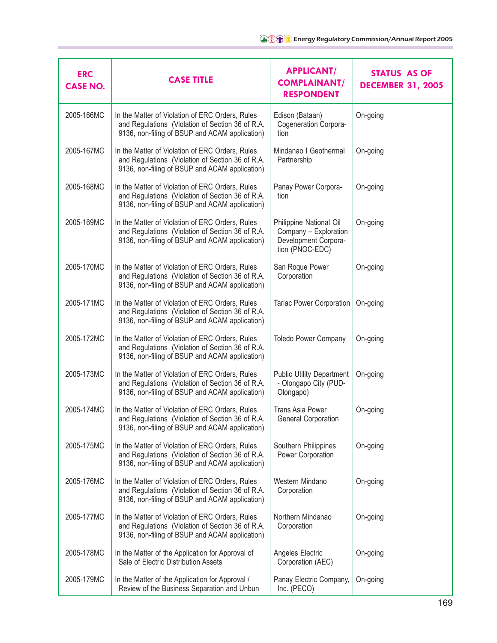| <b>ERC</b><br><b>CASE NO.</b> | <b>CASE TITLE</b>                                                                                                                                     | <b>APPLICANT/</b><br><b>COMPLAINANT/</b><br><b>RESPONDENT</b>                               | <b>STATUS AS OF</b><br><b>DECEMBER 31, 2005</b> |
|-------------------------------|-------------------------------------------------------------------------------------------------------------------------------------------------------|---------------------------------------------------------------------------------------------|-------------------------------------------------|
| 2005-166MC                    | In the Matter of Violation of ERC Orders, Rules<br>and Regulations (Violation of Section 36 of R.A.<br>9136, non-filing of BSUP and ACAM application) | Edison (Bataan)<br>Cogeneration Corpora-<br>tion                                            | On-going                                        |
| 2005-167MC                    | In the Matter of Violation of ERC Orders, Rules<br>and Regulations (Violation of Section 36 of R.A.<br>9136, non-filing of BSUP and ACAM application) | Mindanao I Geothermal<br>Partnership                                                        | On-going                                        |
| 2005-168MC                    | In the Matter of Violation of ERC Orders, Rules<br>and Regulations (Violation of Section 36 of R.A.<br>9136, non-filing of BSUP and ACAM application) | Panay Power Corpora-<br>tion                                                                | On-going                                        |
| 2005-169MC                    | In the Matter of Violation of ERC Orders, Rules<br>and Regulations (Violation of Section 36 of R.A.<br>9136, non-filing of BSUP and ACAM application) | Philippine National Oil<br>Company - Exploration<br>Development Corpora-<br>tion (PNOC-EDC) | On-going                                        |
| 2005-170MC                    | In the Matter of Violation of ERC Orders, Rules<br>and Regulations (Violation of Section 36 of R.A.<br>9136, non-filing of BSUP and ACAM application) | San Roque Power<br>Corporation                                                              | On-going                                        |
| 2005-171MC                    | In the Matter of Violation of ERC Orders, Rules<br>and Regulations (Violation of Section 36 of R.A.<br>9136, non-filing of BSUP and ACAM application) | <b>Tarlac Power Corporation</b>                                                             | On-going                                        |
| 2005-172MC                    | In the Matter of Violation of ERC Orders, Rules<br>and Regulations (Violation of Section 36 of R.A.<br>9136, non-filing of BSUP and ACAM application) | <b>Toledo Power Company</b>                                                                 | On-going                                        |
| 2005-173MC                    | In the Matter of Violation of ERC Orders, Rules<br>and Regulations (Violation of Section 36 of R.A.<br>9136, non-filing of BSUP and ACAM application) | <b>Public Utility Department</b><br>- Olongapo City (PUD-<br>Olongapo)                      | On-going                                        |
| 2005-174MC                    | In the Matter of Violation of ERC Orders, Rules<br>and Regulations (Violation of Section 36 of R.A.<br>9136, non-filing of BSUP and ACAM application) | <b>Trans Asia Power</b><br>General Corporation                                              | On-going                                        |
| 2005-175MC                    | In the Matter of Violation of ERC Orders, Rules<br>and Regulations (Violation of Section 36 of R.A.<br>9136, non-filing of BSUP and ACAM application) | Southern Philippines<br>Power Corporation                                                   | On-going                                        |
| 2005-176MC                    | In the Matter of Violation of ERC Orders, Rules<br>and Regulations (Violation of Section 36 of R.A.<br>9136, non-filing of BSUP and ACAM application) | Western Mindano<br>Corporation                                                              | On-going                                        |
| 2005-177MC                    | In the Matter of Violation of ERC Orders, Rules<br>and Regulations (Violation of Section 36 of R.A.<br>9136, non-filing of BSUP and ACAM application) | Northern Mindanao<br>Corporation                                                            | On-going                                        |
| 2005-178MC                    | In the Matter of the Application for Approval of<br>Sale of Electric Distribution Assets                                                              | Angeles Electric<br>Corporation (AEC)                                                       | On-going                                        |
| 2005-179MC                    | In the Matter of the Application for Approval /<br>Review of the Business Separation and Unbun                                                        | Panay Electric Company,<br>Inc. (PECO)                                                      | On-going                                        |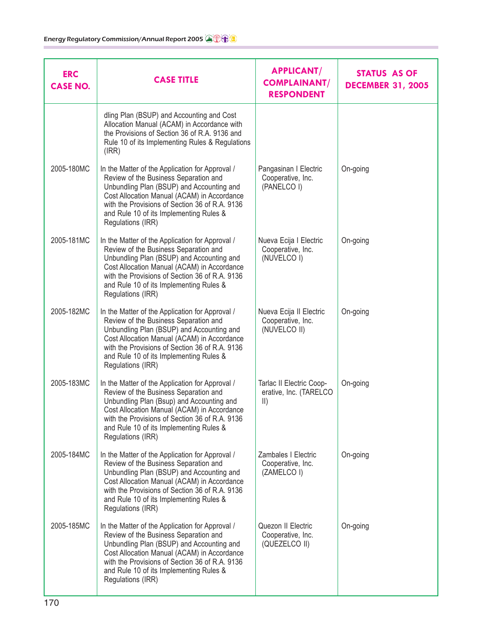| <b>ERC</b><br><b>CASE NO.</b> | <b>CASE TITLE</b>                                                                                                                                                                                                                                                                                      | <b>APPLICANT/</b><br><b>COMPLAINANT/</b><br><b>RESPONDENT</b>       | <b>STATUS AS OF</b><br><b>DECEMBER 31, 2005</b> |
|-------------------------------|--------------------------------------------------------------------------------------------------------------------------------------------------------------------------------------------------------------------------------------------------------------------------------------------------------|---------------------------------------------------------------------|-------------------------------------------------|
|                               | dling Plan (BSUP) and Accounting and Cost<br>Allocation Manual (ACAM) in Accordance with<br>the Provisions of Section 36 of R.A. 9136 and<br>Rule 10 of its Implementing Rules & Regulations<br>(IRR)                                                                                                  |                                                                     |                                                 |
| 2005-180MC                    | In the Matter of the Application for Approval /<br>Review of the Business Separation and<br>Unbundling Plan (BSUP) and Accounting and<br>Cost Allocation Manual (ACAM) in Accordance<br>with the Provisions of Section 36 of R.A. 9136<br>and Rule 10 of its Implementing Rules &<br>Regulations (IRR) | Pangasinan I Electric<br>Cooperative, Inc.<br>(PANELCO I)           | On-going                                        |
| 2005-181MC                    | In the Matter of the Application for Approval /<br>Review of the Business Separation and<br>Unbundling Plan (BSUP) and Accounting and<br>Cost Allocation Manual (ACAM) in Accordance<br>with the Provisions of Section 36 of R.A. 9136<br>and Rule 10 of its Implementing Rules &<br>Regulations (IRR) | Nueva Ecija I Electric<br>Cooperative, Inc.<br>(NUVELCO I)          | On-going                                        |
| 2005-182MC                    | In the Matter of the Application for Approval /<br>Review of the Business Separation and<br>Unbundling Plan (BSUP) and Accounting and<br>Cost Allocation Manual (ACAM) in Accordance<br>with the Provisions of Section 36 of R.A. 9136<br>and Rule 10 of its Implementing Rules &<br>Regulations (IRR) | Nueva Ecija II Electric<br>Cooperative, Inc.<br>(NUVELCO II)        | On-going                                        |
| 2005-183MC                    | In the Matter of the Application for Approval /<br>Review of the Business Separation and<br>Unbundling Plan (Bsup) and Accounting and<br>Cost Allocation Manual (ACAM) in Accordance<br>with the Provisions of Section 36 of R.A. 9136<br>and Rule 10 of its Implementing Rules &<br>Regulations (IRR) | Tarlac II Electric Coop-<br>erative, Inc. (TARELCO<br>$\vert \vert$ | On-going                                        |
| 2005-184MC                    | In the Matter of the Application for Approval /<br>Review of the Business Separation and<br>Unbundling Plan (BSUP) and Accounting and<br>Cost Allocation Manual (ACAM) in Accordance<br>with the Provisions of Section 36 of R.A. 9136<br>and Rule 10 of its Implementing Rules &<br>Regulations (IRR) | Zambales I Electric<br>Cooperative, Inc.<br>(ZAMELCO I)             | On-going                                        |
| 2005-185MC                    | In the Matter of the Application for Approval /<br>Review of the Business Separation and<br>Unbundling Plan (BSUP) and Accounting and<br>Cost Allocation Manual (ACAM) in Accordance<br>with the Provisions of Section 36 of R.A. 9136<br>and Rule 10 of its Implementing Rules &<br>Regulations (IRR) | Quezon II Electric<br>Cooperative, Inc.<br>(QUEZELCO II)            | On-going                                        |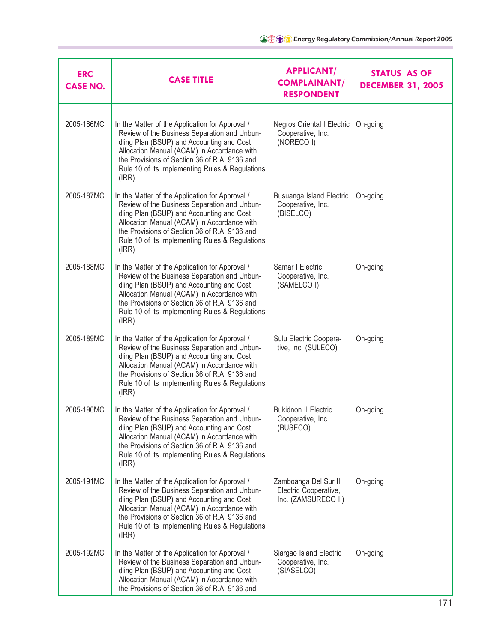| <b>ERC</b><br><b>CASE NO.</b> | <b>CASE TITLE</b>                                                                                                                                                                                                                                                                                        | <b>APPLICANT/</b><br><b>COMPLAINANT/</b><br><b>RESPONDENT</b>        | <b>STATUS AS OF</b><br><b>DECEMBER 31, 2005</b> |
|-------------------------------|----------------------------------------------------------------------------------------------------------------------------------------------------------------------------------------------------------------------------------------------------------------------------------------------------------|----------------------------------------------------------------------|-------------------------------------------------|
| 2005-186MC                    | In the Matter of the Application for Approval /<br>Review of the Business Separation and Unbun-<br>dling Plan (BSUP) and Accounting and Cost<br>Allocation Manual (ACAM) in Accordance with<br>the Provisions of Section 36 of R.A. 9136 and<br>Rule 10 of its Implementing Rules & Regulations<br>(IRR) | Negros Oriental I Electric<br>Cooperative, Inc.<br>(NORECO I)        | On-going                                        |
| 2005-187MC                    | In the Matter of the Application for Approval /<br>Review of the Business Separation and Unbun-<br>dling Plan (BSUP) and Accounting and Cost<br>Allocation Manual (ACAM) in Accordance with<br>the Provisions of Section 36 of R.A. 9136 and<br>Rule 10 of its Implementing Rules & Regulations<br>(IRR) | Busuanga Island Electric<br>Cooperative, Inc.<br>(BISELCO)           | On-going                                        |
| 2005-188MC                    | In the Matter of the Application for Approval /<br>Review of the Business Separation and Unbun-<br>dling Plan (BSUP) and Accounting and Cost<br>Allocation Manual (ACAM) in Accordance with<br>the Provisions of Section 36 of R.A. 9136 and<br>Rule 10 of its Implementing Rules & Regulations<br>(IRR) | Samar I Electric<br>Cooperative, Inc.<br>(SAMELCO I)                 | On-going                                        |
| 2005-189MC                    | In the Matter of the Application for Approval /<br>Review of the Business Separation and Unbun-<br>dling Plan (BSUP) and Accounting and Cost<br>Allocation Manual (ACAM) in Accordance with<br>the Provisions of Section 36 of R.A. 9136 and<br>Rule 10 of its Implementing Rules & Regulations<br>(IRR) | Sulu Electric Coopera-<br>tive, Inc. (SULECO)                        | On-going                                        |
| 2005-190MC                    | In the Matter of the Application for Approval /<br>Review of the Business Separation and Unbun-<br>dling Plan (BSUP) and Accounting and Cost<br>Allocation Manual (ACAM) in Accordance with<br>the Provisions of Section 36 of R.A. 9136 and<br>Rule 10 of its Implementing Rules & Regulations<br>(IRR) | <b>Bukidnon II Electric</b><br>Cooperative, Inc.<br>(BUSECO)         | On-going                                        |
| 2005-191MC                    | In the Matter of the Application for Approval /<br>Review of the Business Separation and Unbun-<br>dling Plan (BSUP) and Accounting and Cost<br>Allocation Manual (ACAM) in Accordance with<br>the Provisions of Section 36 of R.A. 9136 and<br>Rule 10 of its Implementing Rules & Regulations<br>(IRR) | Zamboanga Del Sur II<br>Electric Cooperative,<br>Inc. (ZAMSURECO II) | On-going                                        |
| 2005-192MC                    | In the Matter of the Application for Approval /<br>Review of the Business Separation and Unbun-<br>dling Plan (BSUP) and Accounting and Cost<br>Allocation Manual (ACAM) in Accordance with<br>the Provisions of Section 36 of R.A. 9136 and                                                             | Siargao Island Electric<br>Cooperative, Inc.<br>(SIASELCO)           | On-going                                        |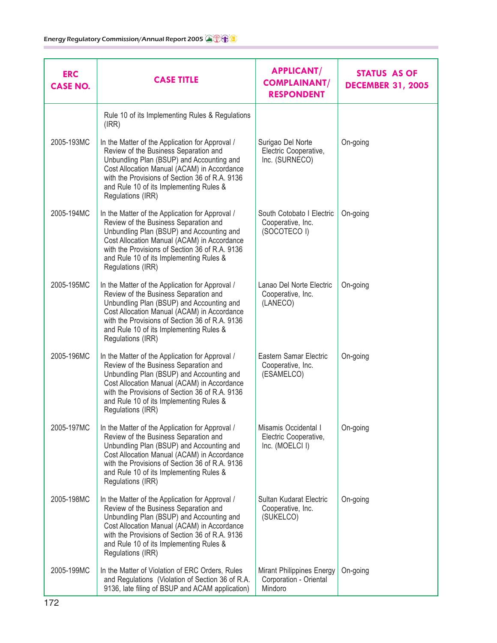| <b>ERC</b><br><b>CASE NO.</b> | <b>CASE TITLE</b>                                                                                                                                                                                                                                                                                      | <b>APPLICANT/</b><br><b>COMPLAINANT/</b><br><b>RESPONDENT</b>    | <b>STATUS AS OF</b><br><b>DECEMBER 31, 2005</b> |
|-------------------------------|--------------------------------------------------------------------------------------------------------------------------------------------------------------------------------------------------------------------------------------------------------------------------------------------------------|------------------------------------------------------------------|-------------------------------------------------|
|                               | Rule 10 of its Implementing Rules & Regulations<br>(IRR)                                                                                                                                                                                                                                               |                                                                  |                                                 |
| 2005-193MC                    | In the Matter of the Application for Approval /<br>Review of the Business Separation and<br>Unbundling Plan (BSUP) and Accounting and<br>Cost Allocation Manual (ACAM) in Accordance<br>with the Provisions of Section 36 of R.A. 9136<br>and Rule 10 of its Implementing Rules &<br>Regulations (IRR) | Surigao Del Norte<br>Electric Cooperative,<br>Inc. (SURNECO)     | On-going                                        |
| 2005-194MC                    | In the Matter of the Application for Approval /<br>Review of the Business Separation and<br>Unbundling Plan (BSUP) and Accounting and<br>Cost Allocation Manual (ACAM) in Accordance<br>with the Provisions of Section 36 of R.A. 9136<br>and Rule 10 of its Implementing Rules &<br>Regulations (IRR) | South Cotobato I Electric<br>Cooperative, Inc.<br>(SOCOTECO I)   | On-going                                        |
| 2005-195MC                    | In the Matter of the Application for Approval /<br>Review of the Business Separation and<br>Unbundling Plan (BSUP) and Accounting and<br>Cost Allocation Manual (ACAM) in Accordance<br>with the Provisions of Section 36 of R.A. 9136<br>and Rule 10 of its Implementing Rules &<br>Regulations (IRR) | Lanao Del Norte Electric<br>Cooperative, Inc.<br>(LANECO)        | On-going                                        |
| 2005-196MC                    | In the Matter of the Application for Approval /<br>Review of the Business Separation and<br>Unbundling Plan (BSUP) and Accounting and<br>Cost Allocation Manual (ACAM) in Accordance<br>with the Provisions of Section 36 of R.A. 9136<br>and Rule 10 of its Implementing Rules &<br>Regulations (IRR) | Eastern Samar Electric<br>Cooperative, Inc.<br>(ESAMELCO)        | On-going                                        |
| 2005-197MC                    | In the Matter of the Application for Approval /<br>Review of the Business Separation and<br>Unbundling Plan (BSUP) and Accounting and<br>Cost Allocation Manual (ACAM) in Accordance<br>with the Provisions of Section 36 of R.A. 9136<br>and Rule 10 of its Implementing Rules &<br>Regulations (IRR) | Misamis Occidental I<br>Electric Cooperative,<br>Inc. (MOELCI I) | On-going                                        |
| 2005-198MC                    | In the Matter of the Application for Approval /<br>Review of the Business Separation and<br>Unbundling Plan (BSUP) and Accounting and<br>Cost Allocation Manual (ACAM) in Accordance<br>with the Provisions of Section 36 of R.A. 9136<br>and Rule 10 of its Implementing Rules &<br>Regulations (IRR) | Sultan Kudarat Electric<br>Cooperative, Inc.<br>(SUKELCO)        | On-going                                        |
| 2005-199MC                    | In the Matter of Violation of ERC Orders, Rules<br>and Regulations (Violation of Section 36 of R.A.<br>9136, late filing of BSUP and ACAM application)                                                                                                                                                 | Mirant Philippines Energy<br>Corporation - Oriental<br>Mindoro   | On-going                                        |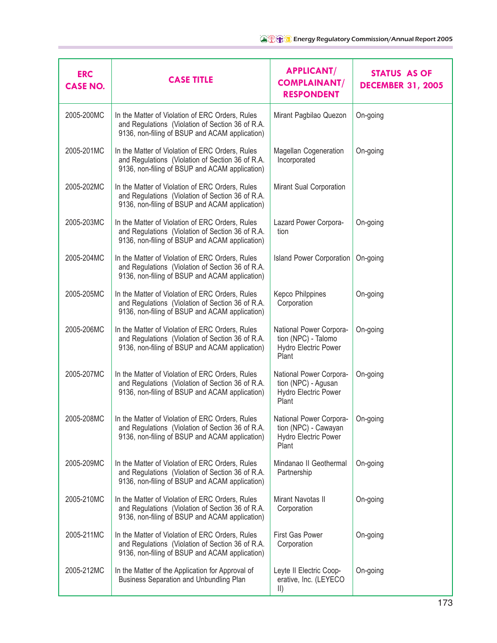| <b>ERC</b><br><b>CASE NO.</b> | <b>CASE TITLE</b>                                                                                                                                     | <b>APPLICANT/</b><br><b>COMPLAINANT/</b><br><b>RESPONDENT</b>                    | <b>STATUS AS OF</b><br><b>DECEMBER 31, 2005</b> |
|-------------------------------|-------------------------------------------------------------------------------------------------------------------------------------------------------|----------------------------------------------------------------------------------|-------------------------------------------------|
| 2005-200MC                    | In the Matter of Violation of ERC Orders, Rules<br>and Regulations (Violation of Section 36 of R.A.<br>9136, non-filing of BSUP and ACAM application) | Mirant Pagbilao Quezon                                                           | On-going                                        |
| 2005-201MC                    | In the Matter of Violation of ERC Orders, Rules<br>and Regulations (Violation of Section 36 of R.A.<br>9136, non-filing of BSUP and ACAM application) | Magellan Cogeneration<br>Incorporated                                            | On-going                                        |
| 2005-202MC                    | In the Matter of Violation of ERC Orders, Rules<br>and Regulations (Violation of Section 36 of R.A.<br>9136, non-filing of BSUP and ACAM application) | Mirant Sual Corporation                                                          |                                                 |
| 2005-203MC                    | In the Matter of Violation of ERC Orders, Rules<br>and Regulations (Violation of Section 36 of R.A.<br>9136, non-filing of BSUP and ACAM application) | Lazard Power Corpora-<br>tion                                                    | On-going                                        |
| 2005-204MC                    | In the Matter of Violation of ERC Orders, Rules<br>and Regulations (Violation of Section 36 of R.A.<br>9136, non-filing of BSUP and ACAM application) | <b>Island Power Corporation</b>                                                  | On-going                                        |
| 2005-205MC                    | In the Matter of Violation of ERC Orders, Rules<br>and Regulations (Violation of Section 36 of R.A.<br>9136, non-filing of BSUP and ACAM application) | <b>Kepco Philppines</b><br>Corporation                                           | On-going                                        |
| 2005-206MC                    | In the Matter of Violation of ERC Orders, Rules<br>and Regulations (Violation of Section 36 of R.A.<br>9136, non-filing of BSUP and ACAM application) | National Power Corpora-<br>tion (NPC) - Talomo<br>Hydro Electric Power<br>Plant  | On-going                                        |
| 2005-207MC                    | In the Matter of Violation of ERC Orders, Rules<br>and Regulations (Violation of Section 36 of R.A.<br>9136, non-filing of BSUP and ACAM application) | National Power Corpora-<br>tion (NPC) - Agusan<br>Hydro Electric Power<br>Plant  | On-going                                        |
| 2005-208MC                    | In the Matter of Violation of ERC Orders, Rules<br>and Regulations (Violation of Section 36 of R.A.<br>9136, non-filing of BSUP and ACAM application) | National Power Corpora-<br>tion (NPC) - Cawayan<br>Hydro Electric Power<br>Plant | On-going                                        |
| 2005-209MC                    | In the Matter of Violation of ERC Orders, Rules<br>and Regulations (Violation of Section 36 of R.A.<br>9136, non-filing of BSUP and ACAM application) | Mindanao II Geothermal<br>Partnership                                            | On-going                                        |
| 2005-210MC                    | In the Matter of Violation of ERC Orders, Rules<br>and Regulations (Violation of Section 36 of R.A.<br>9136, non-filing of BSUP and ACAM application) | Mirant Navotas II<br>Corporation                                                 | On-going                                        |
| 2005-211MC                    | In the Matter of Violation of ERC Orders, Rules<br>and Regulations (Violation of Section 36 of R.A.<br>9136, non-filing of BSUP and ACAM application) | First Gas Power<br>Corporation                                                   | On-going                                        |
| 2005-212MC                    | In the Matter of the Application for Approval of<br>Business Separation and Unbundling Plan                                                           | Leyte II Electric Coop-<br>erative, Inc. (LEYECO<br>$\vert \vert$                | On-going                                        |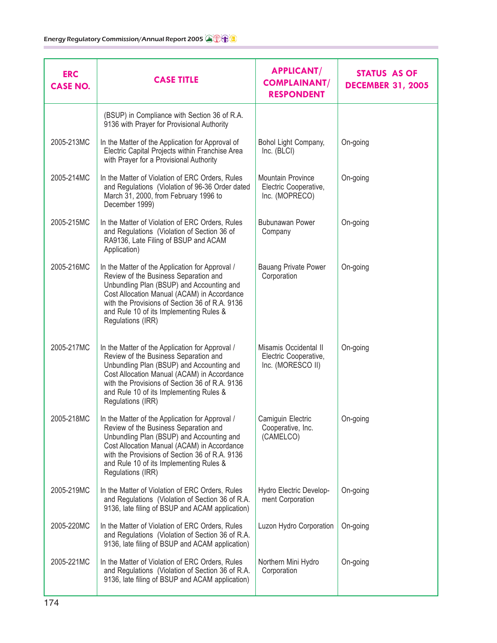| <b>ERC</b><br><b>CASE NO.</b> | <b>CASE TITLE</b>                                                                                                                                                                                                                                                                                      | <b>APPLICANT/</b><br><b>COMPLAINANT/</b><br><b>RESPONDENT</b>       | <b>STATUS AS OF</b><br><b>DECEMBER 31, 2005</b> |
|-------------------------------|--------------------------------------------------------------------------------------------------------------------------------------------------------------------------------------------------------------------------------------------------------------------------------------------------------|---------------------------------------------------------------------|-------------------------------------------------|
|                               | (BSUP) in Compliance with Section 36 of R.A.<br>9136 with Prayer for Provisional Authority                                                                                                                                                                                                             |                                                                     |                                                 |
| 2005-213MC                    | In the Matter of the Application for Approval of<br>Electric Capital Projects within Franchise Area<br>with Prayer for a Provisional Authority                                                                                                                                                         | Bohol Light Company,<br>Inc. (BLCI)                                 | On-going                                        |
| 2005-214MC                    | In the Matter of Violation of ERC Orders, Rules<br>and Regulations (Violation of 96-36 Order dated<br>March 31, 2000, from February 1996 to<br>December 1999)                                                                                                                                          | Mountain Province<br>Electric Cooperative,<br>Inc. (MOPRECO)        | On-going                                        |
| 2005-215MC                    | In the Matter of Violation of ERC Orders, Rules<br>and Regulations (Violation of Section 36 of<br>RA9136, Late Filing of BSUP and ACAM<br>Application)                                                                                                                                                 | <b>Bubunawan Power</b><br>Company                                   | On-going                                        |
| 2005-216MC                    | In the Matter of the Application for Approval /<br>Review of the Business Separation and<br>Unbundling Plan (BSUP) and Accounting and<br>Cost Allocation Manual (ACAM) in Accordance<br>with the Provisions of Section 36 of R.A. 9136<br>and Rule 10 of its Implementing Rules &<br>Regulations (IRR) | <b>Bauang Private Power</b><br>Corporation                          | On-going                                        |
| 2005-217MC                    | In the Matter of the Application for Approval /<br>Review of the Business Separation and<br>Unbundling Plan (BSUP) and Accounting and<br>Cost Allocation Manual (ACAM) in Accordance<br>with the Provisions of Section 36 of R.A. 9136<br>and Rule 10 of its Implementing Rules &<br>Regulations (IRR) | Misamis Occidental II<br>Electric Cooperative,<br>Inc. (MORESCO II) | On-going                                        |
| 2005-218MC                    | In the Matter of the Application for Approval /<br>Review of the Business Separation and<br>Unbundling Plan (BSUP) and Accounting and<br>Cost Allocation Manual (ACAM) in Accordance<br>with the Provisions of Section 36 of R.A. 9136<br>and Rule 10 of its Implementing Rules &<br>Regulations (IRR) | Camiguin Electric<br>Cooperative, Inc.<br>(CAMELCO)                 | On-going                                        |
| 2005-219MC                    | In the Matter of Violation of ERC Orders, Rules<br>and Regulations (Violation of Section 36 of R.A.<br>9136, late filing of BSUP and ACAM application)                                                                                                                                                 | Hydro Electric Develop-<br>ment Corporation                         | On-going                                        |
| 2005-220MC                    | In the Matter of Violation of ERC Orders, Rules<br>and Regulations (Violation of Section 36 of R.A.<br>9136, late filing of BSUP and ACAM application)                                                                                                                                                 | Luzon Hydro Corporation                                             | On-going                                        |
| 2005-221MC                    | In the Matter of Violation of ERC Orders, Rules<br>and Regulations (Violation of Section 36 of R.A.<br>9136, late filing of BSUP and ACAM application)                                                                                                                                                 | Northern Mini Hydro<br>Corporation                                  | On-going                                        |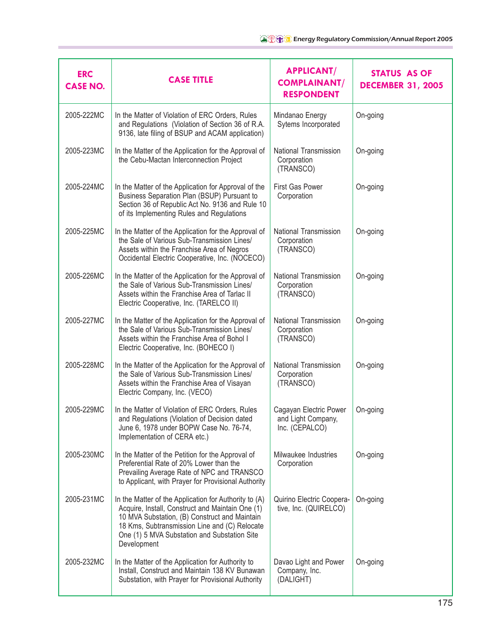| <b>ERC</b><br><b>CASE NO.</b> | <b>CASE TITLE</b>                                                                                                                                                                                                                                                          | <b>APPLICANT/</b><br><b>COMPLAINANT/</b><br><b>RESPONDENT</b>  | <b>STATUS AS OF</b><br><b>DECEMBER 31, 2005</b> |
|-------------------------------|----------------------------------------------------------------------------------------------------------------------------------------------------------------------------------------------------------------------------------------------------------------------------|----------------------------------------------------------------|-------------------------------------------------|
| 2005-222MC                    | In the Matter of Violation of ERC Orders, Rules<br>and Regulations (Violation of Section 36 of R.A.<br>9136, late filing of BSUP and ACAM application)                                                                                                                     | Mindanao Energy<br>Sytems Incorporated                         | On-going                                        |
| 2005-223MC                    | In the Matter of the Application for the Approval of<br>the Cebu-Mactan Interconnection Project                                                                                                                                                                            | National Transmission<br>Corporation<br>(TRANSCO)              | On-going                                        |
| 2005-224MC                    | In the Matter of the Application for Approval of the<br>Business Separation Plan (BSUP) Pursuant to<br>Section 36 of Republic Act No. 9136 and Rule 10<br>of its Implementing Rules and Regulations                                                                        | First Gas Power<br>Corporation                                 | On-going                                        |
| 2005-225MC                    | In the Matter of the Application for the Approval of<br>the Sale of Various Sub-Transmission Lines/<br>Assets within the Franchise Area of Negros<br>Occidental Electric Cooperative, Inc. (NOCECO)                                                                        | National Transmission<br>Corporation<br>(TRANSCO)              | On-going                                        |
| 2005-226MC                    | In the Matter of the Application for the Approval of<br>the Sale of Various Sub-Transmission Lines/<br>Assets within the Franchise Area of Tarlac II<br>Electric Cooperative, Inc. (TARELCO II)                                                                            | National Transmission<br>Corporation<br>(TRANSCO)              | On-going                                        |
| 2005-227MC                    | In the Matter of the Application for the Approval of<br>the Sale of Various Sub-Transmission Lines/<br>Assets within the Franchise Area of Bohol I<br>Electric Cooperative, Inc. (BOHECO I)                                                                                | National Transmission<br>Corporation<br>(TRANSCO)              | On-going                                        |
| 2005-228MC                    | In the Matter of the Application for the Approval of<br>the Sale of Various Sub-Transmission Lines/<br>Assets within the Franchise Area of Visayan<br>Electric Company, Inc. (VECO)                                                                                        | National Transmission<br>Corporation<br>(TRANSCO)              | On-going                                        |
| 2005-229MC                    | In the Matter of Violation of ERC Orders, Rules<br>and Regulations (Violation of Decision dated<br>June 6, 1978 under BOPW Case No. 76-74,<br>Implementation of CERA etc.)                                                                                                 | Cagayan Electric Power<br>and Light Company,<br>Inc. (CEPALCO) | On-going                                        |
| 2005-230MC                    | In the Matter of the Petition for the Approval of<br>Preferential Rate of 20% Lower than the<br>Prevailing Average Rate of NPC and TRANSCO<br>to Applicant, with Prayer for Provisional Authority                                                                          | Milwaukee Industries<br>Corporation                            | On-going                                        |
| 2005-231MC                    | In the Matter of the Application for Authority to (A)<br>Acquire, Install, Construct and Maintain One (1)<br>10 MVA Substation, (B) Construct and Maintain<br>18 Kms, Subtransmission Line and (C) Relocate<br>One (1) 5 MVA Substation and Substation Site<br>Development | Quirino Electric Coopera-<br>tive, Inc. (QUIRELCO)             | On-going                                        |
| 2005-232MC                    | In the Matter of the Application for Authority to<br>Install, Construct and Maintain 138 KV Bunawan<br>Substation, with Prayer for Provisional Authority                                                                                                                   | Davao Light and Power<br>Company, Inc.<br>(DALIGHT)            | On-going                                        |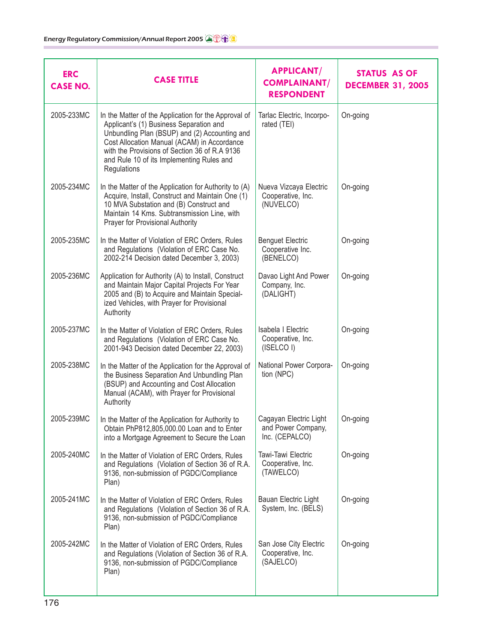| <b>ERC</b><br><b>CASE NO.</b> | <b>CASE TITLE</b>                                                                                                                                                                                                                                                                                            | <b>APPLICANT/</b><br><b>COMPLAINANT/</b><br><b>RESPONDENT</b>  | STATUS AS OF<br><b>DECEMBER 31, 2005</b> |
|-------------------------------|--------------------------------------------------------------------------------------------------------------------------------------------------------------------------------------------------------------------------------------------------------------------------------------------------------------|----------------------------------------------------------------|------------------------------------------|
| 2005-233MC                    | In the Matter of the Application for the Approval of<br>Applicant's (1) Business Separation and<br>Unbundling Plan (BSUP) and (2) Accounting and<br>Cost Allocation Manual (ACAM) in Accordance<br>with the Provisions of Section 36 of R.A 9136<br>and Rule 10 of its Implementing Rules and<br>Regulations | Tarlac Electric, Incorpo-<br>rated (TEI)                       | On-going                                 |
| 2005-234MC                    | In the Matter of the Application for Authority to (A)<br>Acquire, Install, Construct and Maintain One (1)<br>10 MVA Substation and (B) Construct and<br>Maintain 14 Kms. Subtransmission Line, with<br>Prayer for Provisional Authority                                                                      | Nueva Vizcaya Electric<br>Cooperative, Inc.<br>(NUVELCO)       | On-going                                 |
| 2005-235MC                    | In the Matter of Violation of ERC Orders, Rules<br>and Regulations (Violation of ERC Case No.<br>2002-214 Decision dated December 3, 2003)                                                                                                                                                                   | <b>Benguet Electric</b><br>Cooperative Inc.<br>(BENELCO)       | On-going                                 |
| 2005-236MC                    | Application for Authority (A) to Install, Construct<br>and Maintain Major Capital Projects For Year<br>2005 and (B) to Acquire and Maintain Special-<br>ized Vehicles, with Prayer for Provisional<br>Authority                                                                                              | Davao Light And Power<br>Company, Inc.<br>(DALIGHT)            | On-going                                 |
| 2005-237MC                    | In the Matter of Violation of ERC Orders, Rules<br>and Regulations (Violation of ERC Case No.<br>2001-943 Decision dated December 22, 2003)                                                                                                                                                                  | <b>Isabela I Electric</b><br>Cooperative, Inc.<br>(ISELCO I)   | On-going                                 |
| 2005-238MC                    | In the Matter of the Application for the Approval of<br>the Business Separation And Unbundling Plan<br>(BSUP) and Accounting and Cost Allocation<br>Manual (ACAM), with Prayer for Provisional<br>Authority                                                                                                  | National Power Corpora-<br>tion (NPC)                          | On-going                                 |
| 2005-239MC                    | In the Matter of the Application for Authority to<br>Obtain PhP812,805,000.00 Loan and to Enter<br>into a Mortgage Agreement to Secure the Loan                                                                                                                                                              | Cagayan Electric Light<br>and Power Company,<br>Inc. (CEPALCO) | On-going                                 |
| 2005-240MC                    | In the Matter of Violation of ERC Orders, Rules<br>and Regulations (Violation of Section 36 of R.A.<br>9136, non-submission of PGDC/Compliance<br>Plan)                                                                                                                                                      | Tawi-Tawi Electric<br>Cooperative, Inc.<br>(TAWELCO)           | On-going                                 |
| 2005-241MC                    | In the Matter of Violation of ERC Orders, Rules<br>and Regulations (Violation of Section 36 of R.A.<br>9136, non-submission of PGDC/Compliance<br>Plan)                                                                                                                                                      | Bauan Electric Light<br>System, Inc. (BELS)                    | On-going                                 |
| 2005-242MC                    | In the Matter of Violation of ERC Orders, Rules<br>and Regulations (Violation of Section 36 of R.A.<br>9136, non-submission of PGDC/Compliance<br>Plan)                                                                                                                                                      | San Jose City Electric<br>Cooperative, Inc.<br>(SAJELCO)       | On-going                                 |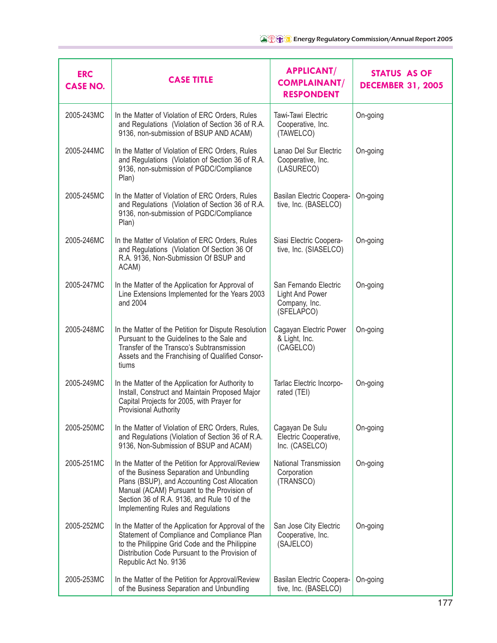| <b>ERC</b><br><b>CASE NO.</b> | <b>CASE TITLE</b>                                                                                                                                                                                                                                                                 | <b>APPLICANT/</b><br><b>COMPLAINANT/</b><br><b>RESPONDENT</b>                  | <b>STATUS AS OF</b><br><b>DECEMBER 31, 2005</b> |
|-------------------------------|-----------------------------------------------------------------------------------------------------------------------------------------------------------------------------------------------------------------------------------------------------------------------------------|--------------------------------------------------------------------------------|-------------------------------------------------|
| 2005-243MC                    | In the Matter of Violation of ERC Orders, Rules<br>and Regulations (Violation of Section 36 of R.A.<br>9136, non-submission of BSUP AND ACAM)                                                                                                                                     | Tawi-Tawi Electric<br>Cooperative, Inc.<br>(TAWELCO)                           | On-going                                        |
| 2005-244MC                    | In the Matter of Violation of ERC Orders, Rules<br>and Regulations (Violation of Section 36 of R.A.<br>9136, non-submission of PGDC/Compliance<br>Plan)                                                                                                                           | Lanao Del Sur Electric<br>Cooperative, Inc.<br>(LASURECO)                      | On-going                                        |
| 2005-245MC                    | In the Matter of Violation of ERC Orders, Rules<br>and Regulations (Violation of Section 36 of R.A.<br>9136, non-submission of PGDC/Compliance<br>Plan)                                                                                                                           | Basilan Electric Coopera-<br>tive, Inc. (BASELCO)                              | On-going                                        |
| 2005-246MC                    | In the Matter of Violation of ERC Orders, Rules<br>and Regulations (Violation Of Section 36 Of<br>R.A. 9136, Non-Submission Of BSUP and<br>ACAM)                                                                                                                                  | Siasi Electric Coopera-<br>tive, Inc. (SIASELCO)                               | On-going                                        |
| 2005-247MC                    | In the Matter of the Application for Approval of<br>Line Extensions Implemented for the Years 2003<br>and 2004                                                                                                                                                                    | San Fernando Electric<br><b>Light And Power</b><br>Company, Inc.<br>(SFELAPCO) | On-going                                        |
| 2005-248MC                    | In the Matter of the Petition for Dispute Resolution<br>Pursuant to the Guidelines to the Sale and<br>Transfer of the Transco's Subtransmission<br>Assets and the Franchising of Qualified Consor-<br>tiums                                                                       | Cagayan Electric Power<br>& Light, Inc.<br>(CAGELCO)                           | On-going                                        |
| 2005-249MC                    | In the Matter of the Application for Authority to<br>Install, Construct and Maintain Proposed Major<br>Capital Projects for 2005, with Prayer for<br><b>Provisional Authority</b>                                                                                                 | Tarlac Electric Incorpo-<br>rated (TEI)                                        | On-going                                        |
| 2005-250MC                    | In the Matter of Violation of ERC Orders, Rules,<br>and Regulations (Violation of Section 36 of R.A.<br>9136, Non-Submission of BSUP and ACAM)                                                                                                                                    | Cagayan De Sulu<br>Electric Cooperative,<br>Inc. (CASELCO)                     | On-going                                        |
| 2005-251MC                    | In the Matter of the Petition for Approval/Review<br>of the Business Separation and Unbundling<br>Plans (BSUP), and Accounting Cost Allocation<br>Manual (ACAM) Pursuant to the Provision of<br>Section 36 of R.A. 9136, and Rule 10 of the<br>Implementing Rules and Regulations | National Transmission<br>Corporation<br>(TRANSCO)                              | On-going                                        |
| 2005-252MC                    | In the Matter of the Application for Approval of the<br>Statement of Compliance and Compliance Plan<br>to the Philippine Grid Code and the Philippine<br>Distribution Code Pursuant to the Provision of<br>Republic Act No. 9136                                                  | San Jose City Electric<br>Cooperative, Inc.<br>(SAJELCO)                       | On-going                                        |
| 2005-253MC                    | In the Matter of the Petition for Approval/Review<br>of the Business Separation and Unbundling                                                                                                                                                                                    | Basilan Electric Coopera-<br>tive, Inc. (BASELCO)                              | On-going                                        |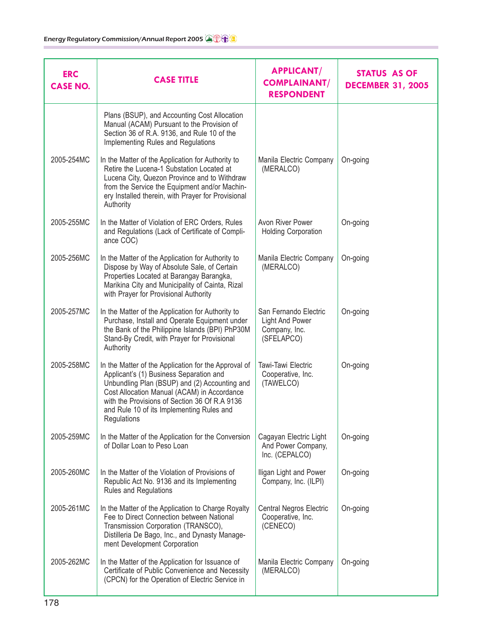| <b>ERC</b><br><b>CASE NO.</b> | <b>CASE TITLE</b>                                                                                                                                                                                                                                                                                            | <b>APPLICANT/</b><br><b>COMPLAINANT/</b><br><b>RESPONDENT</b>                  | <b>STATUS AS OF</b><br><b>DECEMBER 31, 2005</b> |
|-------------------------------|--------------------------------------------------------------------------------------------------------------------------------------------------------------------------------------------------------------------------------------------------------------------------------------------------------------|--------------------------------------------------------------------------------|-------------------------------------------------|
|                               | Plans (BSUP), and Accounting Cost Allocation<br>Manual (ACAM) Pursuant to the Provision of<br>Section 36 of R.A. 9136, and Rule 10 of the<br>Implementing Rules and Regulations                                                                                                                              |                                                                                |                                                 |
| 2005-254MC                    | In the Matter of the Application for Authority to<br>Retire the Lucena-1 Substation Located at<br>Lucena City, Quezon Province and to Withdraw<br>from the Service the Equipment and/or Machin-<br>ery Installed therein, with Prayer for Provisional<br>Authority                                           | Manila Electric Company<br>(MERALCO)                                           | On-going                                        |
| 2005-255MC                    | In the Matter of Violation of ERC Orders, Rules<br>and Regulations (Lack of Certificate of Compli-<br>ance COC)                                                                                                                                                                                              | Avon River Power<br><b>Holding Corporation</b>                                 | On-going                                        |
| 2005-256MC                    | In the Matter of the Application for Authority to<br>Dispose by Way of Absolute Sale, of Certain<br>Properties Located at Barangay Barangka,<br>Marikina City and Municipality of Cainta, Rizal<br>with Prayer for Provisional Authority                                                                     | Manila Electric Company<br>(MERALCO)                                           | On-going                                        |
| 2005-257MC                    | In the Matter of the Application for Authority to<br>Purchase, Install and Operate Equipment under<br>the Bank of the Philippine Islands (BPI) PhP30M<br>Stand-By Credit, with Prayer for Provisional<br>Authority                                                                                           | San Fernando Electric<br><b>Light And Power</b><br>Company, Inc.<br>(SFELAPCO) | On-going                                        |
| 2005-258MC                    | In the Matter of the Application for the Approval of<br>Applicant's (1) Business Separation and<br>Unbundling Plan (BSUP) and (2) Accounting and<br>Cost Allocation Manual (ACAM) in Accordance<br>with the Provisions of Section 36 Of R.A 9136<br>and Rule 10 of its Implementing Rules and<br>Regulations | Tawi-Tawi Electric<br>Cooperative, Inc.<br>(TAWELCO)                           | On-going                                        |
| 2005-259MC                    | In the Matter of the Application for the Conversion<br>of Dollar Loan to Peso Loan                                                                                                                                                                                                                           | Cagayan Electric Light<br>And Power Company,<br>Inc. (CEPALCO)                 | On-going                                        |
| 2005-260MC                    | In the Matter of the Violation of Provisions of<br>Republic Act No. 9136 and its Implementing<br>Rules and Regulations                                                                                                                                                                                       | Iligan Light and Power<br>Company, Inc. (ILPI)                                 | On-going                                        |
| 2005-261MC                    | In the Matter of the Application to Charge Royalty<br>Fee to Direct Connection between National<br>Transmission Corporation (TRANSCO),<br>Distilleria De Bago, Inc., and Dynasty Manage-<br>ment Development Corporation                                                                                     | <b>Central Negros Electric</b><br>Cooperative, Inc.<br>(CENECO)                | On-going                                        |
| 2005-262MC                    | In the Matter of the Application for Issuance of<br>Certificate of Public Convenience and Necessity<br>(CPCN) for the Operation of Electric Service in                                                                                                                                                       | Manila Electric Company<br>(MERALCO)                                           | On-going                                        |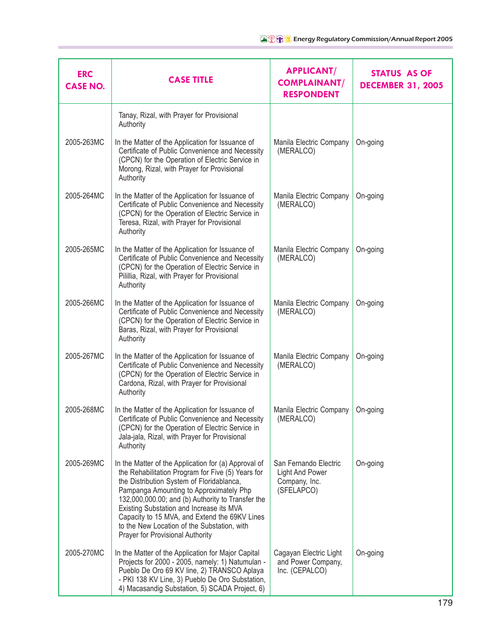| <b>ERC</b><br><b>CASE NO.</b> | <b>CASE TITLE</b>                                                                                                                                                                                                                                                                                                                                                                                                                      | <b>APPLICANT/</b><br><b>COMPLAINANT/</b><br><b>RESPONDENT</b>                  | <b>STATUS AS OF</b><br><b>DECEMBER 31, 2005</b> |
|-------------------------------|----------------------------------------------------------------------------------------------------------------------------------------------------------------------------------------------------------------------------------------------------------------------------------------------------------------------------------------------------------------------------------------------------------------------------------------|--------------------------------------------------------------------------------|-------------------------------------------------|
|                               | Tanay, Rizal, with Prayer for Provisional<br>Authority                                                                                                                                                                                                                                                                                                                                                                                 |                                                                                |                                                 |
| 2005-263MC                    | In the Matter of the Application for Issuance of<br>Certificate of Public Convenience and Necessity<br>(CPCN) for the Operation of Electric Service in<br>Morong, Rizal, with Prayer for Provisional<br>Authority                                                                                                                                                                                                                      | Manila Electric Company<br>(MERALCO)                                           | On-going                                        |
| 2005-264MC                    | In the Matter of the Application for Issuance of<br>Certificate of Public Convenience and Necessity<br>(CPCN) for the Operation of Electric Service in<br>Teresa, Rizal, with Prayer for Provisional<br>Authority                                                                                                                                                                                                                      | Manila Electric Company<br>(MERALCO)                                           | On-going                                        |
| 2005-265MC                    | In the Matter of the Application for Issuance of<br>Certificate of Public Convenience and Necessity<br>(CPCN) for the Operation of Electric Service in<br>Pilillia, Rizal, with Prayer for Provisional<br>Authority                                                                                                                                                                                                                    | Manila Electric Company<br>(MERALCO)                                           | On-going                                        |
| 2005-266MC                    | In the Matter of the Application for Issuance of<br>Certificate of Public Convenience and Necessity<br>(CPCN) for the Operation of Electric Service in<br>Baras, Rizal, with Prayer for Provisional<br>Authority                                                                                                                                                                                                                       | Manila Electric Company<br>(MERALCO)                                           | On-going                                        |
| 2005-267MC                    | In the Matter of the Application for Issuance of<br>Certificate of Public Convenience and Necessity<br>(CPCN) for the Operation of Electric Service in<br>Cardona, Rizal, with Prayer for Provisional<br>Authority                                                                                                                                                                                                                     | Manila Electric Company<br>(MERALCO)                                           | On-going                                        |
| 2005-268MC                    | In the Matter of the Application for Issuance of<br>Certificate of Public Convenience and Necessity<br>(CPCN) for the Operation of Electric Service in<br>Jala-jala, Rizal, with Prayer for Provisional<br>Authority                                                                                                                                                                                                                   | Manila Electric Company<br>(MERALCO)                                           | On-going                                        |
| 2005-269MC                    | In the Matter of the Application for (a) Approval of<br>the Rehabilitation Program for Five (5) Years for<br>the Distribution System of Floridablanca,<br>Pampanga Amounting to Approximately Php<br>132,000,000.00; and (b) Authority to Transfer the<br>Existing Substation and Increase its MVA<br>Capacity to 15 MVA, and Extend the 69KV Lines<br>to the New Location of the Substation, with<br>Prayer for Provisional Authority | San Fernando Electric<br><b>Light And Power</b><br>Company, Inc.<br>(SFELAPCO) | On-going                                        |
| 2005-270MC                    | In the Matter of the Application for Major Capital<br>Projects for 2000 - 2005, namely: 1) Natumulan -<br>Pueblo De Oro 69 KV line, 2) TRANSCO Aplaya<br>- PKI 138 KV Line, 3) Pueblo De Oro Substation,<br>4) Macasandig Substation, 5) SCADA Project, 6)                                                                                                                                                                             | Cagayan Electric Light<br>and Power Company,<br>Inc. (CEPALCO)                 | On-going                                        |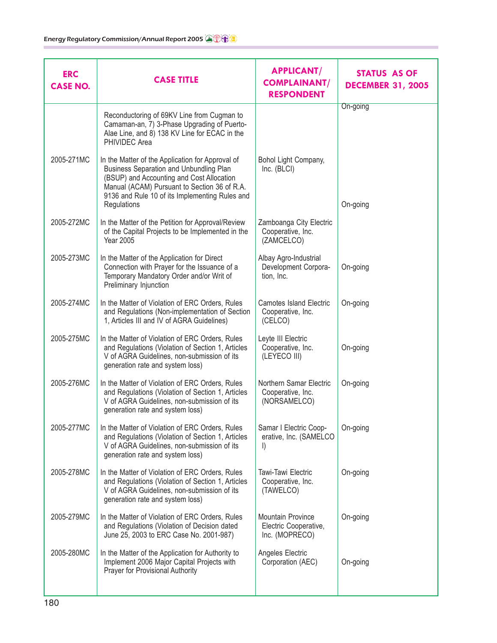| <b>ERC</b><br><b>CASE NO.</b> | <b>CASE TITLE</b>                                                                                                                                                                                                                                         | <b>APPLICANT/</b><br><b>COMPLAINANT/</b><br><b>RESPONDENT</b>  | <b>STATUS AS OF</b><br><b>DECEMBER 31, 2005</b> |
|-------------------------------|-----------------------------------------------------------------------------------------------------------------------------------------------------------------------------------------------------------------------------------------------------------|----------------------------------------------------------------|-------------------------------------------------|
|                               | Reconductoring of 69KV Line from Cugman to<br>Camaman-an, 7) 3-Phase Upgrading of Puerto-<br>Alae Line, and 8) 138 KV Line for ECAC in the<br>PHIVIDEC Area                                                                                               |                                                                | On-going                                        |
| 2005-271MC                    | In the Matter of the Application for Approval of<br>Business Separation and Unbundling Plan<br>(BSUP) and Accounting and Cost Allocation<br>Manual (ACAM) Pursuant to Section 36 of R.A.<br>9136 and Rule 10 of its Implementing Rules and<br>Regulations | Bohol Light Company,<br>Inc. (BLCI)                            | On-going                                        |
| 2005-272MC                    | In the Matter of the Petition for Approval/Review<br>of the Capital Projects to be Implemented in the<br><b>Year 2005</b>                                                                                                                                 | Zamboanga City Electric<br>Cooperative, Inc.<br>(ZAMCELCO)     |                                                 |
| 2005-273MC                    | In the Matter of the Application for Direct<br>Connection with Prayer for the Issuance of a<br>Temporary Mandatory Order and/or Writ of<br>Preliminary Injunction                                                                                         | Albay Agro-Industrial<br>Development Corpora-<br>tion, Inc.    | On-going                                        |
| 2005-274MC                    | In the Matter of Violation of ERC Orders, Rules<br>and Regulations (Non-implementation of Section<br>1, Articles III and IV of AGRA Guidelines)                                                                                                           | <b>Camotes Island Electric</b><br>Cooperative, Inc.<br>(CELCO) | On-going                                        |
| 2005-275MC                    | In the Matter of Violation of ERC Orders, Rules<br>and Regulations (Violation of Section 1, Articles<br>V of AGRA Guidelines, non-submission of its<br>generation rate and system loss)                                                                   | Leyte III Electric<br>Cooperative, Inc.<br>(LEYECO III)        | On-going                                        |
| 2005-276MC                    | In the Matter of Violation of ERC Orders, Rules<br>and Regulations (Violation of Section 1, Articles<br>V of AGRA Guidelines, non-submission of its<br>generation rate and system loss)                                                                   | Northern Samar Electric<br>Cooperative, Inc.<br>(NORSAMELCO)   | On-going                                        |
| 2005-277MC                    | In the Matter of Violation of ERC Orders, Rules<br>and Regulations (Violation of Section 1, Articles<br>V of AGRA Guidelines, non-submission of its<br>generation rate and system loss)                                                                   | Samar I Electric Coop-<br>erative, Inc. (SAMELCO<br>$\vert$    | On-going                                        |
| 2005-278MC                    | In the Matter of Violation of ERC Orders, Rules<br>and Regulations (Violation of Section 1, Articles<br>V of AGRA Guidelines, non-submission of its<br>generation rate and system loss)                                                                   | Tawi-Tawi Electric<br>Cooperative, Inc.<br>(TAWELCO)           | On-going                                        |
| 2005-279MC                    | In the Matter of Violation of ERC Orders, Rules<br>and Regulations (Violation of Decision dated<br>June 25, 2003 to ERC Case No. 2001-987)                                                                                                                | Mountain Province<br>Electric Cooperative,<br>Inc. (MOPRECO)   | On-going                                        |
| 2005-280MC                    | In the Matter of the Application for Authority to<br>Implement 2006 Major Capital Projects with<br>Prayer for Provisional Authority                                                                                                                       | Angeles Electric<br>Corporation (AEC)                          | On-going                                        |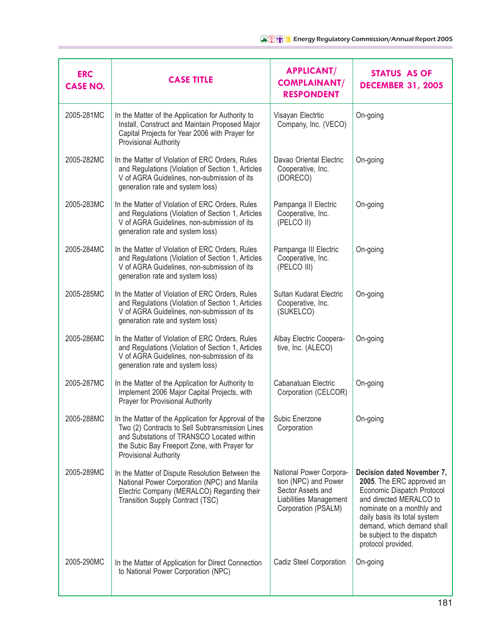| <b>ERC</b><br><b>CASE NO.</b> | <b>CASE TITLE</b>                                                                                                                                                                                                                    | <b>APPLICANT/</b><br><b>COMPLAINANT/</b><br><b>RESPONDENT</b>                                                         | <b>STATUS AS OF</b><br><b>DECEMBER 31, 2005</b>                                                                                                                                                                                                                 |
|-------------------------------|--------------------------------------------------------------------------------------------------------------------------------------------------------------------------------------------------------------------------------------|-----------------------------------------------------------------------------------------------------------------------|-----------------------------------------------------------------------------------------------------------------------------------------------------------------------------------------------------------------------------------------------------------------|
| 2005-281MC                    | In the Matter of the Application for Authority to<br>Install, Construct and Maintain Proposed Major<br>Capital Projects for Year 2006 with Prayer for<br>Provisional Authority                                                       | Visayan Electrtic<br>Company, Inc. (VECO)                                                                             | On-going                                                                                                                                                                                                                                                        |
| 2005-282MC                    | In the Matter of Violation of ERC Orders, Rules<br>and Regulations (Violation of Section 1, Articles<br>V of AGRA Guidelines, non-submission of its<br>generation rate and system loss)                                              | Davao Oriental Electric<br>Cooperative, Inc.<br>(DORECO)                                                              | On-going                                                                                                                                                                                                                                                        |
| 2005-283MC                    | In the Matter of Violation of ERC Orders, Rules<br>and Regulations (Violation of Section 1, Articles<br>V of AGRA Guidelines, non-submission of its<br>generation rate and system loss)                                              | Pampanga II Electric<br>Cooperative, Inc.<br>(PELCO II)                                                               | On-going                                                                                                                                                                                                                                                        |
| 2005-284MC                    | In the Matter of Violation of ERC Orders, Rules<br>and Regulations (Violation of Section 1, Articles<br>V of AGRA Guidelines, non-submission of its<br>generation rate and system loss)                                              | Pampanga III Electric<br>Cooperative, Inc.<br>(PELCO III)                                                             | On-going                                                                                                                                                                                                                                                        |
| 2005-285MC                    | In the Matter of Violation of ERC Orders, Rules<br>and Regulations (Violation of Section 1, Articles<br>V of AGRA Guidelines, non-submission of its<br>generation rate and system loss)                                              | Sultan Kudarat Electric<br>Cooperative, Inc.<br>(SUKELCO)                                                             | On-going                                                                                                                                                                                                                                                        |
| 2005-286MC                    | In the Matter of Violation of ERC Orders, Rules<br>and Regulations (Violation of Section 1, Articles<br>V of AGRA Guidelines, non-submission of its<br>generation rate and system loss)                                              | Albay Electric Coopera-<br>tive, Inc. (ALECO)                                                                         | On-going                                                                                                                                                                                                                                                        |
| 2005-287MC                    | In the Matter of the Application for Authority to<br>Implement 2006 Major Capital Projects, with<br>Prayer for Provisional Authority                                                                                                 | Cabanatuan Electric<br>Corporation (CELCOR)                                                                           | On-going                                                                                                                                                                                                                                                        |
| 2005-288MC                    | In the Matter of the Application for Approval of the<br>Two (2) Contracts to Sell Subtransmission Lines<br>and Substations of TRANSCO Located within<br>the Subic Bay Freeport Zone, with Prayer for<br><b>Provisional Authority</b> | Subic Enerzone<br>Corporation                                                                                         | On-going                                                                                                                                                                                                                                                        |
| 2005-289MC                    | In the Matter of Dispute Resolution Between the<br>National Power Corporation (NPC) and Manila<br>Electric Company (MERALCO) Regarding their<br>Transition Supply Contract (TSC)                                                     | National Power Corpora-<br>tion (NPC) and Power<br>Sector Assets and<br>Liabilities Management<br>Corporation (PSALM) | Decision dated November 7,<br>2005. The ERC approved an<br>Economic Dispatch Protocol<br>and directed MERALCO to<br>nominate on a monthly and<br>daily basis its total system<br>demand, which demand shall<br>be subject to the dispatch<br>protocol provided. |
| 2005-290MC                    | In the Matter of Application for Direct Connection<br>to National Power Corporation (NPC)                                                                                                                                            | Cadiz Steel Corporation                                                                                               | On-going                                                                                                                                                                                                                                                        |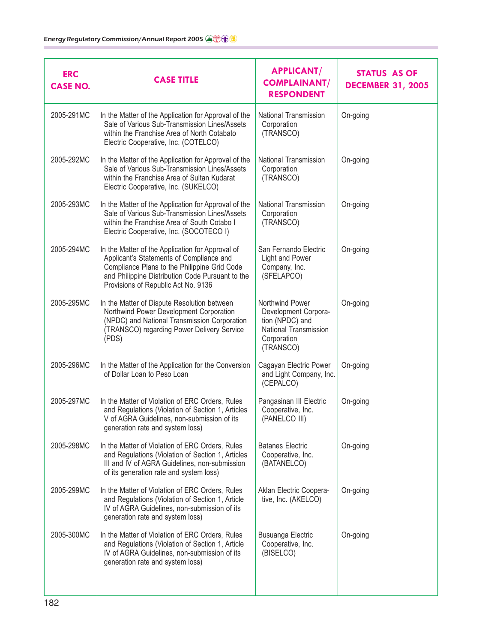| <b>ERC</b><br><b>CASE NO.</b> | <b>CASE TITLE</b>                                                                                                                                                                                                                       | <b>APPLICANT/</b><br><b>COMPLAINANT/</b><br><b>RESPONDENT</b>                                                   | <b>STATUS AS OF</b><br><b>DECEMBER 31, 2005</b> |
|-------------------------------|-----------------------------------------------------------------------------------------------------------------------------------------------------------------------------------------------------------------------------------------|-----------------------------------------------------------------------------------------------------------------|-------------------------------------------------|
| 2005-291MC                    | In the Matter of the Application for Approval of the<br>Sale of Various Sub-Transmission Lines/Assets<br>within the Franchise Area of North Cotabato<br>Electric Cooperative, Inc. (COTELCO)                                            | National Transmission<br>Corporation<br>(TRANSCO)                                                               | On-going                                        |
| 2005-292MC                    | In the Matter of the Application for Approval of the<br>Sale of Various Sub-Transmission Lines/Assets<br>within the Franchise Area of Sultan Kudarat<br>Electric Cooperative, Inc. (SUKELCO)                                            | National Transmission<br>Corporation<br>(TRANSCO)                                                               | On-going                                        |
| 2005-293MC                    | In the Matter of the Application for Approval of the<br>Sale of Various Sub-Transmission Lines/Assets<br>within the Franchise Area of South Cotabo I<br>Electric Cooperative, Inc. (SOCOTECO I)                                         | National Transmission<br>Corporation<br>(TRANSCO)                                                               | On-going                                        |
| 2005-294MC                    | In the Matter of the Application for Approval of<br>Applicant's Statements of Compliance and<br>Compliance Plans to the Philippine Grid Code<br>and Philippine Distribution Code Pursuant to the<br>Provisions of Republic Act No. 9136 | San Fernando Electric<br>Light and Power<br>Company, Inc.<br>(SFELAPCO)                                         | On-going                                        |
| 2005-295MC                    | In the Matter of Dispute Resolution between<br>Northwind Power Development Corporation<br>(NPDC) and National Transmission Corporation<br>(TRANSCO) regarding Power Delivery Service<br>(PDS)                                           | Northwind Power<br>Development Corpora-<br>tion (NPDC) and<br>National Transmission<br>Corporation<br>(TRANSCO) | On-going                                        |
| 2005-296MC                    | In the Matter of the Application for the Conversion<br>of Dollar Loan to Peso Loan                                                                                                                                                      | Cagayan Electric Power<br>and Light Company, Inc.<br>(CEPALCO)                                                  | On-going                                        |
| 2005-297MC                    | In the Matter of Violation of ERC Orders, Rules<br>and Regulations (Violation of Section 1, Articles<br>V of AGRA Guidelines, non-submission of its<br>generation rate and system loss)                                                 | Pangasinan III Electric<br>Cooperative, Inc.<br>(PANELCO III)                                                   | On-going                                        |
| 2005-298MC                    | In the Matter of Violation of ERC Orders, Rules<br>and Regulations (Violation of Section 1, Articles<br>III and IV of AGRA Guidelines, non-submission<br>of its generation rate and system loss)                                        | <b>Batanes Electric</b><br>Cooperative, Inc.<br>(BATANELCO)                                                     | On-going                                        |
| 2005-299MC                    | In the Matter of Violation of ERC Orders, Rules<br>and Regulations (Violation of Section 1, Article<br>IV of AGRA Guidelines, non-submission of its<br>generation rate and system loss)                                                 | Aklan Electric Coopera-<br>tive, Inc. (AKELCO)                                                                  | On-going                                        |
| 2005-300MC                    | In the Matter of Violation of ERC Orders, Rules<br>and Regulations (Violation of Section 1, Article<br>IV of AGRA Guidelines, non-submission of its<br>generation rate and system loss)                                                 | <b>Busuanga Electric</b><br>Cooperative, Inc.<br>(BISELCO)                                                      | On-going                                        |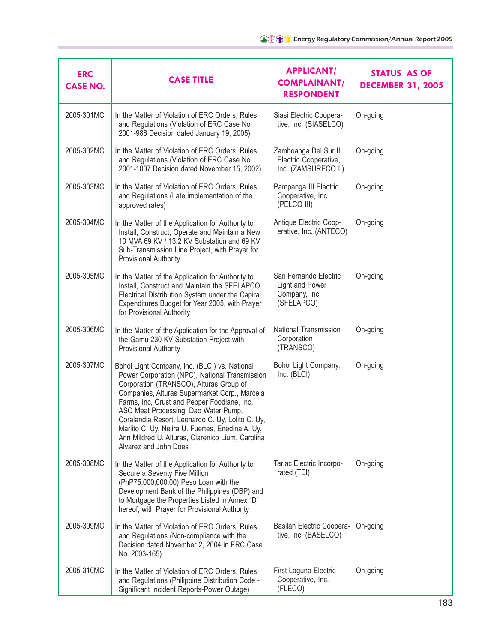| <b>ERC</b><br><b>CASE NO.</b> | <b>CASE TITLE</b>                                                                                                                                                                                                                                                                                                                                                                                                                                                        | <b>APPLICANT/</b><br><b>COMPLAINANT/</b><br><b>RESPONDENT</b>           | <b>STATUS AS OF</b><br><b>DECEMBER 31, 2005</b> |
|-------------------------------|--------------------------------------------------------------------------------------------------------------------------------------------------------------------------------------------------------------------------------------------------------------------------------------------------------------------------------------------------------------------------------------------------------------------------------------------------------------------------|-------------------------------------------------------------------------|-------------------------------------------------|
| 2005-301MC                    | In the Matter of Violation of ERC Orders, Rules<br>and Regulations (Violation of ERC Case No.<br>2001-986 Decision dated January 19, 2005)                                                                                                                                                                                                                                                                                                                               | Siasi Electric Coopera-<br>tive, Inc. (SIASELCO)                        | On-going                                        |
| 2005-302MC                    | In the Matter of Violation of ERC Orders, Rules<br>and Regulations (Violation of ERC Case No.<br>2001-1007 Decision dated November 15, 2002)                                                                                                                                                                                                                                                                                                                             | Zamboanga Del Sur II<br>Electric Cooperative,<br>Inc. (ZAMSURECO II)    | On-going                                        |
| 2005-303MC                    | In the Matter of Violation of ERC Orders, Rules<br>and Regulations (Late implementation of the<br>approved rates)                                                                                                                                                                                                                                                                                                                                                        | Pampanga III Electric<br>Cooperative, Inc.<br>(PELCO III)               | On-going                                        |
| 2005-304MC                    | In the Matter of the Application for Authority to<br>Install, Construct, Operate and Maintain a New<br>10 MVA 69 KV / 13.2 KV Substation and 69 KV<br>Sub-Transmission Line Project, with Prayer for<br>Provisional Authority                                                                                                                                                                                                                                            | Antique Electric Coop-<br>erative, Inc. (ANTECO)                        | On-going                                        |
| 2005-305MC                    | In the Matter of the Application for Authority to<br>Install, Construct and Maintain the SFELAPCO<br>Electrical Distribution System under the Capiral<br>Expenditures Budget for Year 2005, with Prayer<br>for Provisional Authority                                                                                                                                                                                                                                     | San Fernando Electric<br>Light and Power<br>Company, Inc.<br>(SFELAPCO) | On-going                                        |
| 2005-306MC                    | In the Matter of the Application for the Approval of<br>the Gamu 230 KV Substation Project with<br>Provisional Authority                                                                                                                                                                                                                                                                                                                                                 | National Transmission<br>Corporation<br>(TRANSCO)                       | On-going                                        |
| 2005-307MC                    | Bohol Light Company, Inc. (BLCI) vs. National<br>Power Corporation (NPC), National Transmission<br>Corporation (TRANSCO), Alturas Group of<br>Companies, Alturas Supermarket Corp., Marcela<br>Farms, Inc, Crust and Pepper Foodlane, Inc.,<br>ASC Meat Processing, Dao Water Pump,<br>Coralandia Resort, Leonardo C. Uy, Lolito C. Uy,<br>Marlito C. Uy, Nelira U. Fuertes, Enedina A. Uy,<br>Ann Mildred U. Alturas, Clarenico Lium, Carolina<br>Alvarez and John Does | Bohol Light Company,<br>Inc. (BLCI)                                     | On-going                                        |
| 2005-308MC                    | In the Matter of the Application for Authority to<br>Secure a Seventy Five Million<br>(PhP75,000,000.00) Peso Loan with the<br>Development Bank of the Philippines (DBP) and<br>to Mortgage the Properties Listed In Annex "D"<br>hereof, with Prayer for Provisional Authority                                                                                                                                                                                          | Tarlac Electric Incorpo-<br>rated (TEI)                                 | On-going                                        |
| 2005-309MC                    | In the Matter of Violation of ERC Orders, Rules<br>and Regulations (Non-compliance with the<br>Decision dated November 2, 2004 in ERC Case<br>No. 2003-165)                                                                                                                                                                                                                                                                                                              | Basilan Electric Coopera-<br>tive, Inc. (BASELCO)                       | On-going                                        |
| 2005-310MC                    | In the Matter of Violation of ERC Orders, Rules<br>and Regulations (Philippine Distribution Code -<br>Significant Incident Reports-Power Outage)                                                                                                                                                                                                                                                                                                                         | First Laguna Electric<br>Cooperative, Inc.<br>(FLECO)                   | On-going                                        |